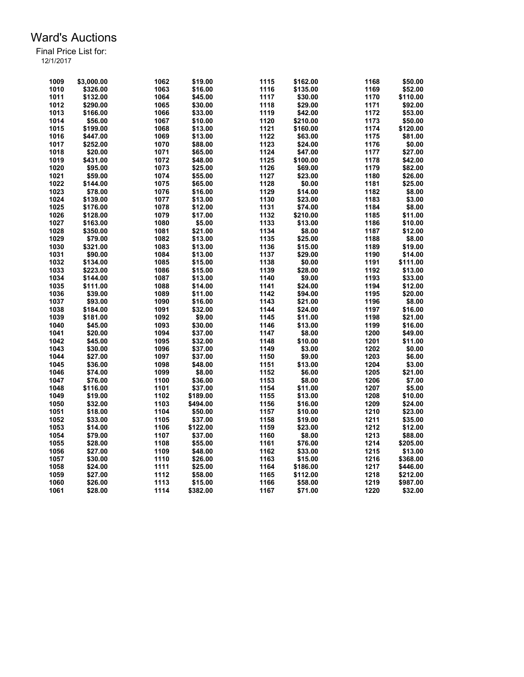| 1009 | \$3,000.00          | 1062 | \$19.00  | 1115 | \$162.00 | 1168 | \$50.00  |
|------|---------------------|------|----------|------|----------|------|----------|
| 1010 | \$326.00            | 1063 | \$16.00  | 1116 | \$135.00 | 1169 | \$52.00  |
| 1011 | \$132.00            | 1064 | \$45.00  | 1117 | \$30.00  | 1170 | \$110.00 |
| 1012 | \$290.00            | 1065 | \$30.00  | 1118 | \$29.00  | 1171 | \$92.00  |
| 1013 | \$166.00            | 1066 | \$33.00  | 1119 | \$42.00  | 1172 | \$53.00  |
| 1014 | \$56.00             | 1067 | \$10.00  | 1120 | \$210.00 | 1173 | \$50.00  |
| 1015 | \$199.00            | 1068 | \$13.00  | 1121 | \$160.00 | 1174 | \$120.00 |
| 1016 | \$447.00            | 1069 | \$13.00  | 1122 | \$63.00  | 1175 | \$81.00  |
| 1017 | \$252.00            | 1070 | \$88.00  | 1123 | \$24.00  | 1176 | \$0.00   |
| 1018 | \$20.00             | 1071 | \$65.00  | 1124 | \$47.00  | 1177 | \$27.00  |
| 1019 | \$431.00            | 1072 | \$48.00  | 1125 | \$100.00 | 1178 | \$42.00  |
| 1020 | \$95.00             | 1073 | \$25.00  | 1126 | \$69.00  | 1179 | \$82.00  |
| 1021 | \$59.00             | 1074 | \$55.00  | 1127 | \$23.00  | 1180 | \$26.00  |
| 1022 | \$144.00            | 1075 | \$65.00  | 1128 | \$0.00   | 1181 | \$25.00  |
| 1023 | \$78.00             | 1076 | \$16.00  | 1129 | \$14.00  | 1182 | \$8.00   |
| 1024 | \$139.00            | 1077 | \$13.00  | 1130 | \$23.00  | 1183 | \$3.00   |
| 1025 | \$176.00            | 1078 | \$12.00  | 1131 | \$74.00  | 1184 | \$8.00   |
| 1026 | \$128.00            | 1079 | \$17.00  | 1132 | \$210.00 | 1185 | \$11.00  |
| 1027 | \$163.00            | 1080 | \$5.00   | 1133 | \$13.00  | 1186 | \$10.00  |
| 1028 |                     | 1081 | \$21.00  | 1134 | \$8.00   | 1187 | \$12.00  |
| 1029 | \$350.00<br>\$79.00 | 1082 | \$13.00  | 1135 |          | 1188 |          |
| 1030 |                     |      |          | 1136 | \$25.00  | 1189 | \$8.00   |
|      | \$321.00            | 1083 | \$13.00  |      | \$15.00  |      | \$19.00  |
| 1031 | \$90.00             | 1084 | \$13.00  | 1137 | \$29.00  | 1190 | \$14.00  |
| 1032 | \$134.00            | 1085 | \$15.00  | 1138 | \$0.00   | 1191 | \$111.00 |
| 1033 | \$223.00            | 1086 | \$15.00  | 1139 | \$28.00  | 1192 | \$13.00  |
| 1034 | \$144.00            | 1087 | \$13.00  | 1140 | \$9.00   | 1193 | \$33.00  |
| 1035 | \$111.00            | 1088 | \$14.00  | 1141 | \$24.00  | 1194 | \$12.00  |
| 1036 | \$39.00             | 1089 | \$11.00  | 1142 | \$94.00  | 1195 | \$20.00  |
| 1037 | \$93.00             | 1090 | \$16.00  | 1143 | \$21.00  | 1196 | \$8.00   |
| 1038 | \$184.00            | 1091 | \$32.00  | 1144 | \$24.00  | 1197 | \$16.00  |
| 1039 | \$181.00            | 1092 | \$9.00   | 1145 | \$11.00  | 1198 | \$21.00  |
| 1040 | \$45.00             | 1093 | \$30.00  | 1146 | \$13.00  | 1199 | \$16.00  |
| 1041 | \$20.00             | 1094 | \$37.00  | 1147 | \$8.00   | 1200 | \$49.00  |
| 1042 | \$45.00             | 1095 | \$32.00  | 1148 | \$10.00  | 1201 | \$11.00  |
| 1043 | \$30.00             | 1096 | \$37.00  | 1149 | \$3.00   | 1202 | \$0.00   |
| 1044 | \$27.00             | 1097 | \$37.00  | 1150 | \$9.00   | 1203 | \$6.00   |
| 1045 | \$36.00             | 1098 | \$48.00  | 1151 | \$13.00  | 1204 | \$3.00   |
| 1046 | \$74.00             | 1099 | \$8.00   | 1152 | \$6.00   | 1205 | \$21.00  |
| 1047 | \$76.00             | 1100 | \$36.00  | 1153 | \$8.00   | 1206 | \$7.00   |
| 1048 | \$116.00            | 1101 | \$37.00  | 1154 | \$11.00  | 1207 | \$5.00   |
| 1049 | \$19.00             | 1102 | \$189.00 | 1155 | \$13.00  | 1208 | \$10.00  |
| 1050 | \$32.00             | 1103 | \$494.00 | 1156 | \$16.00  | 1209 | \$24.00  |
| 1051 | \$18.00             | 1104 | \$50.00  | 1157 | \$10.00  | 1210 | \$23.00  |
| 1052 | \$33.00             | 1105 | \$37.00  | 1158 | \$19.00  | 1211 | \$35.00  |
| 1053 | \$14.00             | 1106 | \$122.00 | 1159 | \$23.00  | 1212 | \$12.00  |
| 1054 | \$79.00             | 1107 | \$37.00  | 1160 | \$8.00   | 1213 | \$88.00  |
| 1055 | \$28.00             | 1108 | \$55.00  | 1161 | \$76.00  | 1214 | \$205.00 |
| 1056 | \$27.00             | 1109 | \$48.00  | 1162 | \$33.00  | 1215 | \$13.00  |
| 1057 | \$30.00             | 1110 | \$26.00  | 1163 | \$15.00  | 1216 | \$368.00 |
| 1058 | \$24.00             | 1111 | \$25.00  | 1164 | \$186.00 | 1217 | \$446.00 |
| 1059 | \$27.00             | 1112 | \$58.00  | 1165 | \$112.00 | 1218 | \$212.00 |
| 1060 | \$26.00             | 1113 | \$15.00  | 1166 | \$58.00  | 1219 | \$987.00 |
| 1061 | \$28.00             | 1114 | \$382.00 | 1167 | \$71.00  | 1220 | \$32.00  |
|      |                     |      |          |      |          |      |          |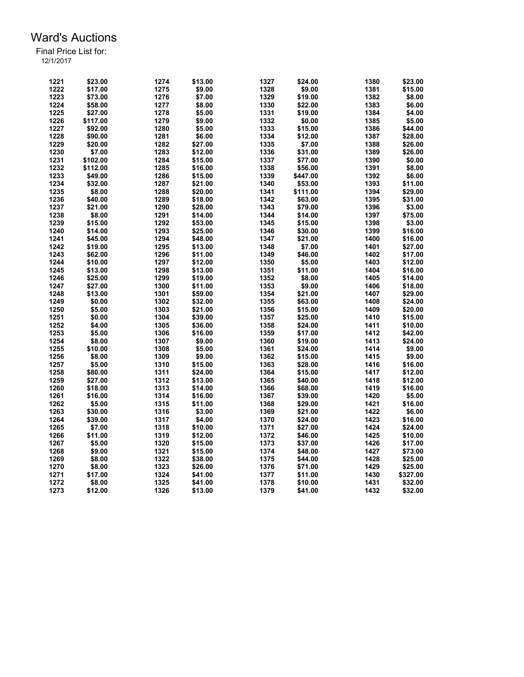| 1221 | \$23.00  | 1274 | \$13.00 | 1327         | \$24.00  | 1380 | \$23.00  |
|------|----------|------|---------|--------------|----------|------|----------|
| 1222 | \$17.00  | 1275 | \$9.00  | 1328         | \$9.00   | 1381 | \$15.00  |
| 1223 | \$73.00  | 1276 | \$7.00  | 1329         | \$19.00  | 1382 | \$8.00   |
| 1224 | \$58.00  | 1277 | \$8.00  | 1330         | \$22.00  | 1383 | \$6.00   |
| 1225 | \$27.00  | 1278 | \$5.00  | 1331         | \$19.00  | 1384 | \$4.00   |
| 1226 | \$117.00 | 1279 | \$9.00  | 1332         | \$0.00   | 1385 | \$5.00   |
| 1227 | \$92.00  | 1280 | \$5.00  | 1333         | \$15.00  | 1386 | \$44.00  |
| 1228 | \$90.00  | 1281 | \$6.00  | 1334         | \$12.00  | 1387 | \$28.00  |
| 1229 | \$20.00  | 1282 | \$27.00 | 1335         | \$7.00   | 1388 | \$26.00  |
| 1230 | \$7.00   | 1283 | \$12.00 | 1336         | \$31.00  | 1389 | \$26.00  |
| 1231 | \$102.00 | 1284 | \$15.00 | 1337         | \$77.00  | 1390 | \$0.00   |
| 1232 | \$112.00 | 1285 | \$16.00 | 1338         | \$56.00  | 1391 | \$8.00   |
| 1233 | \$49.00  | 1286 | \$15.00 | 1339         | \$447.00 | 1392 | \$6.00   |
| 1234 | \$32.00  | 1287 | \$21.00 | 1340         | \$53.00  | 1393 | \$11.00  |
| 1235 | \$8.00   | 1288 | \$20.00 | 1341         | \$111.00 | 1394 | \$29.00  |
| 1236 | \$40.00  | 1289 | \$18.00 | 1342         | \$63.00  | 1395 | \$31.00  |
| 1237 | \$21.00  | 1290 | \$28.00 | 1343         | \$79.00  | 1396 | \$3.00   |
| 1238 | \$8.00   | 1291 | \$14.00 | 1344         | \$14.00  | 1397 | \$75.00  |
|      |          | 1292 |         |              |          | 1398 |          |
| 1239 | \$15.00  |      | \$53.00 | 1345<br>1346 | \$15.00  | 1399 | \$3.00   |
| 1240 | \$14.00  | 1293 | \$25.00 |              | \$30.00  |      | \$16.00  |
| 1241 | \$45.00  | 1294 | \$48.00 | 1347         | \$21.00  | 1400 | \$16.00  |
| 1242 | \$19.00  | 1295 | \$13.00 | 1348         | \$7.00   | 1401 | \$27.00  |
| 1243 | \$62.00  | 1296 | \$11.00 | 1349         | \$46.00  | 1402 | \$17.00  |
| 1244 | \$10.00  | 1297 | \$12.00 | 1350         | \$5.00   | 1403 | \$12.00  |
| 1245 | \$13.00  | 1298 | \$13.00 | 1351         | \$11.00  | 1404 | \$16.00  |
| 1246 | \$25.00  | 1299 | \$19.00 | 1352         | \$8.00   | 1405 | \$14.00  |
| 1247 | \$27.00  | 1300 | \$11.00 | 1353         | \$9.00   | 1406 | \$18.00  |
| 1248 | \$13.00  | 1301 | \$59.00 | 1354         | \$21.00  | 1407 | \$29.00  |
| 1249 | \$0.00   | 1302 | \$32.00 | 1355         | \$63.00  | 1408 | \$24.00  |
| 1250 | \$5.00   | 1303 | \$21.00 | 1356         | \$15.00  | 1409 | \$20.00  |
| 1251 | \$0.00   | 1304 | \$39.00 | 1357         | \$25.00  | 1410 | \$15.00  |
| 1252 | \$4.00   | 1305 | \$36.00 | 1358         | \$24.00  | 1411 | \$10.00  |
| 1253 | \$5.00   | 1306 | \$16.00 | 1359         | \$17.00  | 1412 | \$42.00  |
| 1254 | \$8.00   | 1307 | \$9.00  | 1360         | \$19.00  | 1413 | \$24.00  |
| 1255 | \$10.00  | 1308 | \$5.00  | 1361         | \$24.00  | 1414 | \$9.00   |
| 1256 | \$8.00   | 1309 | \$9.00  | 1362         | \$15.00  | 1415 | \$9.00   |
| 1257 | \$5.00   | 1310 | \$15.00 | 1363         | \$28.00  | 1416 | \$16.00  |
| 1258 | \$80.00  | 1311 | \$24.00 | 1364         | \$15.00  | 1417 | \$12.00  |
| 1259 | \$27.00  | 1312 | \$13.00 | 1365         | \$40.00  | 1418 | \$12.00  |
| 1260 | \$18.00  | 1313 | \$14.00 | 1366         | \$68.00  | 1419 | \$16.00  |
| 1261 | \$16.00  | 1314 | \$16.00 | 1367         | \$39.00  | 1420 | \$5.00   |
| 1262 | \$5.00   | 1315 | \$11.00 | 1368         | \$29.00  | 1421 | \$16.00  |
| 1263 | \$30.00  | 1316 | \$3.00  | 1369         | \$21.00  | 1422 | \$6.00   |
| 1264 | \$39.00  | 1317 | \$4.00  | 1370         | \$24.00  | 1423 | \$16.00  |
| 1265 | \$7.00   | 1318 | \$10.00 | 1371         | \$27.00  | 1424 | \$24.00  |
| 1266 | \$11.00  | 1319 | \$12.00 | 1372         | \$46.00  | 1425 | \$10.00  |
| 1267 | \$5.00   | 1320 | \$15.00 | 1373         | \$37.00  | 1426 | \$17.00  |
| 1268 | \$9.00   | 1321 | \$15.00 | 1374         | \$48.00  | 1427 | \$73.00  |
| 1269 | \$8.00   | 1322 | \$38.00 | 1375         | \$44.00  | 1428 | \$25.00  |
| 1270 | \$8.00   | 1323 | \$26.00 | 1376         | \$71.00  | 1429 | \$25.00  |
| 1271 | \$17.00  | 1324 | \$41.00 | 1377         | \$11.00  | 1430 | \$327.00 |
| 1272 | \$8.00   | 1325 | \$41.00 | 1378         | \$10.00  | 1431 | \$32.00  |
| 1273 | \$12.00  | 1326 | \$13.00 | 1379         | \$41.00  | 1432 | \$32.00  |
|      |          |      |         |              |          |      |          |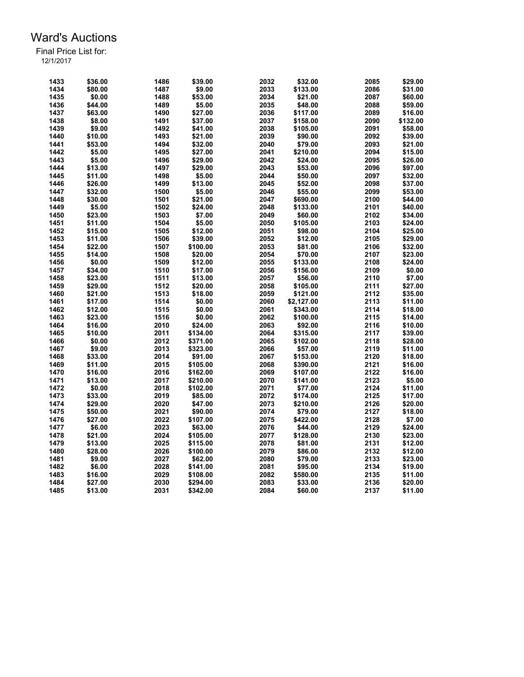| 1433 | \$36.00 | 1486 | \$39.00  | 2032 | \$32.00    | 2085 | \$29.00  |
|------|---------|------|----------|------|------------|------|----------|
| 1434 | \$80.00 | 1487 | \$9.00   | 2033 | \$133.00   | 2086 | \$31.00  |
| 1435 | \$0.00  | 1488 | \$53.00  | 2034 | \$21.00    | 2087 | \$60.00  |
| 1436 | \$44.00 | 1489 | \$5.00   | 2035 | \$48.00    | 2088 | \$59.00  |
| 1437 | \$63.00 | 1490 | \$27.00  | 2036 | \$117.00   | 2089 | \$16.00  |
| 1438 | \$8.00  | 1491 | \$37.00  | 2037 | \$158.00   | 2090 | \$132.00 |
| 1439 | \$9.00  | 1492 | \$41.00  | 2038 | \$105.00   | 2091 | \$58.00  |
| 1440 | \$10.00 | 1493 | \$21.00  | 2039 | \$90.00    | 2092 | \$39.00  |
| 1441 | \$53.00 | 1494 | \$32.00  | 2040 | \$79.00    | 2093 | \$21.00  |
| 1442 | \$5.00  | 1495 | \$27.00  | 2041 | \$210.00   | 2094 | \$15.00  |
| 1443 | \$5.00  | 1496 | \$29.00  | 2042 | \$24.00    | 2095 | \$26.00  |
| 1444 | \$13.00 | 1497 | \$29.00  | 2043 | \$53.00    | 2096 | \$97.00  |
| 1445 | \$11.00 | 1498 | \$5.00   | 2044 | \$50.00    | 2097 | \$32.00  |
| 1446 | \$26.00 | 1499 | \$13.00  | 2045 | \$52.00    | 2098 | \$37.00  |
| 1447 | \$32.00 | 1500 | \$5.00   | 2046 | \$55.00    | 2099 | \$53.00  |
| 1448 | \$30.00 | 1501 | \$21.00  | 2047 | \$690.00   | 2100 | \$44.00  |
| 1449 | \$5.00  | 1502 | \$24.00  | 2048 | \$133.00   | 2101 | \$40.00  |
|      |         |      |          | 2049 |            | 2102 |          |
| 1450 | \$23.00 | 1503 | \$7.00   |      | \$60.00    |      | \$34.00  |
| 1451 | \$11.00 | 1504 | \$5.00   | 2050 | \$105.00   | 2103 | \$24.00  |
| 1452 | \$15.00 | 1505 | \$12.00  | 2051 | \$98.00    | 2104 | \$25.00  |
| 1453 | \$11.00 | 1506 | \$39.00  | 2052 | \$12.00    | 2105 | \$29.00  |
| 1454 | \$22.00 | 1507 | \$100.00 | 2053 | \$81.00    | 2106 | \$32.00  |
| 1455 | \$14.00 | 1508 | \$20.00  | 2054 | \$70.00    | 2107 | \$23.00  |
| 1456 | \$0.00  | 1509 | \$12.00  | 2055 | \$133.00   | 2108 | \$24.00  |
| 1457 | \$34.00 | 1510 | \$17.00  | 2056 | \$156.00   | 2109 | \$0.00   |
| 1458 | \$23.00 | 1511 | \$13.00  | 2057 | \$56.00    | 2110 | \$7.00   |
| 1459 | \$29.00 | 1512 | \$20.00  | 2058 | \$105.00   | 2111 | \$27.00  |
| 1460 | \$21.00 | 1513 | \$18.00  | 2059 | \$121.00   | 2112 | \$35.00  |
| 1461 | \$17.00 | 1514 | \$0.00   | 2060 | \$2,127.00 | 2113 | \$11.00  |
| 1462 | \$12.00 | 1515 | \$0.00   | 2061 | \$343.00   | 2114 | \$18.00  |
| 1463 | \$23.00 | 1516 | \$0.00   | 2062 | \$100.00   | 2115 | \$14.00  |
| 1464 | \$16.00 | 2010 | \$24.00  | 2063 | \$92.00    | 2116 | \$10.00  |
| 1465 | \$10.00 | 2011 | \$134.00 | 2064 | \$315.00   | 2117 | \$39.00  |
| 1466 | \$0.00  | 2012 | \$371.00 | 2065 | \$102.00   | 2118 | \$28.00  |
| 1467 | \$9.00  | 2013 | \$323.00 | 2066 | \$57.00    | 2119 | \$11.00  |
| 1468 | \$33.00 | 2014 | \$91.00  | 2067 | \$153.00   | 2120 | \$18.00  |
| 1469 | \$11.00 | 2015 | \$105.00 | 2068 | \$390.00   | 2121 | \$16.00  |
| 1470 | \$16.00 | 2016 | \$162.00 | 2069 | \$107.00   | 2122 | \$16.00  |
| 1471 | \$13.00 | 2017 | \$210.00 | 2070 | \$141.00   | 2123 | \$5.00   |
| 1472 | \$0.00  | 2018 | \$102.00 | 2071 |            | 2124 |          |
|      |         |      |          | 2072 | \$77.00    |      | \$11.00  |
| 1473 | \$33.00 | 2019 | \$85.00  |      | \$174.00   | 2125 | \$17.00  |
| 1474 | \$29.00 | 2020 | \$47.00  | 2073 | \$210.00   | 2126 | \$20.00  |
| 1475 | \$50.00 | 2021 | \$90.00  | 2074 | \$79.00    | 2127 | \$18.00  |
| 1476 | \$27.00 | 2022 | \$107.00 | 2075 | \$422.00   | 2128 | \$7.00   |
| 1477 | \$6.00  | 2023 | \$63.00  | 2076 | \$44.00    | 2129 | \$24.00  |
| 1478 | \$21.00 | 2024 | \$105.00 | 2077 | \$128.00   | 2130 | \$23.00  |
| 1479 | \$13.00 | 2025 | \$115.00 | 2078 | \$81.00    | 2131 | \$12.00  |
| 1480 | \$28.00 | 2026 | \$100.00 | 2079 | \$86.00    | 2132 | \$12.00  |
| 1481 | \$9.00  | 2027 | \$62.00  | 2080 | \$79.00    | 2133 | \$23.00  |
| 1482 | \$6.00  | 2028 | \$141.00 | 2081 | \$95.00    | 2134 | \$19.00  |
| 1483 | \$16.00 | 2029 | \$108.00 | 2082 | \$580.00   | 2135 | \$11.00  |
| 1484 | \$27.00 | 2030 | \$294.00 | 2083 | \$33.00    | 2136 | \$20.00  |
| 1485 | \$13.00 | 2031 | \$342.00 | 2084 | \$60.00    | 2137 | \$11.00  |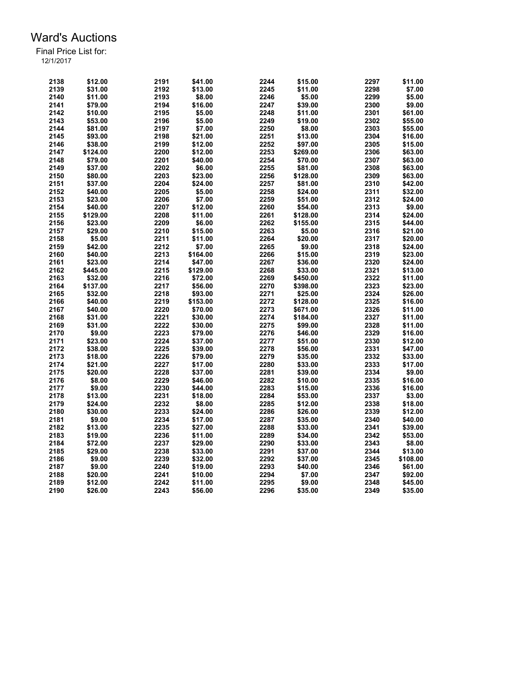| 2138 | \$12.00  | 2191 | \$41.00  | 2244 | \$15.00  | 2297 | \$11.00  |
|------|----------|------|----------|------|----------|------|----------|
| 2139 | \$31.00  | 2192 | \$13.00  | 2245 | \$11.00  | 2298 | \$7.00   |
| 2140 | \$11.00  | 2193 | \$8.00   | 2246 | \$5.00   | 2299 | \$5.00   |
| 2141 | \$79.00  | 2194 | \$16.00  | 2247 | \$39.00  | 2300 | \$9.00   |
| 2142 | \$10.00  | 2195 | \$5.00   | 2248 | \$11.00  | 2301 | \$61.00  |
| 2143 | \$53.00  | 2196 | \$5.00   | 2249 | \$19.00  | 2302 | \$55.00  |
| 2144 | \$81.00  | 2197 | \$7.00   | 2250 | \$8.00   | 2303 | \$55.00  |
| 2145 | \$93.00  | 2198 | \$21.00  | 2251 | \$13.00  | 2304 | \$16.00  |
| 2146 | \$38.00  | 2199 | \$12.00  | 2252 | \$97.00  | 2305 | \$15.00  |
| 2147 | \$124.00 | 2200 | \$12.00  | 2253 | \$269.00 | 2306 | \$63.00  |
| 2148 | \$79.00  | 2201 | \$40.00  | 2254 | \$70.00  | 2307 | \$63.00  |
| 2149 | \$37.00  | 2202 | \$6.00   | 2255 | \$81.00  | 2308 | \$63.00  |
| 2150 | \$80.00  | 2203 | \$23.00  | 2256 | \$128.00 | 2309 | \$63.00  |
| 2151 | \$37.00  | 2204 | \$24.00  | 2257 | \$81.00  | 2310 | \$42.00  |
| 2152 | \$40.00  | 2205 | \$5.00   | 2258 | \$24.00  | 2311 | \$32.00  |
| 2153 | \$23.00  | 2206 | \$7.00   | 2259 | \$51.00  | 2312 | \$24.00  |
| 2154 |          | 2207 | \$12.00  | 2260 |          | 2313 | \$9.00   |
|      | \$40.00  |      |          |      | \$54.00  |      |          |
| 2155 | \$129.00 | 2208 | \$11.00  | 2261 | \$128.00 | 2314 | \$24.00  |
| 2156 | \$23.00  | 2209 | \$6.00   | 2262 | \$155.00 | 2315 | \$44.00  |
| 2157 | \$29.00  | 2210 | \$15.00  | 2263 | \$5.00   | 2316 | \$21.00  |
| 2158 | \$5.00   | 2211 | \$11.00  | 2264 | \$20.00  | 2317 | \$20.00  |
| 2159 | \$42.00  | 2212 | \$7.00   | 2265 | \$9.00   | 2318 | \$24.00  |
| 2160 | \$40.00  | 2213 | \$164.00 | 2266 | \$15.00  | 2319 | \$23.00  |
| 2161 | \$23.00  | 2214 | \$47.00  | 2267 | \$36.00  | 2320 | \$24.00  |
| 2162 | \$445.00 | 2215 | \$129.00 | 2268 | \$33.00  | 2321 | \$13.00  |
| 2163 | \$32.00  | 2216 | \$72.00  | 2269 | \$450.00 | 2322 | \$11.00  |
| 2164 | \$137.00 | 2217 | \$56.00  | 2270 | \$398.00 | 2323 | \$23.00  |
| 2165 | \$32.00  | 2218 | \$93.00  | 2271 | \$25.00  | 2324 | \$26.00  |
| 2166 | \$40.00  | 2219 | \$153.00 | 2272 | \$128.00 | 2325 | \$16.00  |
| 2167 | \$40.00  | 2220 | \$70.00  | 2273 | \$671.00 | 2326 | \$11.00  |
| 2168 | \$31.00  | 2221 | \$30.00  | 2274 | \$184.00 | 2327 | \$11.00  |
| 2169 | \$31.00  | 2222 | \$30.00  | 2275 | \$99.00  | 2328 | \$11.00  |
| 2170 | \$9.00   | 2223 | \$79.00  | 2276 | \$46.00  | 2329 | \$16.00  |
| 2171 | \$23.00  | 2224 | \$37.00  | 2277 | \$51.00  | 2330 | \$12.00  |
| 2172 | \$38.00  | 2225 | \$39.00  | 2278 | \$56.00  | 2331 | \$47.00  |
| 2173 | \$18.00  | 2226 | \$79.00  | 2279 | \$35.00  | 2332 | \$33.00  |
| 2174 | \$21.00  | 2227 | \$17.00  | 2280 | \$33.00  | 2333 | \$17.00  |
| 2175 | \$20.00  | 2228 | \$37.00  | 2281 | \$39.00  | 2334 | \$9.00   |
| 2176 | \$8.00   | 2229 | \$46.00  | 2282 | \$10.00  | 2335 | \$16.00  |
| 2177 | \$9.00   | 2230 | \$44.00  | 2283 | \$15.00  | 2336 | \$16.00  |
| 2178 | \$13.00  | 2231 | \$18.00  | 2284 | \$53.00  | 2337 | \$3.00   |
| 2179 | \$24.00  | 2232 | \$8.00   | 2285 | \$12.00  | 2338 | \$18.00  |
| 2180 | \$30.00  | 2233 | \$24.00  | 2286 | \$26.00  | 2339 | \$12.00  |
| 2181 | \$9.00   | 2234 | \$17.00  | 2287 | \$35.00  | 2340 | \$40.00  |
| 2182 | \$13.00  | 2235 | \$27.00  | 2288 | \$33.00  | 2341 | \$39.00  |
| 2183 | \$19.00  | 2236 | \$11.00  | 2289 | \$34.00  | 2342 | \$53.00  |
| 2184 | \$72.00  | 2237 |          | 2290 |          | 2343 |          |
|      |          | 2238 | \$29.00  | 2291 | \$33.00  | 2344 | \$8.00   |
| 2185 | \$29.00  |      | \$33.00  |      | \$37.00  |      | \$13.00  |
| 2186 | \$9.00   | 2239 | \$32.00  | 2292 | \$37.00  | 2345 | \$108.00 |
| 2187 | \$9.00   | 2240 | \$19.00  | 2293 | \$40.00  | 2346 | \$61.00  |
| 2188 | \$20.00  | 2241 | \$10.00  | 2294 | \$7.00   | 2347 | \$92.00  |
| 2189 | \$12.00  | 2242 | \$11.00  | 2295 | \$9.00   | 2348 | \$45.00  |
| 2190 | \$26.00  | 2243 | \$56.00  | 2296 | \$35.00  | 2349 | \$35.00  |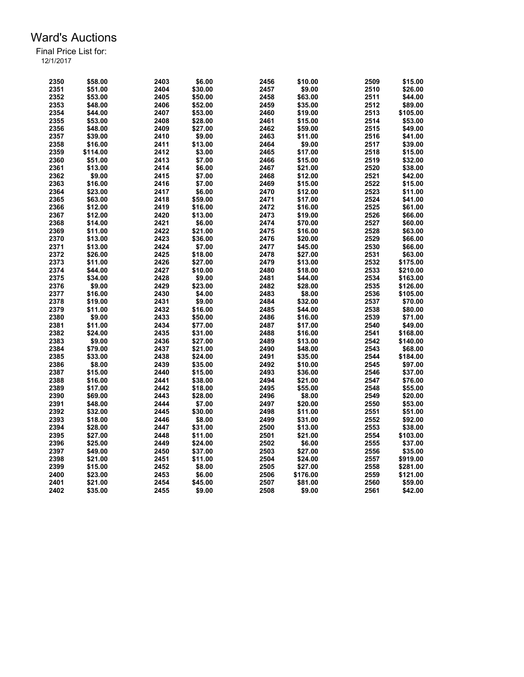| 2350 | \$58.00  | 2403 | \$6.00  | 2456 | \$10.00  | 2509 | \$15.00  |
|------|----------|------|---------|------|----------|------|----------|
| 2351 | \$51.00  | 2404 | \$30.00 | 2457 | \$9.00   | 2510 | \$26.00  |
| 2352 | \$53.00  | 2405 | \$50.00 | 2458 | \$63.00  | 2511 | \$44.00  |
| 2353 | \$48.00  | 2406 | \$52.00 | 2459 | \$35.00  | 2512 | \$89.00  |
| 2354 | \$44.00  | 2407 | \$53.00 | 2460 | \$19.00  | 2513 | \$105.00 |
| 2355 | \$53.00  | 2408 | \$28.00 | 2461 | \$15.00  | 2514 | \$53.00  |
| 2356 | \$48.00  | 2409 | \$27.00 | 2462 | \$59.00  | 2515 | \$49.00  |
| 2357 | \$39.00  | 2410 | \$9.00  | 2463 | \$11.00  | 2516 | \$41.00  |
| 2358 | \$16.00  | 2411 | \$13.00 | 2464 | \$9.00   | 2517 | \$39.00  |
| 2359 | \$114.00 | 2412 | \$3.00  | 2465 | \$17.00  | 2518 | \$15.00  |
| 2360 | \$51.00  | 2413 | \$7.00  | 2466 | \$15.00  | 2519 | \$32.00  |
| 2361 | \$13.00  | 2414 | \$6.00  | 2467 | \$21.00  | 2520 | \$38.00  |
| 2362 | \$9.00   | 2415 | \$7.00  | 2468 | \$12.00  | 2521 | \$42.00  |
| 2363 | \$16.00  | 2416 | \$7.00  | 2469 | \$15.00  | 2522 | \$15.00  |
| 2364 | \$23.00  | 2417 | \$6.00  | 2470 | \$12.00  | 2523 | \$11.00  |
| 2365 | \$63.00  | 2418 | \$59.00 | 2471 | \$17.00  | 2524 | \$41.00  |
| 2366 | \$12.00  | 2419 | \$16.00 | 2472 | \$16.00  | 2525 | \$61.00  |
| 2367 | \$12.00  | 2420 | \$13.00 | 2473 | \$19.00  | 2526 | \$66.00  |
| 2368 | \$14.00  | 2421 | \$6.00  | 2474 |          | 2527 | \$60.00  |
| 2369 |          | 2422 | \$21.00 | 2475 | \$70.00  | 2528 |          |
|      | \$11.00  |      |         |      | \$16.00  |      | \$63.00  |
| 2370 | \$13.00  | 2423 | \$36.00 | 2476 | \$20.00  | 2529 | \$66.00  |
| 2371 | \$13.00  | 2424 | \$7.00  | 2477 | \$45.00  | 2530 | \$66.00  |
| 2372 | \$26.00  | 2425 | \$18.00 | 2478 | \$27.00  | 2531 | \$63.00  |
| 2373 | \$11.00  | 2426 | \$27.00 | 2479 | \$13.00  | 2532 | \$175.00 |
| 2374 | \$44.00  | 2427 | \$10.00 | 2480 | \$18.00  | 2533 | \$210.00 |
| 2375 | \$34.00  | 2428 | \$9.00  | 2481 | \$44.00  | 2534 | \$163.00 |
| 2376 | \$9.00   | 2429 | \$23.00 | 2482 | \$28.00  | 2535 | \$126.00 |
| 2377 | \$16.00  | 2430 | \$4.00  | 2483 | \$8.00   | 2536 | \$105.00 |
| 2378 | \$19.00  | 2431 | \$9.00  | 2484 | \$32.00  | 2537 | \$70.00  |
| 2379 | \$11.00  | 2432 | \$16.00 | 2485 | \$44.00  | 2538 | \$80.00  |
| 2380 | \$9.00   | 2433 | \$50.00 | 2486 | \$16.00  | 2539 | \$71.00  |
| 2381 | \$11.00  | 2434 | \$77.00 | 2487 | \$17.00  | 2540 | \$49.00  |
| 2382 | \$24.00  | 2435 | \$31.00 | 2488 | \$16.00  | 2541 | \$168.00 |
| 2383 | \$9.00   | 2436 | \$27.00 | 2489 | \$13.00  | 2542 | \$140.00 |
| 2384 | \$79.00  | 2437 | \$21.00 | 2490 | \$48.00  | 2543 | \$68.00  |
| 2385 | \$33.00  | 2438 | \$24.00 | 2491 | \$35.00  | 2544 | \$184.00 |
| 2386 | \$8.00   | 2439 | \$35.00 | 2492 | \$10.00  | 2545 | \$97.00  |
| 2387 | \$15.00  | 2440 | \$15.00 | 2493 | \$36.00  | 2546 | \$37.00  |
| 2388 | \$16.00  | 2441 | \$38.00 | 2494 | \$21.00  | 2547 | \$76.00  |
| 2389 | \$17.00  | 2442 | \$18.00 | 2495 | \$55.00  | 2548 | \$55.00  |
| 2390 | \$69.00  | 2443 | \$28.00 | 2496 | \$8.00   | 2549 | \$20.00  |
| 2391 | \$48.00  | 2444 | \$7.00  | 2497 | \$20.00  | 2550 | \$53.00  |
| 2392 | \$32.00  | 2445 | \$30.00 | 2498 | \$11.00  | 2551 | \$51.00  |
| 2393 | \$18.00  | 2446 | \$8.00  | 2499 | \$31.00  | 2552 | \$92.00  |
| 2394 | \$28.00  | 2447 | \$31.00 | 2500 | \$13.00  | 2553 | \$38.00  |
| 2395 | \$27.00  | 2448 | \$11.00 | 2501 | \$21.00  | 2554 | \$103.00 |
| 2396 | \$25.00  | 2449 | \$24.00 | 2502 | \$6.00   | 2555 | \$37.00  |
| 2397 | \$49.00  | 2450 | \$37.00 | 2503 | \$27.00  | 2556 | \$35.00  |
| 2398 | \$21.00  | 2451 | \$11.00 | 2504 | \$24.00  | 2557 | \$919.00 |
| 2399 | \$15.00  | 2452 | \$8.00  | 2505 | \$27.00  | 2558 | \$281.00 |
| 2400 | \$23.00  | 2453 | \$6.00  | 2506 | \$176.00 | 2559 | \$121.00 |
| 2401 | \$21.00  | 2454 | \$45.00 | 2507 | \$81.00  | 2560 | \$59.00  |
| 2402 | \$35.00  | 2455 | \$9.00  | 2508 | \$9.00   | 2561 | \$42.00  |
|      |          |      |         |      |          |      |          |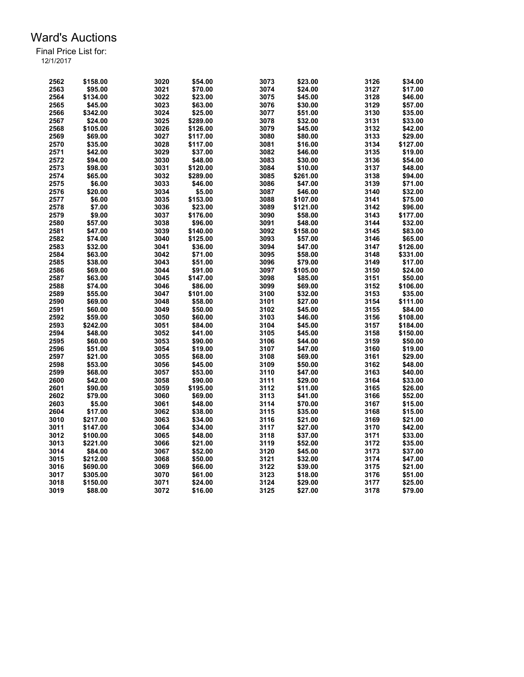| 2562 | \$158.00 | 3020         | \$54.00  | 3073 | \$23.00  | 3126 | \$34.00            |
|------|----------|--------------|----------|------|----------|------|--------------------|
| 2563 | \$95.00  | 3021         | \$70.00  | 3074 | \$24.00  | 3127 | \$17.00            |
| 2564 | \$134.00 | 3022         | \$23.00  | 3075 | \$45.00  | 3128 | \$46.00            |
| 2565 | \$45.00  | 3023         | \$63.00  | 3076 | \$30.00  | 3129 | \$57.00            |
| 2566 | \$342.00 | 3024         | \$25.00  | 3077 | \$51.00  | 3130 | \$35.00            |
| 2567 | \$24.00  | 3025         | \$289.00 | 3078 | \$32.00  | 3131 | \$33.00            |
| 2568 | \$105.00 | 3026         | \$126.00 | 3079 | \$45.00  | 3132 | \$42.00            |
| 2569 | \$69.00  | 3027         | \$117.00 | 3080 | \$80.00  | 3133 | \$29.00            |
| 2570 | \$35.00  | 3028         | \$117.00 | 3081 | \$16.00  | 3134 | \$127.00           |
| 2571 | \$42.00  | 3029         | \$37.00  | 3082 | \$46.00  | 3135 | \$19.00            |
| 2572 | \$94.00  | 3030         | \$48.00  | 3083 | \$30.00  | 3136 | \$54.00            |
| 2573 | \$98.00  | 3031         | \$120.00 | 3084 | \$10.00  | 3137 | \$48.00            |
| 2574 | \$65.00  | 3032         | \$289.00 | 3085 | \$261.00 | 3138 | \$94.00            |
| 2575 | \$6.00   | 3033         | \$46.00  | 3086 | \$47.00  | 3139 | \$71.00            |
| 2576 | \$20.00  | 3034         | \$5.00   | 3087 | \$46.00  | 3140 | \$32.00            |
| 2577 | \$6.00   | 3035         | \$153.00 | 3088 | \$107.00 | 3141 | \$75.00            |
| 2578 | \$7.00   | 3036         | \$23.00  | 3089 | \$121.00 | 3142 | \$96.00            |
| 2579 | \$9.00   | 3037         | \$176.00 | 3090 | \$58.00  | 3143 | \$177.00           |
| 2580 | \$57.00  | 3038         | \$96.00  | 3091 | \$48.00  | 3144 | \$32.00            |
| 2581 | \$47.00  | 3039         | \$140.00 | 3092 | \$158.00 | 3145 | \$83.00            |
| 2582 | \$74.00  | 3040         | \$125.00 | 3093 | \$57.00  | 3146 | \$65.00            |
| 2583 | \$32.00  | 3041         | \$36.00  | 3094 | \$47.00  | 3147 | \$126.00           |
| 2584 | \$63.00  | 3042         | \$71.00  | 3095 | \$58.00  | 3148 | \$331.00           |
| 2585 | \$38.00  | 3043         | \$51.00  | 3096 | \$79.00  | 3149 | \$17.00            |
| 2586 |          |              |          | 3097 | \$105.00 | 3150 |                    |
| 2587 | \$69.00  | 3044<br>3045 | \$91.00  | 3098 |          |      | \$24.00<br>\$50.00 |
|      | \$63.00  |              | \$147.00 |      | \$85.00  | 3151 |                    |
| 2588 | \$74.00  | 3046         | \$86.00  | 3099 | \$69.00  | 3152 | \$106.00           |
| 2589 | \$55.00  | 3047         | \$101.00 | 3100 | \$32.00  | 3153 | \$35.00            |
| 2590 | \$69.00  | 3048         | \$58.00  | 3101 | \$27.00  | 3154 | \$111.00           |
| 2591 | \$60.00  | 3049         | \$50.00  | 3102 | \$45.00  | 3155 | \$84.00            |
| 2592 | \$59.00  | 3050         | \$60.00  | 3103 | \$46.00  | 3156 | \$108.00           |
| 2593 | \$242.00 | 3051         | \$84.00  | 3104 | \$45.00  | 3157 | \$184.00           |
| 2594 | \$48.00  | 3052         | \$41.00  | 3105 | \$45.00  | 3158 | \$150.00           |
| 2595 | \$60.00  | 3053         | \$90.00  | 3106 | \$44.00  | 3159 | \$50.00            |
| 2596 | \$51.00  | 3054         | \$19.00  | 3107 | \$47.00  | 3160 | \$19.00            |
| 2597 | \$21.00  | 3055         | \$68.00  | 3108 | \$69.00  | 3161 | \$29.00            |
| 2598 | \$53.00  | 3056         | \$45.00  | 3109 | \$50.00  | 3162 | \$48.00            |
| 2599 | \$68.00  | 3057         | \$53.00  | 3110 | \$47.00  | 3163 | \$40.00            |
| 2600 | \$42.00  | 3058         | \$90.00  | 3111 | \$29.00  | 3164 | \$33.00            |
| 2601 | \$90.00  | 3059         | \$195.00 | 3112 | \$11.00  | 3165 | \$26.00            |
| 2602 | \$79.00  | 3060         | \$69.00  | 3113 | \$41.00  | 3166 | \$52.00            |
| 2603 | \$5.00   | 3061         | \$48.00  | 3114 | \$70.00  | 3167 | \$15.00            |
| 2604 | \$17.00  | 3062         | \$38.00  | 3115 | \$35.00  | 3168 | \$15.00            |
| 3010 | \$217.00 | 3063         | \$34.00  | 3116 | \$21.00  | 3169 | \$21.00            |
| 3011 | \$147.00 | 3064         | \$34.00  | 3117 | \$27.00  | 3170 | \$42.00            |
| 3012 | \$100.00 | 3065         | \$48.00  | 3118 | \$37.00  | 3171 | \$33.00            |
| 3013 | \$221.00 | 3066         | \$21.00  | 3119 | \$52.00  | 3172 | \$35.00            |
| 3014 | \$84.00  | 3067         | \$52.00  | 3120 | \$45.00  | 3173 | \$37.00            |
| 3015 | \$212.00 | 3068         | \$50.00  | 3121 | \$32.00  | 3174 | \$47.00            |
| 3016 | \$690.00 | 3069         | \$66.00  | 3122 | \$39.00  | 3175 | \$21.00            |
| 3017 | \$305.00 | 3070         | \$61.00  | 3123 | \$18.00  | 3176 | \$51.00            |
| 3018 | \$150.00 | 3071         | \$24.00  | 3124 | \$29.00  | 3177 | \$25.00            |
| 3019 | \$88.00  | 3072         | \$16.00  | 3125 | \$27.00  | 3178 | \$79.00            |
|      |          |              |          |      |          |      |                    |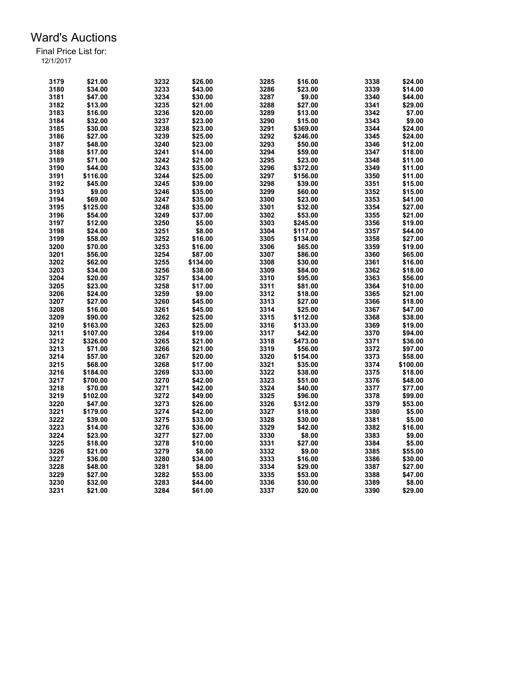| 3179 | \$21.00  | 3232 | \$26.00  | 3285 | \$16.00  | 3338 | \$24.00  |
|------|----------|------|----------|------|----------|------|----------|
| 3180 | \$34.00  | 3233 | \$43.00  | 3286 | \$23.00  | 3339 | \$14.00  |
| 3181 | \$47.00  | 3234 | \$30.00  | 3287 | \$9.00   | 3340 | \$44.00  |
| 3182 | \$13.00  | 3235 | \$21.00  | 3288 | \$27.00  | 3341 | \$29.00  |
| 3183 | \$16.00  | 3236 | \$20.00  | 3289 | \$13.00  | 3342 | \$7.00   |
| 3184 | \$32.00  | 3237 | \$23.00  | 3290 | \$15.00  | 3343 | \$9.00   |
| 3185 | \$30.00  | 3238 | \$23.00  | 3291 | \$369.00 | 3344 | \$24.00  |
| 3186 | \$27.00  | 3239 | \$25.00  | 3292 | \$246.00 | 3345 | \$24.00  |
| 3187 | \$48.00  | 3240 | \$23.00  | 3293 | \$50.00  | 3346 | \$12.00  |
| 3188 | \$17.00  | 3241 | \$14.00  | 3294 | \$59.00  | 3347 | \$18.00  |
| 3189 | \$71.00  | 3242 | \$21.00  | 3295 | \$23.00  | 3348 | \$11.00  |
| 3190 | \$44.00  | 3243 | \$35.00  | 3296 | \$372.00 | 3349 | \$11.00  |
|      |          |      |          | 3297 |          | 3350 |          |
| 3191 | \$116.00 | 3244 | \$25.00  |      | \$156.00 |      | \$11.00  |
| 3192 | \$45.00  | 3245 | \$39.00  | 3298 | \$39.00  | 3351 | \$15.00  |
| 3193 | \$9.00   | 3246 | \$35.00  | 3299 | \$60.00  | 3352 | \$15.00  |
| 3194 | \$69.00  | 3247 | \$35.00  | 3300 | \$23.00  | 3353 | \$41.00  |
| 3195 | \$125.00 | 3248 | \$35.00  | 3301 | \$32.00  | 3354 | \$27.00  |
| 3196 | \$54.00  | 3249 | \$37.00  | 3302 | \$53.00  | 3355 | \$21.00  |
| 3197 | \$12.00  | 3250 | \$5.00   | 3303 | \$245.00 | 3356 | \$19.00  |
| 3198 | \$24.00  | 3251 | \$8.00   | 3304 | \$117.00 | 3357 | \$44.00  |
| 3199 | \$58.00  | 3252 | \$16.00  | 3305 | \$134.00 | 3358 | \$27.00  |
| 3200 | \$70.00  | 3253 | \$16.00  | 3306 | \$65.00  | 3359 | \$19.00  |
| 3201 | \$56.00  | 3254 | \$87.00  | 3307 | \$86.00  | 3360 | \$65.00  |
| 3202 | \$62.00  | 3255 | \$134.00 | 3308 | \$30.00  | 3361 | \$16.00  |
| 3203 | \$34.00  | 3256 | \$38.00  | 3309 | \$84.00  | 3362 | \$18.00  |
| 3204 | \$20.00  | 3257 | \$34.00  | 3310 | \$95.00  | 3363 | \$56.00  |
| 3205 | \$23.00  | 3258 | \$17.00  | 3311 | \$81.00  | 3364 | \$10.00  |
| 3206 | \$24.00  | 3259 | \$9.00   | 3312 | \$18.00  | 3365 | \$21.00  |
| 3207 | \$27.00  | 3260 | \$45.00  | 3313 | \$27.00  | 3366 | \$18.00  |
| 3208 | \$16.00  | 3261 | \$45.00  | 3314 | \$25.00  | 3367 | \$47.00  |
| 3209 | \$90.00  | 3262 | \$25.00  | 3315 | \$112.00 | 3368 | \$38.00  |
| 3210 | \$163.00 | 3263 | \$25.00  | 3316 | \$133.00 | 3369 | \$19.00  |
| 3211 | \$107.00 | 3264 | \$19.00  | 3317 | \$42.00  | 3370 | \$94.00  |
| 3212 | \$326.00 | 3265 | \$21.00  | 3318 | \$473.00 | 3371 | \$36.00  |
| 3213 | \$71.00  | 3266 | \$21.00  | 3319 | \$56.00  | 3372 | \$97.00  |
| 3214 | \$57.00  | 3267 | \$20.00  | 3320 | \$154.00 | 3373 | \$58.00  |
| 3215 | \$68.00  | 3268 | \$17.00  | 3321 | \$35.00  | 3374 | \$100.00 |
|      |          |      |          |      |          |      |          |
| 3216 | \$184.00 | 3269 | \$33.00  | 3322 | \$38.00  | 3375 | \$18.00  |
| 3217 | \$700.00 | 3270 | \$42.00  | 3323 | \$51.00  | 3376 | \$48.00  |
| 3218 | \$70.00  | 3271 | \$42.00  | 3324 | \$40.00  | 3377 | \$77.00  |
| 3219 | \$102.00 | 3272 | \$49.00  | 3325 | \$96.00  | 3378 | \$99.00  |
| 3220 | \$47.00  | 3273 | \$26.00  | 3326 | \$312.00 | 3379 | \$53.00  |
| 3221 | \$179.00 | 3274 | \$42.00  | 3327 | \$18.00  | 3380 | \$5.00   |
| 3222 | \$39.00  | 3275 | \$33.00  | 3328 | \$30.00  | 3381 | \$5.00   |
| 3223 | \$14.00  | 3276 | \$36.00  | 3329 | \$42.00  | 3382 | \$16.00  |
| 3224 | \$23.00  | 3277 | \$27.00  | 3330 | \$8.00   | 3383 | \$9.00   |
| 3225 | \$18.00  | 3278 | \$10.00  | 3331 | \$27.00  | 3384 | \$5.00   |
| 3226 | \$21.00  | 3279 | \$8.00   | 3332 | \$9.00   | 3385 | \$55.00  |
| 3227 | \$36.00  | 3280 | \$34.00  | 3333 | \$16.00  | 3386 | \$30.00  |
| 3228 | \$48.00  | 3281 | \$8.00   | 3334 | \$29.00  | 3387 | \$27.00  |
| 3229 | \$27.00  | 3282 | \$53.00  | 3335 | \$53.00  | 3388 | \$47.00  |
| 3230 | \$32.00  | 3283 | \$44.00  | 3336 | \$30.00  | 3389 | \$8.00   |
| 3231 | \$21.00  | 3284 | \$61.00  | 3337 | \$20.00  | 3390 | \$29.00  |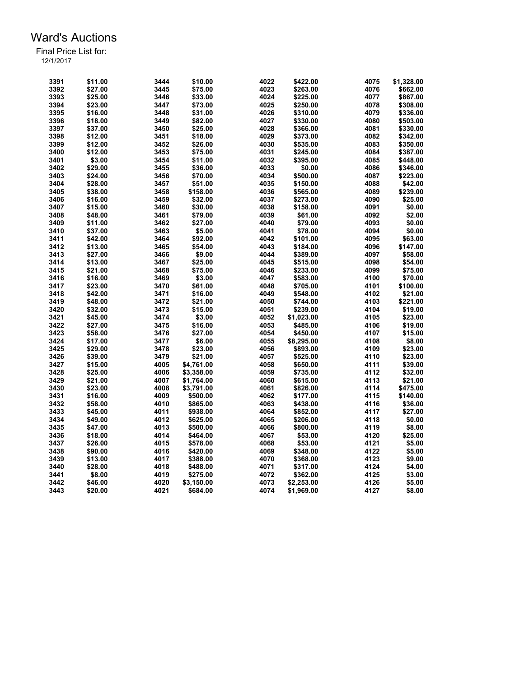| 3391 | \$11.00 | 3444 | \$10.00    | 4022 | \$422.00   | 4075 | \$1,328.00 |
|------|---------|------|------------|------|------------|------|------------|
| 3392 | \$27.00 | 3445 | \$75.00    | 4023 | \$263.00   | 4076 | \$662.00   |
| 3393 | \$25.00 | 3446 | \$33.00    | 4024 | \$225.00   | 4077 | \$867.00   |
| 3394 | \$23.00 | 3447 | \$73.00    | 4025 | \$250.00   | 4078 | \$308.00   |
| 3395 | \$16.00 | 3448 | \$31.00    | 4026 | \$310.00   | 4079 | \$336.00   |
| 3396 | \$18.00 | 3449 | \$82.00    | 4027 | \$330.00   | 4080 | \$503.00   |
| 3397 | \$37.00 | 3450 | \$25.00    | 4028 | \$366.00   | 4081 | \$330.00   |
|      |         |      |            |      |            |      |            |
| 3398 | \$12.00 | 3451 | \$18.00    | 4029 | \$373.00   | 4082 | \$342.00   |
| 3399 | \$12.00 | 3452 | \$26.00    | 4030 | \$535.00   | 4083 | \$350.00   |
| 3400 | \$12.00 | 3453 | \$75.00    | 4031 | \$245.00   | 4084 | \$387.00   |
| 3401 | \$3.00  | 3454 | \$11.00    | 4032 | \$395.00   | 4085 | \$448.00   |
| 3402 | \$29.00 | 3455 | \$36.00    | 4033 | \$0.00     | 4086 | \$346.00   |
| 3403 | \$24.00 | 3456 | \$70.00    | 4034 | \$500.00   | 4087 | \$223.00   |
| 3404 | \$28.00 | 3457 | \$51.00    | 4035 | \$150.00   | 4088 | \$42.00    |
| 3405 | \$38.00 | 3458 | \$158.00   | 4036 | \$565.00   | 4089 | \$239.00   |
| 3406 | \$16.00 | 3459 | \$32.00    | 4037 | \$273.00   | 4090 | \$25.00    |
| 3407 | \$15.00 | 3460 | \$30.00    | 4038 | \$158.00   | 4091 | \$0.00     |
| 3408 | \$48.00 | 3461 | \$79.00    | 4039 | \$61.00    | 4092 | \$2.00     |
| 3409 | \$11.00 | 3462 | \$27.00    | 4040 | \$79.00    | 4093 | \$0.00     |
| 3410 | \$37.00 | 3463 | \$5.00     | 4041 | \$78.00    | 4094 | \$0.00     |
| 3411 | \$42.00 | 3464 | \$92.00    | 4042 | \$101.00   | 4095 | \$63.00    |
| 3412 | \$13.00 | 3465 | \$54.00    | 4043 | \$184.00   | 4096 | \$147.00   |
| 3413 | \$27.00 | 3466 | \$9.00     | 4044 | \$389.00   | 4097 | \$58.00    |
| 3414 | \$13.00 | 3467 | \$25.00    | 4045 | \$515.00   | 4098 | \$54.00    |
| 3415 | \$21.00 | 3468 | \$75.00    | 4046 | \$233.00   | 4099 | \$75.00    |
| 3416 | \$16.00 | 3469 | \$3.00     | 4047 | \$583.00   | 4100 | \$70.00    |
| 3417 | \$23.00 | 3470 | \$61.00    | 4048 | \$705.00   | 4101 | \$100.00   |
| 3418 | \$42.00 | 3471 | \$16.00    | 4049 |            | 4102 | \$21.00    |
|      |         |      |            |      | \$548.00   |      |            |
| 3419 | \$48.00 | 3472 | \$21.00    | 4050 | \$744.00   | 4103 | \$221.00   |
| 3420 | \$32.00 | 3473 | \$15.00    | 4051 | \$239.00   | 4104 | \$19.00    |
| 3421 | \$45.00 | 3474 | \$3.00     | 4052 | \$1,023.00 | 4105 | \$23.00    |
| 3422 | \$27.00 | 3475 | \$16.00    | 4053 | \$485.00   | 4106 | \$19.00    |
| 3423 | \$58.00 | 3476 | \$27.00    | 4054 | \$450.00   | 4107 | \$15.00    |
| 3424 | \$17.00 | 3477 | \$6.00     | 4055 | \$8,295.00 | 4108 | \$8.00     |
| 3425 | \$29.00 | 3478 | \$23.00    | 4056 | \$893.00   | 4109 | \$23.00    |
| 3426 | \$39.00 | 3479 | \$21.00    | 4057 | \$525.00   | 4110 | \$23.00    |
| 3427 | \$15.00 | 4005 | \$4,761.00 | 4058 | \$650.00   | 4111 | \$39.00    |
| 3428 | \$25.00 | 4006 | \$3,358.00 | 4059 | \$735.00   | 4112 | \$32.00    |
| 3429 | \$21.00 | 4007 | \$1,764.00 | 4060 | \$615.00   | 4113 | \$21.00    |
| 3430 | \$23.00 | 4008 | \$3,791.00 | 4061 | \$826.00   | 4114 | \$475.00   |
| 3431 | \$16.00 | 4009 | \$500.00   | 4062 | \$177.00   | 4115 | \$140.00   |
| 3432 | \$58.00 | 4010 | \$865.00   | 4063 | \$438.00   | 4116 | \$36.00    |
| 3433 | \$45.00 | 4011 | \$938.00   | 4064 | \$852.00   | 4117 | \$27.00    |
| 3434 | \$49.00 | 4012 | \$625.00   | 4065 | \$206.00   | 4118 | \$0.00     |
| 3435 | \$47.00 | 4013 | \$500.00   | 4066 | \$800.00   | 4119 | \$8.00     |
| 3436 | \$18.00 | 4014 | \$464.00   | 4067 | \$53.00    | 4120 | \$25.00    |
| 3437 | \$26.00 | 4015 | \$578.00   | 4068 | \$53.00    | 4121 | \$5.00     |
| 3438 | \$90.00 | 4016 | \$420.00   | 4069 | \$348.00   | 4122 | \$5.00     |
| 3439 | \$13.00 | 4017 | \$388.00   | 4070 | \$368.00   | 4123 | \$9.00     |
| 3440 | \$28.00 | 4018 | \$488.00   | 4071 | \$317.00   | 4124 | \$4.00     |
| 3441 | \$8.00  | 4019 | \$275.00   | 4072 |            | 4125 | \$3.00     |
|      |         |      |            |      | \$362.00   |      |            |
| 3442 | \$46.00 | 4020 | \$3,150.00 | 4073 | \$2,253.00 | 4126 | \$5.00     |
| 3443 | \$20.00 | 4021 | \$684.00   | 4074 | \$1,969.00 | 4127 | \$8.00     |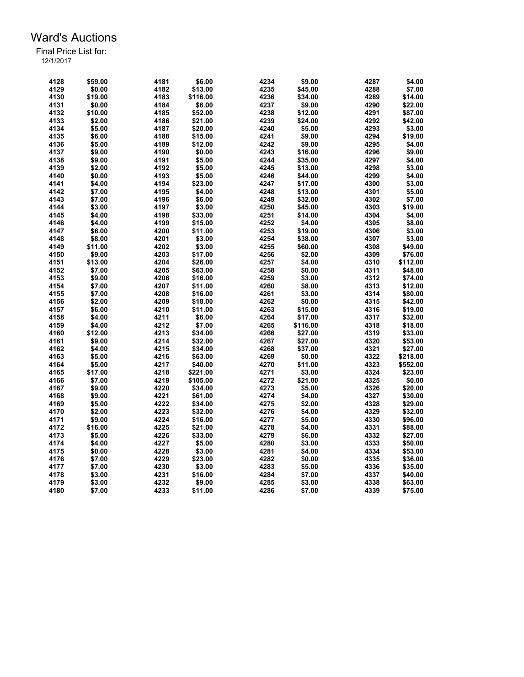| 4128 | \$59.00 | 4181 | \$6.00   | 4234 | \$9.00   | 4287 | \$4.00   |
|------|---------|------|----------|------|----------|------|----------|
| 4129 | \$0.00  | 4182 | \$13.00  | 4235 | \$45.00  | 4288 | \$7.00   |
| 4130 | \$19.00 | 4183 | \$116.00 | 4236 | \$34.00  | 4289 | \$14.00  |
| 4131 | \$0.00  | 4184 | \$6.00   | 4237 | \$9.00   | 4290 | \$22.00  |
| 4132 | \$10.00 | 4185 | \$52.00  | 4238 | \$12.00  | 4291 | \$87.00  |
| 4133 | \$2.00  | 4186 | \$21.00  | 4239 | \$24.00  | 4292 | \$42.00  |
| 4134 | \$5.00  | 4187 | \$20.00  | 4240 | \$5.00   | 4293 | \$3.00   |
| 4135 | \$6.00  | 4188 | \$15.00  | 4241 | \$9.00   | 4294 | \$19.00  |
| 4136 | \$5.00  | 4189 | \$12.00  | 4242 | \$9.00   | 4295 | \$4.00   |
| 4137 | \$9.00  | 4190 | \$0.00   | 4243 | \$16.00  | 4296 | \$9.00   |
| 4138 | \$9.00  | 4191 | \$5.00   | 4244 | \$35.00  | 4297 | \$4.00   |
| 4139 | \$2.00  | 4192 | \$5.00   | 4245 | \$13.00  | 4298 | \$3.00   |
| 4140 | \$0.00  | 4193 | \$5.00   | 4246 | \$44.00  | 4299 | \$4.00   |
| 4141 | \$4.00  | 4194 | \$23.00  | 4247 | \$17.00  | 4300 | \$3.00   |
| 4142 | \$7.00  | 4195 | \$4.00   | 4248 | \$13.00  | 4301 | \$5.00   |
| 4143 | \$7.00  | 4196 | \$6.00   | 4249 | \$32.00  | 4302 | \$7.00   |
| 4144 | \$3.00  | 4197 | \$3.00   | 4250 | \$45.00  | 4303 | \$19.00  |
| 4145 | \$4.00  | 4198 | \$33.00  | 4251 | \$14.00  | 4304 | \$4.00   |
| 4146 | \$4.00  | 4199 | \$15.00  | 4252 | \$4.00   | 4305 | \$8.00   |
| 4147 | \$6.00  | 4200 | \$11.00  | 4253 | \$19.00  | 4306 | \$3.00   |
| 4148 | \$8.00  | 4201 | \$3.00   | 4254 | \$38.00  | 4307 | \$3.00   |
| 4149 |         | 4202 | \$3.00   | 4255 |          | 4308 |          |
|      | \$11.00 |      |          |      | \$60.00  |      | \$49.00  |
| 4150 | \$9.00  | 4203 | \$17.00  | 4256 | \$2.00   | 4309 | \$76.00  |
| 4151 | \$13.00 | 4204 | \$26.00  | 4257 | \$4.00   | 4310 | \$112.00 |
| 4152 | \$7.00  | 4205 | \$63.00  | 4258 | \$0.00   | 4311 | \$48.00  |
| 4153 | \$9.00  | 4206 | \$16.00  | 4259 | \$3.00   | 4312 | \$74.00  |
| 4154 | \$7.00  | 4207 | \$11.00  | 4260 | \$8.00   | 4313 | \$12.00  |
| 4155 | \$7.00  | 4208 | \$16.00  | 4261 | \$3.00   | 4314 | \$80.00  |
| 4156 | \$2.00  | 4209 | \$18.00  | 4262 | \$0.00   | 4315 | \$42.00  |
| 4157 | \$6.00  | 4210 | \$11.00  | 4263 | \$15.00  | 4316 | \$19.00  |
| 4158 | \$4.00  | 4211 | \$6.00   | 4264 | \$17.00  | 4317 | \$32.00  |
| 4159 | \$4.00  | 4212 | \$7.00   | 4265 | \$116.00 | 4318 | \$18.00  |
| 4160 | \$12.00 | 4213 | \$34.00  | 4266 | \$27.00  | 4319 | \$33.00  |
| 4161 | \$9.00  | 4214 | \$32.00  | 4267 | \$27.00  | 4320 | \$53.00  |
| 4162 | \$4.00  | 4215 | \$34.00  | 4268 | \$37.00  | 4321 | \$27.00  |
| 4163 | \$5.00  | 4216 | \$63.00  | 4269 | \$0.00   | 4322 | \$218.00 |
| 4164 | \$5.00  | 4217 | \$40.00  | 4270 | \$11.00  | 4323 | \$552.00 |
| 4165 | \$17.00 | 4218 | \$221.00 | 4271 | \$3.00   | 4324 | \$23.00  |
| 4166 | \$7.00  | 4219 | \$105.00 | 4272 | \$21.00  | 4325 | \$0.00   |
| 4167 | \$9.00  | 4220 | \$34.00  | 4273 | \$5.00   | 4326 | \$20.00  |
| 4168 | \$9.00  | 4221 | \$61.00  | 4274 | \$4.00   | 4327 | \$30.00  |
| 4169 | \$5.00  | 4222 | \$34.00  | 4275 | \$2.00   | 4328 | \$29.00  |
| 4170 | \$2.00  | 4223 | \$32.00  | 4276 | \$4.00   | 4329 | \$32.00  |
| 4171 | \$9.00  | 4224 | \$16.00  | 4277 | \$5.00   | 4330 | \$96.00  |
| 4172 | \$16.00 | 4225 | \$21.00  | 4278 | \$4.00   | 4331 | \$88.00  |
| 4173 | \$5.00  | 4226 | \$33.00  | 4279 | \$6.00   | 4332 | \$27.00  |
| 4174 | \$4.00  | 4227 | \$5.00   | 4280 | \$3.00   | 4333 | \$50.00  |
| 4175 | \$0.00  | 4228 | \$3.00   | 4281 | \$4.00   | 4334 | \$53.00  |
| 4176 | \$7.00  | 4229 | \$23.00  | 4282 | \$0.00   | 4335 | \$36.00  |
| 4177 | \$7.00  | 4230 | \$3.00   | 4283 | \$5.00   | 4336 | \$35.00  |
| 4178 | \$3.00  | 4231 | \$16.00  | 4284 | \$7.00   | 4337 | \$40.00  |
| 4179 | \$3.00  | 4232 | \$9.00   | 4285 | \$3.00   | 4338 | \$63.00  |
| 4180 | \$7.00  | 4233 | \$11.00  | 4286 | \$7.00   | 4339 | \$75.00  |
|      |         |      |          |      |          |      |          |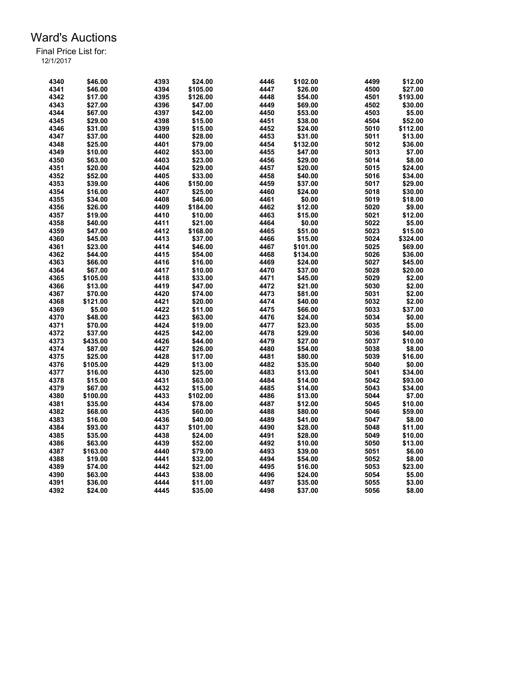| 4340 | \$46.00  | 4393 | \$24.00  | 4446 | \$102.00 | 4499 | \$12.00  |
|------|----------|------|----------|------|----------|------|----------|
| 4341 | \$46.00  | 4394 | \$105.00 | 4447 | \$26.00  | 4500 | \$27.00  |
| 4342 | \$17.00  | 4395 | \$126.00 | 4448 | \$54.00  | 4501 | \$193.00 |
| 4343 | \$27.00  | 4396 | \$47.00  | 4449 | \$69.00  | 4502 | \$30.00  |
| 4344 | \$67.00  | 4397 | \$42.00  | 4450 | \$53.00  | 4503 | \$5.00   |
| 4345 | \$29.00  | 4398 | \$15.00  | 4451 | \$38.00  | 4504 | \$52.00  |
| 4346 | \$31.00  | 4399 | \$15.00  | 4452 | \$24.00  | 5010 | \$112.00 |
| 4347 | \$37.00  | 4400 | \$28.00  | 4453 | \$31.00  | 5011 | \$13.00  |
| 4348 | \$25.00  | 4401 | \$79.00  | 4454 | \$132.00 | 5012 | \$36.00  |
| 4349 | \$10.00  | 4402 | \$53.00  | 4455 | \$47.00  | 5013 | \$7.00   |
| 4350 | \$63.00  | 4403 | \$23.00  | 4456 | \$29.00  | 5014 | \$8.00   |
| 4351 | \$20.00  | 4404 | \$29.00  | 4457 | \$20.00  | 5015 | \$24.00  |
| 4352 | \$52.00  | 4405 |          | 4458 |          | 5016 | \$34.00  |
|      |          |      | \$33.00  |      | \$40.00  |      |          |
| 4353 | \$39.00  | 4406 | \$150.00 | 4459 | \$37.00  | 5017 | \$29.00  |
| 4354 | \$16.00  | 4407 | \$25.00  | 4460 | \$24.00  | 5018 | \$30.00  |
| 4355 | \$34.00  | 4408 | \$46.00  | 4461 | \$0.00   | 5019 | \$18.00  |
| 4356 | \$26.00  | 4409 | \$184.00 | 4462 | \$12.00  | 5020 | \$9.00   |
| 4357 | \$19.00  | 4410 | \$10.00  | 4463 | \$15.00  | 5021 | \$12.00  |
| 4358 | \$40.00  | 4411 | \$21.00  | 4464 | \$0.00   | 5022 | \$5.00   |
| 4359 | \$47.00  | 4412 | \$168.00 | 4465 | \$51.00  | 5023 | \$15.00  |
| 4360 | \$45.00  | 4413 | \$37.00  | 4466 | \$15.00  | 5024 | \$324.00 |
| 4361 | \$23.00  | 4414 | \$46.00  | 4467 | \$101.00 | 5025 | \$69.00  |
| 4362 | \$44.00  | 4415 | \$54.00  | 4468 | \$134.00 | 5026 | \$36.00  |
| 4363 | \$66.00  | 4416 | \$16.00  | 4469 | \$24.00  | 5027 | \$45.00  |
| 4364 | \$67.00  | 4417 | \$10.00  | 4470 | \$37.00  | 5028 | \$20.00  |
| 4365 | \$105.00 | 4418 | \$33.00  | 4471 | \$45.00  | 5029 | \$2.00   |
| 4366 | \$13.00  | 4419 | \$47.00  | 4472 | \$21.00  | 5030 | \$2.00   |
| 4367 | \$70.00  | 4420 | \$74.00  | 4473 | \$81.00  | 5031 | \$2.00   |
| 4368 | \$121.00 | 4421 | \$20.00  | 4474 | \$40.00  | 5032 | \$2.00   |
| 4369 | \$5.00   | 4422 | \$11.00  | 4475 | \$66.00  | 5033 | \$37.00  |
| 4370 | \$48.00  | 4423 | \$63.00  | 4476 | \$24.00  | 5034 | \$0.00   |
| 4371 | \$70.00  | 4424 | \$19.00  | 4477 | \$23.00  | 5035 | \$5.00   |
| 4372 | \$37.00  | 4425 | \$42.00  | 4478 | \$29.00  | 5036 | \$40.00  |
| 4373 | \$435.00 | 4426 | \$44.00  | 4479 | \$27.00  | 5037 | \$10.00  |
| 4374 | \$87.00  | 4427 | \$26.00  | 4480 | \$54.00  | 5038 | \$8.00   |
| 4375 | \$25.00  | 4428 | \$17.00  | 4481 | \$80.00  | 5039 | \$16.00  |
| 4376 | \$105.00 | 4429 | \$13.00  | 4482 | \$35.00  | 5040 | \$0.00   |
| 4377 | \$16.00  | 4430 | \$25.00  | 4483 | \$13.00  | 5041 | \$34.00  |
| 4378 | \$15.00  | 4431 |          | 4484 | \$14.00  | 5042 | \$93.00  |
|      |          |      | \$63.00  |      |          |      |          |
| 4379 | \$67.00  | 4432 | \$15.00  | 4485 | \$14.00  | 5043 | \$34.00  |
| 4380 | \$100.00 | 4433 | \$102.00 | 4486 | \$13.00  | 5044 | \$7.00   |
| 4381 | \$35.00  | 4434 | \$78.00  | 4487 | \$12.00  | 5045 | \$10.00  |
| 4382 | \$68.00  | 4435 | \$60.00  | 4488 | \$80.00  | 5046 | \$59.00  |
| 4383 | \$16.00  | 4436 | \$40.00  | 4489 | \$41.00  | 5047 | \$8.00   |
| 4384 | \$93.00  | 4437 | \$101.00 | 4490 | \$28.00  | 5048 | \$11.00  |
| 4385 | \$35.00  | 4438 | \$24.00  | 4491 | \$28.00  | 5049 | \$10.00  |
| 4386 | \$63.00  | 4439 | \$52.00  | 4492 | \$10.00  | 5050 | \$13.00  |
| 4387 | \$163.00 | 4440 | \$79.00  | 4493 | \$39.00  | 5051 | \$6.00   |
| 4388 | \$19.00  | 4441 | \$32.00  | 4494 | \$54.00  | 5052 | \$8.00   |
| 4389 | \$74.00  | 4442 | \$21.00  | 4495 | \$16.00  | 5053 | \$23.00  |
| 4390 | \$63.00  | 4443 | \$38.00  | 4496 | \$24.00  | 5054 | \$5.00   |
| 4391 | \$36.00  | 4444 | \$11.00  | 4497 | \$35.00  | 5055 | \$3.00   |
| 4392 | \$24.00  | 4445 | \$35.00  | 4498 | \$37.00  | 5056 | \$8.00   |
|      |          |      |          |      |          |      |          |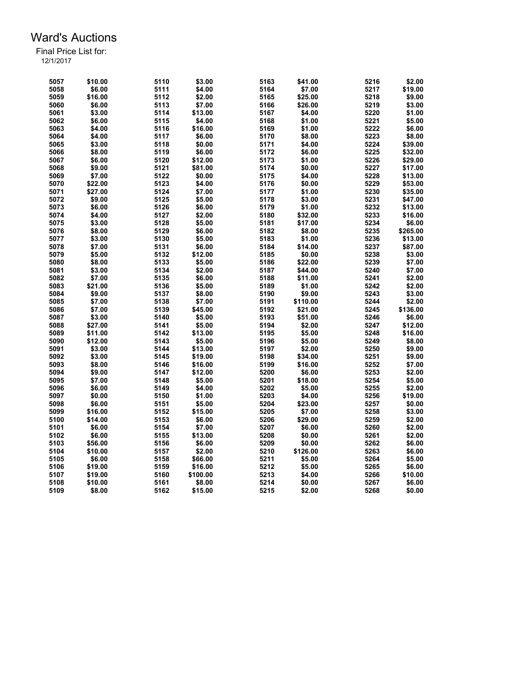| 5057 | \$10.00 | 5110 | \$3.00   | 5163 | \$41.00  | 5216 | \$2.00   |
|------|---------|------|----------|------|----------|------|----------|
| 5058 | \$6.00  | 5111 | \$4.00   | 5164 | \$7.00   | 5217 | \$19.00  |
| 5059 | \$16.00 | 5112 | \$2.00   | 5165 | \$25.00  | 5218 | \$9.00   |
| 5060 | \$6.00  | 5113 | \$7.00   | 5166 | \$26.00  | 5219 | \$3.00   |
| 5061 | \$3.00  | 5114 | \$13.00  | 5167 | \$4.00   | 5220 | \$1.00   |
| 5062 | \$6.00  | 5115 | \$4.00   | 5168 | \$1.00   | 5221 | \$5.00   |
| 5063 | \$4.00  | 5116 | \$16.00  | 5169 | \$1.00   | 5222 | \$6.00   |
| 5064 | \$4.00  | 5117 | \$6.00   | 5170 | \$8.00   | 5223 | \$8.00   |
| 5065 | \$3.00  | 5118 | \$0.00   | 5171 | \$4.00   | 5224 | \$39.00  |
| 5066 | \$8.00  | 5119 | \$6.00   | 5172 | \$6.00   | 5225 | \$32.00  |
| 5067 | \$6.00  | 5120 | \$12.00  | 5173 | \$1.00   | 5226 | \$29.00  |
| 5068 | \$9.00  | 5121 | \$81.00  | 5174 | \$0.00   | 5227 | \$17.00  |
| 5069 | \$7.00  | 5122 | \$0.00   | 5175 | \$4.00   | 5228 | \$13.00  |
| 5070 | \$22.00 | 5123 | \$4.00   | 5176 | \$0.00   | 5229 | \$53.00  |
| 5071 | \$27.00 | 5124 | \$7.00   | 5177 | \$1.00   | 5230 | \$35.00  |
| 5072 | \$9.00  | 5125 | \$5.00   | 5178 | \$3.00   | 5231 | \$47.00  |
| 5073 | \$6.00  | 5126 | \$6.00   | 5179 | \$1.00   | 5232 | \$13.00  |
| 5074 | \$4.00  | 5127 | \$2.00   | 5180 | \$32.00  | 5233 | \$16.00  |
| 5075 | \$3.00  | 5128 | \$5.00   | 5181 | \$17.00  | 5234 | \$6.00   |
| 5076 | \$8.00  | 5129 | \$6.00   | 5182 | \$8.00   | 5235 | \$265.00 |
| 5077 | \$3.00  | 5130 | \$5.00   | 5183 | \$1.00   | 5236 | \$13.00  |
|      |         | 5131 |          | 5184 |          | 5237 |          |
| 5078 | \$7.00  |      | \$6.00   |      | \$14.00  |      | \$87.00  |
| 5079 | \$5.00  | 5132 | \$12.00  | 5185 | \$0.00   | 5238 | \$3.00   |
| 5080 | \$8.00  | 5133 | \$5.00   | 5186 | \$22.00  | 5239 | \$7.00   |
| 5081 | \$3.00  | 5134 | \$2.00   | 5187 | \$44.00  | 5240 | \$7.00   |
| 5082 | \$7.00  | 5135 | \$6.00   | 5188 | \$11.00  | 5241 | \$2.00   |
| 5083 | \$21.00 | 5136 | \$5.00   | 5189 | \$1.00   | 5242 | \$2.00   |
| 5084 | \$9.00  | 5137 | \$8.00   | 5190 | \$9.00   | 5243 | \$3.00   |
| 5085 | \$7.00  | 5138 | \$7.00   | 5191 | \$110.00 | 5244 | \$2.00   |
| 5086 | \$7.00  | 5139 | \$45.00  | 5192 | \$21.00  | 5245 | \$136.00 |
| 5087 | \$3.00  | 5140 | \$5.00   | 5193 | \$51.00  | 5246 | \$6.00   |
| 5088 | \$27.00 | 5141 | \$5.00   | 5194 | \$2.00   | 5247 | \$12.00  |
| 5089 | \$11.00 | 5142 | \$13.00  | 5195 | \$5.00   | 5248 | \$16.00  |
| 5090 | \$12.00 | 5143 | \$5.00   | 5196 | \$5.00   | 5249 | \$8.00   |
| 5091 | \$3.00  | 5144 | \$13.00  | 5197 | \$2.00   | 5250 | \$9.00   |
| 5092 | \$3.00  | 5145 | \$19.00  | 5198 | \$34.00  | 5251 | \$9.00   |
| 5093 | \$8.00  | 5146 | \$16.00  | 5199 | \$16.00  | 5252 | \$7.00   |
| 5094 | \$9.00  | 5147 | \$12.00  | 5200 | \$6.00   | 5253 | \$2.00   |
| 5095 | \$7.00  | 5148 | \$5.00   | 5201 | \$18.00  | 5254 | \$5.00   |
| 5096 | \$6.00  | 5149 | \$4.00   | 5202 | \$5.00   | 5255 | \$2.00   |
| 5097 | \$0.00  | 5150 | \$1.00   | 5203 | \$4.00   | 5256 | \$19.00  |
| 5098 | \$6.00  | 5151 | \$5.00   | 5204 | \$23.00  | 5257 | \$0.00   |
| 5099 | \$16.00 | 5152 | \$15.00  | 5205 | \$7.00   | 5258 | \$3.00   |
| 5100 | \$14.00 | 5153 | \$6.00   | 5206 | \$29.00  | 5259 | \$2.00   |
| 5101 | \$6.00  | 5154 | \$7.00   | 5207 | \$6.00   | 5260 | \$2.00   |
| 5102 | \$6.00  | 5155 | \$13.00  | 5208 | \$0.00   | 5261 | \$2.00   |
| 5103 | \$56.00 | 5156 | \$6.00   | 5209 | \$0.00   | 5262 | \$6.00   |
| 5104 | \$10.00 | 5157 | \$2.00   | 5210 | \$126.00 | 5263 | \$6.00   |
| 5105 | \$6.00  | 5158 | \$66.00  | 5211 | \$5.00   | 5264 | \$5.00   |
| 5106 | \$19.00 | 5159 | \$16.00  | 5212 | \$5.00   | 5265 | \$6.00   |
| 5107 | \$19.00 | 5160 | \$100.00 | 5213 | \$4.00   | 5266 | \$10.00  |
| 5108 | \$10.00 | 5161 | \$8.00   | 5214 | \$0.00   | 5267 | \$6.00   |
| 5109 | \$8.00  | 5162 | \$15.00  | 5215 | \$2.00   | 5268 | \$0.00   |
|      |         |      |          |      |          |      |          |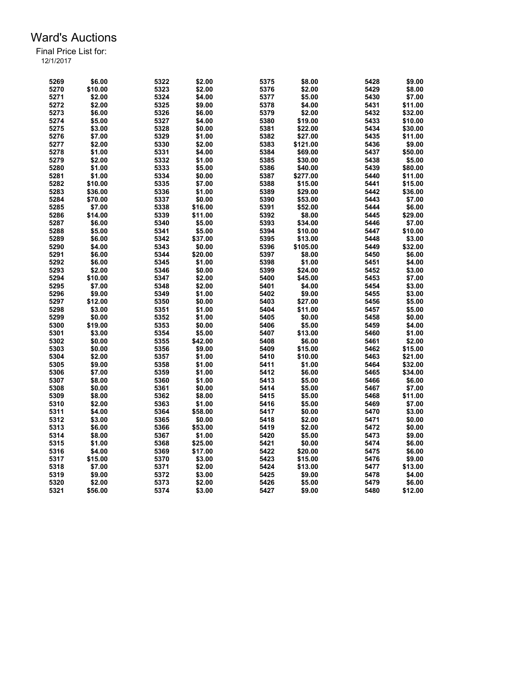| 5269 | \$6.00  | 5322 | \$2.00  | 5375 | \$8.00   | 5428 | \$9.00  |
|------|---------|------|---------|------|----------|------|---------|
| 5270 | \$10.00 | 5323 | \$2.00  | 5376 | \$2.00   | 5429 | \$8.00  |
| 5271 | \$2.00  | 5324 | \$4.00  | 5377 | \$5.00   | 5430 | \$7.00  |
| 5272 | \$2.00  | 5325 | \$9.00  | 5378 | \$4.00   | 5431 | \$11.00 |
| 5273 | \$6.00  | 5326 | \$6.00  | 5379 | \$2.00   | 5432 | \$32.00 |
| 5274 | \$5.00  | 5327 | \$4.00  | 5380 | \$19.00  | 5433 | \$10.00 |
| 5275 | \$3.00  | 5328 | \$0.00  | 5381 | \$22.00  | 5434 | \$30.00 |
| 5276 | \$7.00  | 5329 | \$1.00  | 5382 | \$27.00  | 5435 | \$11.00 |
| 5277 | \$2.00  | 5330 | \$2.00  | 5383 | \$121.00 | 5436 | \$9.00  |
| 5278 | \$1.00  | 5331 | \$4.00  | 5384 | \$69.00  | 5437 | \$50.00 |
| 5279 | \$2.00  | 5332 | \$1.00  | 5385 | \$30.00  | 5438 | \$5.00  |
| 5280 | \$1.00  | 5333 | \$5.00  | 5386 | \$40.00  | 5439 | \$80.00 |
| 5281 | \$1.00  | 5334 | \$0.00  | 5387 | \$277.00 | 5440 | \$11.00 |
| 5282 | \$10.00 | 5335 | \$7.00  | 5388 | \$15.00  | 5441 | \$15.00 |
| 5283 | \$36.00 | 5336 | \$1.00  | 5389 | \$29.00  | 5442 | \$36.00 |
| 5284 | \$70.00 | 5337 | \$0.00  | 5390 | \$53.00  | 5443 | \$7.00  |
| 5285 | \$7.00  | 5338 | \$16.00 | 5391 | \$52.00  | 5444 | \$6.00  |
| 5286 | \$14.00 | 5339 |         | 5392 | \$8.00   | 5445 | \$29.00 |
|      |         |      | \$11.00 |      |          |      |         |
| 5287 | \$6.00  | 5340 | \$5.00  | 5393 | \$34.00  | 5446 | \$7.00  |
| 5288 | \$5.00  | 5341 | \$5.00  | 5394 | \$10.00  | 5447 | \$10.00 |
| 5289 | \$6.00  | 5342 | \$37.00 | 5395 | \$13.00  | 5448 | \$3.00  |
| 5290 | \$4.00  | 5343 | \$0.00  | 5396 | \$105.00 | 5449 | \$32.00 |
| 5291 | \$6.00  | 5344 | \$20.00 | 5397 | \$8.00   | 5450 | \$6.00  |
| 5292 | \$6.00  | 5345 | \$1.00  | 5398 | \$1.00   | 5451 | \$4.00  |
| 5293 | \$2.00  | 5346 | \$0.00  | 5399 | \$24.00  | 5452 | \$3.00  |
| 5294 | \$10.00 | 5347 | \$2.00  | 5400 | \$45.00  | 5453 | \$7.00  |
| 5295 | \$7.00  | 5348 | \$2.00  | 5401 | \$4.00   | 5454 | \$3.00  |
| 5296 | \$9.00  | 5349 | \$1.00  | 5402 | \$9.00   | 5455 | \$3.00  |
| 5297 | \$12.00 | 5350 | \$0.00  | 5403 | \$27.00  | 5456 | \$5.00  |
| 5298 | \$3.00  | 5351 | \$1.00  | 5404 | \$11.00  | 5457 | \$5.00  |
| 5299 | \$0.00  | 5352 | \$1.00  | 5405 | \$0.00   | 5458 | \$0.00  |
| 5300 | \$19.00 | 5353 | \$0.00  | 5406 | \$5.00   | 5459 | \$4.00  |
| 5301 | \$3.00  | 5354 | \$5.00  | 5407 | \$13.00  | 5460 | \$1.00  |
| 5302 | \$0.00  | 5355 | \$42.00 | 5408 | \$6.00   | 5461 | \$2.00  |
| 5303 | \$0.00  | 5356 | \$9.00  | 5409 | \$15.00  | 5462 | \$15.00 |
| 5304 | \$2.00  | 5357 | \$1.00  | 5410 | \$10.00  | 5463 | \$21.00 |
| 5305 | \$9.00  | 5358 | \$1.00  | 5411 | \$1.00   | 5464 | \$32.00 |
| 5306 | \$7.00  | 5359 | \$1.00  | 5412 | \$6.00   | 5465 | \$34.00 |
| 5307 | \$8.00  | 5360 | \$1.00  | 5413 | \$5.00   | 5466 | \$6.00  |
| 5308 | \$0.00  | 5361 | \$0.00  | 5414 | \$5.00   | 5467 | \$7.00  |
| 5309 | \$8.00  | 5362 | \$8.00  | 5415 | \$5.00   | 5468 | \$11.00 |
| 5310 | \$2.00  | 5363 | \$1.00  | 5416 | \$5.00   | 5469 | \$7.00  |
| 5311 | \$4.00  | 5364 | \$58.00 | 5417 | \$0.00   | 5470 | \$3.00  |
| 5312 | \$3.00  | 5365 | \$0.00  | 5418 | \$2.00   | 5471 | \$0.00  |
| 5313 | \$6.00  | 5366 | \$53.00 | 5419 | \$2.00   | 5472 | \$0.00  |
| 5314 | \$8.00  | 5367 | \$1.00  | 5420 | \$5.00   | 5473 | \$9.00  |
| 5315 | \$1.00  | 5368 | \$25.00 | 5421 | \$0.00   | 5474 | \$6.00  |
| 5316 | \$4.00  | 5369 | \$17.00 | 5422 | \$20.00  | 5475 | \$6.00  |
| 5317 | \$15.00 | 5370 | \$3.00  | 5423 | \$15.00  | 5476 | \$9.00  |
| 5318 | \$7.00  | 5371 | \$2.00  | 5424 | \$13.00  | 5477 | \$13.00 |
| 5319 | \$9.00  | 5372 | \$3.00  | 5425 | \$9.00   | 5478 | \$4.00  |
| 5320 | \$2.00  | 5373 | \$2.00  | 5426 | \$5.00   | 5479 | \$6.00  |
| 5321 | \$56.00 | 5374 | \$3.00  | 5427 | \$9.00   | 5480 | \$12.00 |
|      |         |      |         |      |          |      |         |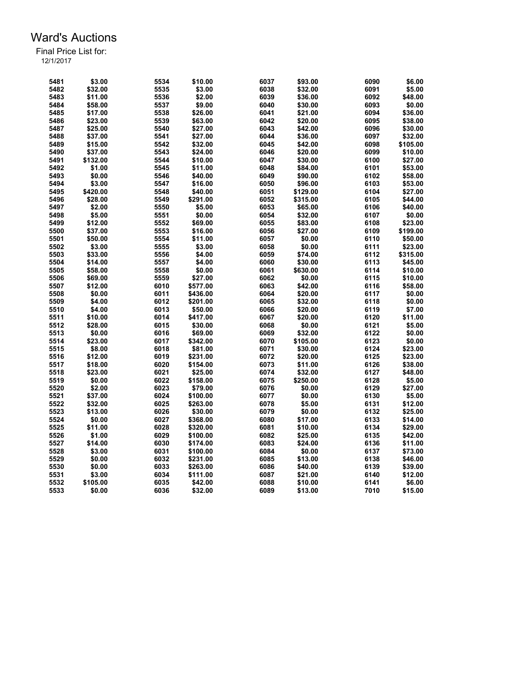| 5481         | \$3.00   | 5534 | \$10.00  | 6037 | \$93.00            | 6090 | \$6.00   |
|--------------|----------|------|----------|------|--------------------|------|----------|
| 5482         | \$32.00  | 5535 | \$3.00   | 6038 | \$32.00            | 6091 | \$5.00   |
| 5483         | \$11.00  | 5536 | \$2.00   | 6039 | \$36.00            | 6092 | \$48.00  |
| 5484         | \$58.00  | 5537 | \$9.00   | 6040 | \$30.00            | 6093 | \$0.00   |
| 5485         | \$17.00  | 5538 | \$26.00  | 6041 | \$21.00            | 6094 | \$36.00  |
| 5486         | \$23.00  | 5539 | \$63.00  | 6042 | \$20.00            | 6095 | \$38.00  |
| 5487         | \$25.00  | 5540 | \$27.00  | 6043 | \$42.00            | 6096 | \$30.00  |
| 5488         | \$37.00  | 5541 | \$27.00  | 6044 | \$36.00            | 6097 | \$32.00  |
| 5489         | \$15.00  | 5542 | \$32.00  | 6045 | \$42.00            | 6098 | \$105.00 |
| 5490         | \$37.00  | 5543 | \$24.00  | 6046 | \$20.00            | 6099 | \$10.00  |
| 5491         | \$132.00 | 5544 | \$10.00  | 6047 | \$30.00            | 6100 | \$27.00  |
| 5492         | \$1.00   | 5545 | \$11.00  | 6048 | \$84.00            | 6101 | \$53.00  |
| 5493         | \$0.00   | 5546 | \$40.00  | 6049 | \$90.00            | 6102 | \$58.00  |
| 5494         | \$3.00   | 5547 | \$16.00  | 6050 | \$96.00            | 6103 | \$53.00  |
| 5495         | \$420.00 | 5548 | \$40.00  | 6051 | \$129.00           | 6104 | \$27.00  |
| 5496         | \$28.00  | 5549 | \$291.00 | 6052 | \$315.00           | 6105 | \$44.00  |
| 5497         | \$2.00   | 5550 | \$5.00   | 6053 | \$65.00            | 6106 | \$40.00  |
|              |          |      |          |      |                    |      |          |
| 5498         | \$5.00   | 5551 | \$0.00   | 6054 | \$32.00            | 6107 | \$0.00   |
| 5499         | \$12.00  | 5552 | \$69.00  | 6055 | \$83.00            | 6108 | \$23.00  |
| 5500         | \$37.00  | 5553 | \$16.00  | 6056 | \$27.00            | 6109 | \$199.00 |
| 5501         | \$50.00  | 5554 | \$11.00  | 6057 | \$0.00             | 6110 | \$50.00  |
| 5502         | \$3.00   | 5555 | \$3.00   | 6058 | \$0.00             | 6111 | \$23.00  |
| 5503         | \$33.00  | 5556 | \$4.00   | 6059 | \$74.00            | 6112 | \$315.00 |
| 5504         | \$14.00  | 5557 | \$4.00   | 6060 | \$30.00            | 6113 | \$45.00  |
| 5505         | \$58.00  | 5558 | \$0.00   | 6061 | \$630.00           | 6114 | \$10.00  |
| 5506         | \$69.00  | 5559 | \$27.00  | 6062 | \$0.00             | 6115 | \$10.00  |
| 5507         | \$12.00  | 6010 | \$577.00 | 6063 | \$42.00            | 6116 | \$58.00  |
| 5508         | \$0.00   | 6011 | \$436.00 | 6064 | \$20.00            | 6117 | \$0.00   |
| 5509         | \$4.00   | 6012 | \$201.00 | 6065 | \$32.00            | 6118 | \$0.00   |
| 5510         | \$4.00   | 6013 | \$50.00  | 6066 | \$20.00            | 6119 | \$7.00   |
| 5511         | \$10.00  | 6014 | \$417.00 | 6067 | \$20.00            | 6120 | \$11.00  |
| 5512         | \$28.00  | 6015 | \$30.00  | 6068 | \$0.00             | 6121 | \$5.00   |
| 5513         | \$0.00   | 6016 | \$69.00  | 6069 | \$32.00            | 6122 | \$0.00   |
| 5514         | \$23.00  | 6017 | \$342.00 | 6070 | \$105.00           | 6123 | \$0.00   |
| 5515         | \$8.00   | 6018 | \$81.00  | 6071 | \$30.00            | 6124 | \$23.00  |
|              | \$12.00  | 6019 | \$231.00 | 6072 |                    | 6125 | \$23.00  |
| 5516<br>5517 | \$18.00  | 6020 |          | 6073 | \$20.00<br>\$11.00 | 6126 | \$38.00  |
|              |          |      | \$154.00 |      |                    |      |          |
| 5518         | \$23.00  | 6021 | \$25.00  | 6074 | \$32.00            | 6127 | \$48.00  |
| 5519         | \$0.00   | 6022 | \$158.00 | 6075 | \$250.00           | 6128 | \$5.00   |
| 5520         | \$2.00   | 6023 | \$79.00  | 6076 | \$0.00             | 6129 | \$27.00  |
| 5521         | \$37.00  | 6024 | \$100.00 | 6077 | \$0.00             | 6130 | \$5.00   |
| 5522         | \$32.00  | 6025 | \$263.00 | 6078 | \$5.00             | 6131 | \$12.00  |
| 5523         | \$13.00  | 6026 | \$30.00  | 6079 | \$0.00             | 6132 | \$25.00  |
| 5524         | \$0.00   | 6027 | \$368.00 | 6080 | \$17.00            | 6133 | \$14.00  |
| 5525         | \$11.00  | 6028 | \$320.00 | 6081 | \$10.00            | 6134 | \$29.00  |
| 5526         | \$1.00   | 6029 | \$100.00 | 6082 | \$25.00            | 6135 | \$42.00  |
| 5527         | \$14.00  | 6030 | \$174.00 | 6083 | \$24.00            | 6136 | \$11.00  |
| 5528         | \$3.00   | 6031 | \$100.00 | 6084 | \$0.00             | 6137 | \$73.00  |
| 5529         | \$0.00   | 6032 | \$231.00 | 6085 | \$13.00            | 6138 | \$46.00  |
| 5530         | \$0.00   | 6033 | \$263.00 | 6086 | \$40.00            | 6139 | \$39.00  |
| 5531         | \$3.00   | 6034 | \$111.00 | 6087 | \$21.00            | 6140 | \$12.00  |
| 5532         | \$105.00 | 6035 | \$42.00  | 6088 | \$10.00            | 6141 | \$6.00   |
| 5533         | \$0.00   | 6036 | \$32.00  | 6089 | \$13.00            | 7010 | \$15.00  |
|              |          |      |          |      |                    |      |          |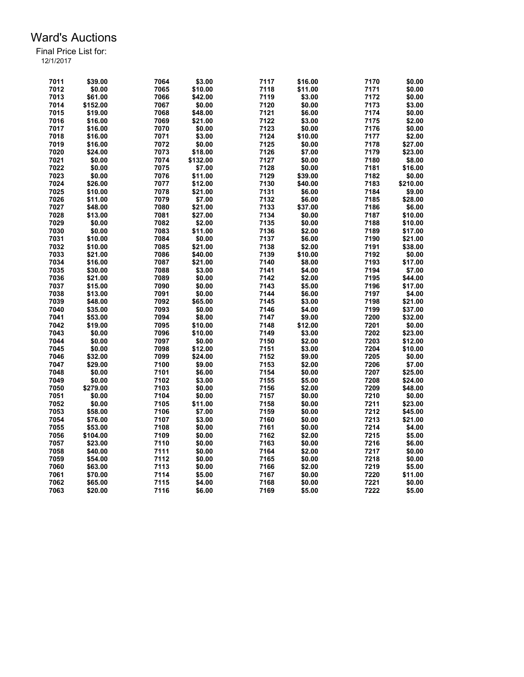| 7011 | \$39.00  | 7064 | \$3.00   | 7117 | \$16.00 | 7170 | \$0.00   |
|------|----------|------|----------|------|---------|------|----------|
| 7012 | \$0.00   | 7065 | \$10.00  | 7118 | \$11.00 | 7171 | \$0.00   |
| 7013 | \$61.00  | 7066 | \$42.00  | 7119 | \$3.00  | 7172 | \$0.00   |
| 7014 | \$152.00 | 7067 | \$0.00   | 7120 | \$0.00  | 7173 | \$3.00   |
| 7015 | \$19.00  | 7068 | \$48.00  | 7121 | \$6.00  | 7174 | \$0.00   |
| 7016 | \$16.00  | 7069 | \$21.00  | 7122 | \$3.00  | 7175 | \$2.00   |
| 7017 | \$16.00  | 7070 | \$0.00   | 7123 | \$0.00  | 7176 | \$0.00   |
| 7018 | \$16.00  | 7071 | \$3.00   | 7124 | \$10.00 | 7177 | \$2.00   |
| 7019 | \$16.00  | 7072 | \$0.00   | 7125 | \$0.00  | 7178 | \$27.00  |
| 7020 | \$24.00  | 7073 | \$18.00  | 7126 | \$7.00  | 7179 | \$23.00  |
| 7021 | \$0.00   | 7074 | \$132.00 | 7127 | \$0.00  | 7180 | \$8.00   |
| 7022 | \$0.00   | 7075 | \$7.00   | 7128 | \$0.00  | 7181 | \$16.00  |
| 7023 | \$0.00   | 7076 | \$11.00  | 7129 | \$39.00 | 7182 | \$0.00   |
| 7024 | \$26.00  | 7077 | \$12.00  | 7130 | \$40.00 | 7183 | \$210.00 |
| 7025 |          | 7078 |          | 7131 |         | 7184 | \$9.00   |
|      | \$10.00  |      | \$21.00  |      | \$6.00  |      |          |
| 7026 | \$11.00  | 7079 | \$7.00   | 7132 | \$6.00  | 7185 | \$28.00  |
| 7027 | \$48.00  | 7080 | \$21.00  | 7133 | \$37.00 | 7186 | \$6.00   |
| 7028 | \$13.00  | 7081 | \$27.00  | 7134 | \$0.00  | 7187 | \$10.00  |
| 7029 | \$0.00   | 7082 | \$2.00   | 7135 | \$0.00  | 7188 | \$10.00  |
| 7030 | \$0.00   | 7083 | \$11.00  | 7136 | \$2.00  | 7189 | \$17.00  |
| 7031 | \$10.00  | 7084 | \$0.00   | 7137 | \$6.00  | 7190 | \$21.00  |
| 7032 | \$10.00  | 7085 | \$21.00  | 7138 | \$2.00  | 7191 | \$38.00  |
| 7033 | \$21.00  | 7086 | \$40.00  | 7139 | \$10.00 | 7192 | \$0.00   |
| 7034 | \$16.00  | 7087 | \$21.00  | 7140 | \$8.00  | 7193 | \$17.00  |
| 7035 | \$30.00  | 7088 | \$3.00   | 7141 | \$4.00  | 7194 | \$7.00   |
| 7036 | \$21.00  | 7089 | \$0.00   | 7142 | \$2.00  | 7195 | \$44.00  |
| 7037 | \$15.00  | 7090 | \$0.00   | 7143 | \$5.00  | 7196 | \$17.00  |
| 7038 | \$13.00  | 7091 | \$0.00   | 7144 | \$6.00  | 7197 | \$4.00   |
| 7039 | \$48.00  | 7092 | \$65.00  | 7145 | \$3.00  | 7198 | \$21.00  |
| 7040 | \$35.00  | 7093 | \$0.00   | 7146 | \$4.00  | 7199 | \$37.00  |
| 7041 | \$53.00  | 7094 | \$8.00   | 7147 | \$9.00  | 7200 | \$32.00  |
| 7042 | \$19.00  | 7095 | \$10.00  | 7148 | \$12.00 | 7201 | \$0.00   |
| 7043 | \$0.00   | 7096 | \$10.00  | 7149 | \$3.00  | 7202 | \$23.00  |
| 7044 | \$0.00   | 7097 | \$0.00   | 7150 | \$2.00  | 7203 | \$12.00  |
| 7045 | \$0.00   | 7098 | \$12.00  | 7151 | \$3.00  | 7204 | \$10.00  |
| 7046 | \$32.00  | 7099 | \$24.00  | 7152 | \$9.00  | 7205 | \$0.00   |
| 7047 | \$29.00  | 7100 | \$9.00   | 7153 | \$2.00  | 7206 | \$7.00   |
| 7048 | \$0.00   | 7101 | \$6.00   | 7154 | \$0.00  | 7207 | \$25.00  |
| 7049 | \$0.00   | 7102 | \$3.00   | 7155 | \$5.00  | 7208 | \$24.00  |
| 7050 | \$279.00 | 7103 | \$0.00   | 7156 | \$2.00  | 7209 | \$48.00  |
| 7051 | \$0.00   | 7104 | \$0.00   | 7157 | \$0.00  | 7210 | \$0.00   |
|      |          |      |          |      |         |      |          |
| 7052 | \$0.00   | 7105 | \$11.00  | 7158 | \$0.00  | 7211 | \$23.00  |
| 7053 | \$58.00  | 7106 | \$7.00   | 7159 | \$0.00  | 7212 | \$45.00  |
| 7054 | \$76.00  | 7107 | \$3.00   | 7160 | \$0.00  | 7213 | \$21.00  |
| 7055 | \$53.00  | 7108 | \$0.00   | 7161 | \$0.00  | 7214 | \$4.00   |
| 7056 | \$104.00 | 7109 | \$0.00   | 7162 | \$2.00  | 7215 | \$5.00   |
| 7057 | \$23.00  | 7110 | \$0.00   | 7163 | \$0.00  | 7216 | \$6.00   |
| 7058 | \$40.00  | 7111 | \$0.00   | 7164 | \$2.00  | 7217 | \$0.00   |
| 7059 | \$54.00  | 7112 | \$0.00   | 7165 | \$0.00  | 7218 | \$0.00   |
| 7060 | \$63.00  | 7113 | \$0.00   | 7166 | \$2.00  | 7219 | \$5.00   |
| 7061 | \$70.00  | 7114 | \$5.00   | 7167 | \$0.00  | 7220 | \$11.00  |
| 7062 | \$65.00  | 7115 | \$4.00   | 7168 | \$0.00  | 7221 | \$0.00   |
| 7063 | \$20.00  | 7116 | \$6.00   | 7169 | \$5.00  | 7222 | \$5.00   |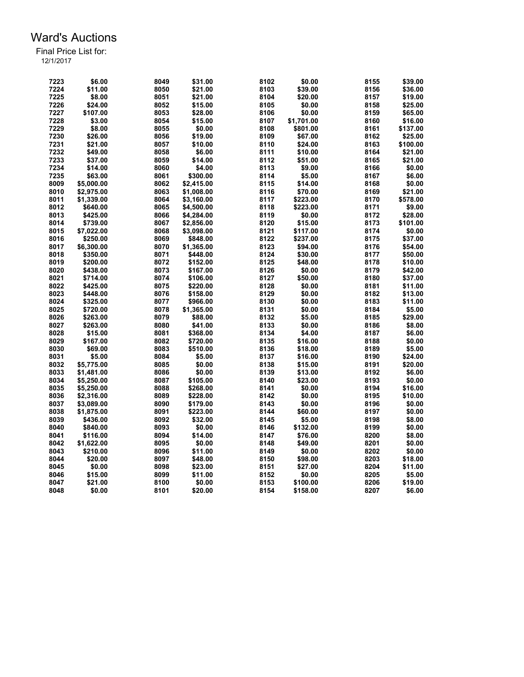| 7224<br>\$11.00<br>8050<br>\$21.00<br>8103<br>\$39.00<br>8156<br>\$36.00<br>7225<br>8104<br>8157<br>\$19.00<br>\$8.00<br>8051<br>\$21.00<br>\$20.00<br>7226<br>8052<br>\$0.00<br>8158<br>\$24.00<br>\$15.00<br>8105<br>\$25.00<br>7227<br>\$0.00<br>8159<br>\$65.00<br>\$107.00<br>8053<br>\$28.00<br>8106<br>7228<br>8107<br>\$3.00<br>8054<br>\$15.00<br>\$1,701.00<br>8160<br>\$16.00<br>7229<br>\$8.00<br>\$0.00<br>8108<br>8161<br>8055<br>\$801.00<br>\$137.00<br>7230<br>8109<br>\$26.00<br>8056<br>\$19.00<br>\$67.00<br>8162<br>\$25.00<br>8057<br>8110<br>8163<br>7231<br>\$21.00<br>\$10.00<br>\$24.00<br>\$100.00<br>7232<br>8111<br>8164<br>\$49.00<br>8058<br>\$6.00<br>\$10.00<br>\$21.00<br>7233<br>8112<br>\$37.00<br>8059<br>\$14.00<br>\$51.00<br>8165<br>\$21.00<br>8113<br>7234<br>\$14.00<br>8060<br>\$4.00<br>\$9.00<br>8166<br>\$0.00<br>7235<br>\$63.00<br>8061<br>\$300.00<br>8114<br>\$5.00<br>8167<br>\$6.00<br>8009<br>8115<br>8168<br>\$5,000.00<br>8062<br>\$2.415.00<br>\$14.00<br>\$0.00<br>8116<br>8169<br>8010<br>\$2,975.00<br>8063<br>\$70.00<br>\$1,008.00<br>\$21.00<br>8011<br>8117<br>\$578.00<br>\$1,339.00<br>8064<br>\$223.00<br>8170<br>\$3,160.00<br>8012<br>8065<br>\$4,500.00<br>8118<br>\$223.00<br>8171<br>\$9.00<br>\$640.00<br>8013<br>\$425.00<br>8066<br>8119<br>\$0.00<br>8172<br>\$4,284.00<br>\$28.00<br>8014<br>8067<br>8120<br>\$15.00<br>8173<br>\$101.00<br>\$739.00<br>\$2,856.00<br>8015<br>\$7,022.00<br>8068<br>\$3,098.00<br>8121<br>\$117.00<br>8174<br>\$0.00<br>8016<br>8122<br>8175<br>\$250.00<br>8069<br>\$237.00<br>\$37.00<br>\$848.00<br>8123<br>8017<br>\$6,300.00<br>8070<br>\$1,365.00<br>\$94.00<br>8176<br>\$54.00<br>8124<br>8018<br>\$350.00<br>8071<br>\$448.00<br>\$30.00<br>8177<br>\$50.00<br>8019<br>8125<br>8178<br>\$200.00<br>8072<br>\$152.00<br>\$48.00<br>\$10.00<br>8020<br>8126<br>\$42.00<br>\$438.00<br>8073<br>\$167.00<br>\$0.00<br>8179<br>8127<br>8021<br>8074<br>\$50.00<br>8180<br>\$37.00<br>\$714.00<br>\$106.00<br>8022<br>8075<br>8128<br>8181<br>\$425.00<br>\$220.00<br>\$0.00<br>\$11.00<br>8023<br>\$448.00<br>8076<br>\$158.00<br>8129<br>\$0.00<br>8182<br>\$13.00<br>8024<br>8077<br>8130<br>\$0.00<br>8183<br>\$11.00<br>\$325.00<br>\$966.00<br>8025<br>8078<br>8131<br>\$0.00<br>8184<br>\$5.00<br>\$720.00<br>\$1,365.00<br>8026<br>8132<br>\$263.00<br>8079<br>\$88.00<br>\$5.00<br>8185<br>\$29.00<br>8027<br>\$263.00<br>8080<br>\$41.00<br>8133<br>\$0.00<br>8186<br>\$8.00<br>8028<br>\$15.00<br>8081<br>\$368.00<br>8134<br>\$4.00<br>8187<br>\$6.00<br>8029<br>\$167.00<br>8082<br>\$720.00<br>8135<br>\$16.00<br>8188<br>\$0.00<br>8030<br>\$69.00<br>8083<br>8136<br>\$18.00<br>8189<br>\$510.00<br>\$5.00<br>8137<br>8031<br>\$5.00<br>8084<br>\$5.00<br>\$16.00<br>8190<br>\$24.00<br>8032<br>8085<br>\$0.00<br>8138<br>\$15.00<br>8191<br>\$20.00<br>\$5,775.00<br>8033<br>8139<br>8192<br>8086<br>\$0.00<br>\$13.00<br>\$6.00<br>\$1,481.00<br>8034<br>8087<br>8140<br>\$23.00<br>8193<br>\$5,250.00<br>\$105.00<br>\$0.00<br>8035<br>8141<br>\$0.00<br>8194<br>\$16.00<br>\$5,250.00<br>8088<br>\$268.00<br>8036<br>8089<br>8142<br>\$0.00<br>8195<br>\$10.00<br>\$2,316.00<br>\$228.00<br>8037<br>\$3,089.00<br>8090<br>\$179.00<br>8143<br>\$0.00<br>8196<br>\$0.00<br>8038<br>8091<br>\$223.00<br>8144<br>\$60.00<br>8197<br>\$1,875.00<br>\$0.00<br>8039<br>8092<br>\$32.00<br>8145<br>\$5.00<br>8198<br>\$8.00<br>\$436.00<br>8040<br>8146<br>\$132.00<br>\$840.00<br>8093<br>\$0.00<br>8199<br>\$0.00<br>8147<br>8041<br>\$116.00<br>8094<br>\$14.00<br>\$76.00<br>8200<br>\$8.00<br>8042<br>8095<br>\$0.00<br>8148<br>\$49.00<br>8201<br>\$0.00<br>\$1,622.00<br>8043<br>8096<br>\$11.00<br>8149<br>\$0.00<br>8202<br>\$0.00<br>\$210.00<br>8203<br>8044<br>\$20.00<br>8097<br>\$48.00<br>8150<br>\$98.00<br>\$18.00<br>8045<br>\$0.00<br>8098<br>\$27.00<br>8204<br>\$23.00<br>8151<br>\$11.00<br>8152<br>\$0.00<br>8046<br>\$15.00<br>8099<br>\$11.00<br>8205<br>\$5.00<br>8153<br>\$100.00<br>8206<br>8047<br>\$21.00<br>8100<br>\$0.00<br>\$19.00<br>8048<br>8101<br>8154<br>8207<br>\$6.00<br>\$0.00<br>\$20.00<br>\$158.00 | 7223 | \$6.00 | 8049 | \$31.00 | 8102 | \$0.00 | 8155 | \$39.00 |
|-----------------------------------------------------------------------------------------------------------------------------------------------------------------------------------------------------------------------------------------------------------------------------------------------------------------------------------------------------------------------------------------------------------------------------------------------------------------------------------------------------------------------------------------------------------------------------------------------------------------------------------------------------------------------------------------------------------------------------------------------------------------------------------------------------------------------------------------------------------------------------------------------------------------------------------------------------------------------------------------------------------------------------------------------------------------------------------------------------------------------------------------------------------------------------------------------------------------------------------------------------------------------------------------------------------------------------------------------------------------------------------------------------------------------------------------------------------------------------------------------------------------------------------------------------------------------------------------------------------------------------------------------------------------------------------------------------------------------------------------------------------------------------------------------------------------------------------------------------------------------------------------------------------------------------------------------------------------------------------------------------------------------------------------------------------------------------------------------------------------------------------------------------------------------------------------------------------------------------------------------------------------------------------------------------------------------------------------------------------------------------------------------------------------------------------------------------------------------------------------------------------------------------------------------------------------------------------------------------------------------------------------------------------------------------------------------------------------------------------------------------------------------------------------------------------------------------------------------------------------------------------------------------------------------------------------------------------------------------------------------------------------------------------------------------------------------------------------------------------------------------------------------------------------------------------------------------------------------------------------------------------------------------------------------------------------------------------------------------------------------------------------------------------------------------------------------------------------------------------------------------------------------------------------------------------------------------------------------------------------------------------------------------------------------------------------------------------------------------------------------------------------------------------------------------------------------------------------------------------------------------------------------------------------------------------------------------------------------------------------------------------------------------------------------------------------------------------------------------------------------------------------------------------------------------|------|--------|------|---------|------|--------|------|---------|
|                                                                                                                                                                                                                                                                                                                                                                                                                                                                                                                                                                                                                                                                                                                                                                                                                                                                                                                                                                                                                                                                                                                                                                                                                                                                                                                                                                                                                                                                                                                                                                                                                                                                                                                                                                                                                                                                                                                                                                                                                                                                                                                                                                                                                                                                                                                                                                                                                                                                                                                                                                                                                                                                                                                                                                                                                                                                                                                                                                                                                                                                                                                                                                                                                                                                                                                                                                                                                                                                                                                                                                                                                                                                                                                                                                                                                                                                                                                                                                                                                                                                                                                                                                             |      |        |      |         |      |        |      |         |
|                                                                                                                                                                                                                                                                                                                                                                                                                                                                                                                                                                                                                                                                                                                                                                                                                                                                                                                                                                                                                                                                                                                                                                                                                                                                                                                                                                                                                                                                                                                                                                                                                                                                                                                                                                                                                                                                                                                                                                                                                                                                                                                                                                                                                                                                                                                                                                                                                                                                                                                                                                                                                                                                                                                                                                                                                                                                                                                                                                                                                                                                                                                                                                                                                                                                                                                                                                                                                                                                                                                                                                                                                                                                                                                                                                                                                                                                                                                                                                                                                                                                                                                                                                             |      |        |      |         |      |        |      |         |
|                                                                                                                                                                                                                                                                                                                                                                                                                                                                                                                                                                                                                                                                                                                                                                                                                                                                                                                                                                                                                                                                                                                                                                                                                                                                                                                                                                                                                                                                                                                                                                                                                                                                                                                                                                                                                                                                                                                                                                                                                                                                                                                                                                                                                                                                                                                                                                                                                                                                                                                                                                                                                                                                                                                                                                                                                                                                                                                                                                                                                                                                                                                                                                                                                                                                                                                                                                                                                                                                                                                                                                                                                                                                                                                                                                                                                                                                                                                                                                                                                                                                                                                                                                             |      |        |      |         |      |        |      |         |
|                                                                                                                                                                                                                                                                                                                                                                                                                                                                                                                                                                                                                                                                                                                                                                                                                                                                                                                                                                                                                                                                                                                                                                                                                                                                                                                                                                                                                                                                                                                                                                                                                                                                                                                                                                                                                                                                                                                                                                                                                                                                                                                                                                                                                                                                                                                                                                                                                                                                                                                                                                                                                                                                                                                                                                                                                                                                                                                                                                                                                                                                                                                                                                                                                                                                                                                                                                                                                                                                                                                                                                                                                                                                                                                                                                                                                                                                                                                                                                                                                                                                                                                                                                             |      |        |      |         |      |        |      |         |
|                                                                                                                                                                                                                                                                                                                                                                                                                                                                                                                                                                                                                                                                                                                                                                                                                                                                                                                                                                                                                                                                                                                                                                                                                                                                                                                                                                                                                                                                                                                                                                                                                                                                                                                                                                                                                                                                                                                                                                                                                                                                                                                                                                                                                                                                                                                                                                                                                                                                                                                                                                                                                                                                                                                                                                                                                                                                                                                                                                                                                                                                                                                                                                                                                                                                                                                                                                                                                                                                                                                                                                                                                                                                                                                                                                                                                                                                                                                                                                                                                                                                                                                                                                             |      |        |      |         |      |        |      |         |
|                                                                                                                                                                                                                                                                                                                                                                                                                                                                                                                                                                                                                                                                                                                                                                                                                                                                                                                                                                                                                                                                                                                                                                                                                                                                                                                                                                                                                                                                                                                                                                                                                                                                                                                                                                                                                                                                                                                                                                                                                                                                                                                                                                                                                                                                                                                                                                                                                                                                                                                                                                                                                                                                                                                                                                                                                                                                                                                                                                                                                                                                                                                                                                                                                                                                                                                                                                                                                                                                                                                                                                                                                                                                                                                                                                                                                                                                                                                                                                                                                                                                                                                                                                             |      |        |      |         |      |        |      |         |
|                                                                                                                                                                                                                                                                                                                                                                                                                                                                                                                                                                                                                                                                                                                                                                                                                                                                                                                                                                                                                                                                                                                                                                                                                                                                                                                                                                                                                                                                                                                                                                                                                                                                                                                                                                                                                                                                                                                                                                                                                                                                                                                                                                                                                                                                                                                                                                                                                                                                                                                                                                                                                                                                                                                                                                                                                                                                                                                                                                                                                                                                                                                                                                                                                                                                                                                                                                                                                                                                                                                                                                                                                                                                                                                                                                                                                                                                                                                                                                                                                                                                                                                                                                             |      |        |      |         |      |        |      |         |
|                                                                                                                                                                                                                                                                                                                                                                                                                                                                                                                                                                                                                                                                                                                                                                                                                                                                                                                                                                                                                                                                                                                                                                                                                                                                                                                                                                                                                                                                                                                                                                                                                                                                                                                                                                                                                                                                                                                                                                                                                                                                                                                                                                                                                                                                                                                                                                                                                                                                                                                                                                                                                                                                                                                                                                                                                                                                                                                                                                                                                                                                                                                                                                                                                                                                                                                                                                                                                                                                                                                                                                                                                                                                                                                                                                                                                                                                                                                                                                                                                                                                                                                                                                             |      |        |      |         |      |        |      |         |
|                                                                                                                                                                                                                                                                                                                                                                                                                                                                                                                                                                                                                                                                                                                                                                                                                                                                                                                                                                                                                                                                                                                                                                                                                                                                                                                                                                                                                                                                                                                                                                                                                                                                                                                                                                                                                                                                                                                                                                                                                                                                                                                                                                                                                                                                                                                                                                                                                                                                                                                                                                                                                                                                                                                                                                                                                                                                                                                                                                                                                                                                                                                                                                                                                                                                                                                                                                                                                                                                                                                                                                                                                                                                                                                                                                                                                                                                                                                                                                                                                                                                                                                                                                             |      |        |      |         |      |        |      |         |
|                                                                                                                                                                                                                                                                                                                                                                                                                                                                                                                                                                                                                                                                                                                                                                                                                                                                                                                                                                                                                                                                                                                                                                                                                                                                                                                                                                                                                                                                                                                                                                                                                                                                                                                                                                                                                                                                                                                                                                                                                                                                                                                                                                                                                                                                                                                                                                                                                                                                                                                                                                                                                                                                                                                                                                                                                                                                                                                                                                                                                                                                                                                                                                                                                                                                                                                                                                                                                                                                                                                                                                                                                                                                                                                                                                                                                                                                                                                                                                                                                                                                                                                                                                             |      |        |      |         |      |        |      |         |
|                                                                                                                                                                                                                                                                                                                                                                                                                                                                                                                                                                                                                                                                                                                                                                                                                                                                                                                                                                                                                                                                                                                                                                                                                                                                                                                                                                                                                                                                                                                                                                                                                                                                                                                                                                                                                                                                                                                                                                                                                                                                                                                                                                                                                                                                                                                                                                                                                                                                                                                                                                                                                                                                                                                                                                                                                                                                                                                                                                                                                                                                                                                                                                                                                                                                                                                                                                                                                                                                                                                                                                                                                                                                                                                                                                                                                                                                                                                                                                                                                                                                                                                                                                             |      |        |      |         |      |        |      |         |
|                                                                                                                                                                                                                                                                                                                                                                                                                                                                                                                                                                                                                                                                                                                                                                                                                                                                                                                                                                                                                                                                                                                                                                                                                                                                                                                                                                                                                                                                                                                                                                                                                                                                                                                                                                                                                                                                                                                                                                                                                                                                                                                                                                                                                                                                                                                                                                                                                                                                                                                                                                                                                                                                                                                                                                                                                                                                                                                                                                                                                                                                                                                                                                                                                                                                                                                                                                                                                                                                                                                                                                                                                                                                                                                                                                                                                                                                                                                                                                                                                                                                                                                                                                             |      |        |      |         |      |        |      |         |
|                                                                                                                                                                                                                                                                                                                                                                                                                                                                                                                                                                                                                                                                                                                                                                                                                                                                                                                                                                                                                                                                                                                                                                                                                                                                                                                                                                                                                                                                                                                                                                                                                                                                                                                                                                                                                                                                                                                                                                                                                                                                                                                                                                                                                                                                                                                                                                                                                                                                                                                                                                                                                                                                                                                                                                                                                                                                                                                                                                                                                                                                                                                                                                                                                                                                                                                                                                                                                                                                                                                                                                                                                                                                                                                                                                                                                                                                                                                                                                                                                                                                                                                                                                             |      |        |      |         |      |        |      |         |
|                                                                                                                                                                                                                                                                                                                                                                                                                                                                                                                                                                                                                                                                                                                                                                                                                                                                                                                                                                                                                                                                                                                                                                                                                                                                                                                                                                                                                                                                                                                                                                                                                                                                                                                                                                                                                                                                                                                                                                                                                                                                                                                                                                                                                                                                                                                                                                                                                                                                                                                                                                                                                                                                                                                                                                                                                                                                                                                                                                                                                                                                                                                                                                                                                                                                                                                                                                                                                                                                                                                                                                                                                                                                                                                                                                                                                                                                                                                                                                                                                                                                                                                                                                             |      |        |      |         |      |        |      |         |
|                                                                                                                                                                                                                                                                                                                                                                                                                                                                                                                                                                                                                                                                                                                                                                                                                                                                                                                                                                                                                                                                                                                                                                                                                                                                                                                                                                                                                                                                                                                                                                                                                                                                                                                                                                                                                                                                                                                                                                                                                                                                                                                                                                                                                                                                                                                                                                                                                                                                                                                                                                                                                                                                                                                                                                                                                                                                                                                                                                                                                                                                                                                                                                                                                                                                                                                                                                                                                                                                                                                                                                                                                                                                                                                                                                                                                                                                                                                                                                                                                                                                                                                                                                             |      |        |      |         |      |        |      |         |
|                                                                                                                                                                                                                                                                                                                                                                                                                                                                                                                                                                                                                                                                                                                                                                                                                                                                                                                                                                                                                                                                                                                                                                                                                                                                                                                                                                                                                                                                                                                                                                                                                                                                                                                                                                                                                                                                                                                                                                                                                                                                                                                                                                                                                                                                                                                                                                                                                                                                                                                                                                                                                                                                                                                                                                                                                                                                                                                                                                                                                                                                                                                                                                                                                                                                                                                                                                                                                                                                                                                                                                                                                                                                                                                                                                                                                                                                                                                                                                                                                                                                                                                                                                             |      |        |      |         |      |        |      |         |
|                                                                                                                                                                                                                                                                                                                                                                                                                                                                                                                                                                                                                                                                                                                                                                                                                                                                                                                                                                                                                                                                                                                                                                                                                                                                                                                                                                                                                                                                                                                                                                                                                                                                                                                                                                                                                                                                                                                                                                                                                                                                                                                                                                                                                                                                                                                                                                                                                                                                                                                                                                                                                                                                                                                                                                                                                                                                                                                                                                                                                                                                                                                                                                                                                                                                                                                                                                                                                                                                                                                                                                                                                                                                                                                                                                                                                                                                                                                                                                                                                                                                                                                                                                             |      |        |      |         |      |        |      |         |
|                                                                                                                                                                                                                                                                                                                                                                                                                                                                                                                                                                                                                                                                                                                                                                                                                                                                                                                                                                                                                                                                                                                                                                                                                                                                                                                                                                                                                                                                                                                                                                                                                                                                                                                                                                                                                                                                                                                                                                                                                                                                                                                                                                                                                                                                                                                                                                                                                                                                                                                                                                                                                                                                                                                                                                                                                                                                                                                                                                                                                                                                                                                                                                                                                                                                                                                                                                                                                                                                                                                                                                                                                                                                                                                                                                                                                                                                                                                                                                                                                                                                                                                                                                             |      |        |      |         |      |        |      |         |
|                                                                                                                                                                                                                                                                                                                                                                                                                                                                                                                                                                                                                                                                                                                                                                                                                                                                                                                                                                                                                                                                                                                                                                                                                                                                                                                                                                                                                                                                                                                                                                                                                                                                                                                                                                                                                                                                                                                                                                                                                                                                                                                                                                                                                                                                                                                                                                                                                                                                                                                                                                                                                                                                                                                                                                                                                                                                                                                                                                                                                                                                                                                                                                                                                                                                                                                                                                                                                                                                                                                                                                                                                                                                                                                                                                                                                                                                                                                                                                                                                                                                                                                                                                             |      |        |      |         |      |        |      |         |
|                                                                                                                                                                                                                                                                                                                                                                                                                                                                                                                                                                                                                                                                                                                                                                                                                                                                                                                                                                                                                                                                                                                                                                                                                                                                                                                                                                                                                                                                                                                                                                                                                                                                                                                                                                                                                                                                                                                                                                                                                                                                                                                                                                                                                                                                                                                                                                                                                                                                                                                                                                                                                                                                                                                                                                                                                                                                                                                                                                                                                                                                                                                                                                                                                                                                                                                                                                                                                                                                                                                                                                                                                                                                                                                                                                                                                                                                                                                                                                                                                                                                                                                                                                             |      |        |      |         |      |        |      |         |
|                                                                                                                                                                                                                                                                                                                                                                                                                                                                                                                                                                                                                                                                                                                                                                                                                                                                                                                                                                                                                                                                                                                                                                                                                                                                                                                                                                                                                                                                                                                                                                                                                                                                                                                                                                                                                                                                                                                                                                                                                                                                                                                                                                                                                                                                                                                                                                                                                                                                                                                                                                                                                                                                                                                                                                                                                                                                                                                                                                                                                                                                                                                                                                                                                                                                                                                                                                                                                                                                                                                                                                                                                                                                                                                                                                                                                                                                                                                                                                                                                                                                                                                                                                             |      |        |      |         |      |        |      |         |
|                                                                                                                                                                                                                                                                                                                                                                                                                                                                                                                                                                                                                                                                                                                                                                                                                                                                                                                                                                                                                                                                                                                                                                                                                                                                                                                                                                                                                                                                                                                                                                                                                                                                                                                                                                                                                                                                                                                                                                                                                                                                                                                                                                                                                                                                                                                                                                                                                                                                                                                                                                                                                                                                                                                                                                                                                                                                                                                                                                                                                                                                                                                                                                                                                                                                                                                                                                                                                                                                                                                                                                                                                                                                                                                                                                                                                                                                                                                                                                                                                                                                                                                                                                             |      |        |      |         |      |        |      |         |
|                                                                                                                                                                                                                                                                                                                                                                                                                                                                                                                                                                                                                                                                                                                                                                                                                                                                                                                                                                                                                                                                                                                                                                                                                                                                                                                                                                                                                                                                                                                                                                                                                                                                                                                                                                                                                                                                                                                                                                                                                                                                                                                                                                                                                                                                                                                                                                                                                                                                                                                                                                                                                                                                                                                                                                                                                                                                                                                                                                                                                                                                                                                                                                                                                                                                                                                                                                                                                                                                                                                                                                                                                                                                                                                                                                                                                                                                                                                                                                                                                                                                                                                                                                             |      |        |      |         |      |        |      |         |
|                                                                                                                                                                                                                                                                                                                                                                                                                                                                                                                                                                                                                                                                                                                                                                                                                                                                                                                                                                                                                                                                                                                                                                                                                                                                                                                                                                                                                                                                                                                                                                                                                                                                                                                                                                                                                                                                                                                                                                                                                                                                                                                                                                                                                                                                                                                                                                                                                                                                                                                                                                                                                                                                                                                                                                                                                                                                                                                                                                                                                                                                                                                                                                                                                                                                                                                                                                                                                                                                                                                                                                                                                                                                                                                                                                                                                                                                                                                                                                                                                                                                                                                                                                             |      |        |      |         |      |        |      |         |
|                                                                                                                                                                                                                                                                                                                                                                                                                                                                                                                                                                                                                                                                                                                                                                                                                                                                                                                                                                                                                                                                                                                                                                                                                                                                                                                                                                                                                                                                                                                                                                                                                                                                                                                                                                                                                                                                                                                                                                                                                                                                                                                                                                                                                                                                                                                                                                                                                                                                                                                                                                                                                                                                                                                                                                                                                                                                                                                                                                                                                                                                                                                                                                                                                                                                                                                                                                                                                                                                                                                                                                                                                                                                                                                                                                                                                                                                                                                                                                                                                                                                                                                                                                             |      |        |      |         |      |        |      |         |
|                                                                                                                                                                                                                                                                                                                                                                                                                                                                                                                                                                                                                                                                                                                                                                                                                                                                                                                                                                                                                                                                                                                                                                                                                                                                                                                                                                                                                                                                                                                                                                                                                                                                                                                                                                                                                                                                                                                                                                                                                                                                                                                                                                                                                                                                                                                                                                                                                                                                                                                                                                                                                                                                                                                                                                                                                                                                                                                                                                                                                                                                                                                                                                                                                                                                                                                                                                                                                                                                                                                                                                                                                                                                                                                                                                                                                                                                                                                                                                                                                                                                                                                                                                             |      |        |      |         |      |        |      |         |
|                                                                                                                                                                                                                                                                                                                                                                                                                                                                                                                                                                                                                                                                                                                                                                                                                                                                                                                                                                                                                                                                                                                                                                                                                                                                                                                                                                                                                                                                                                                                                                                                                                                                                                                                                                                                                                                                                                                                                                                                                                                                                                                                                                                                                                                                                                                                                                                                                                                                                                                                                                                                                                                                                                                                                                                                                                                                                                                                                                                                                                                                                                                                                                                                                                                                                                                                                                                                                                                                                                                                                                                                                                                                                                                                                                                                                                                                                                                                                                                                                                                                                                                                                                             |      |        |      |         |      |        |      |         |
|                                                                                                                                                                                                                                                                                                                                                                                                                                                                                                                                                                                                                                                                                                                                                                                                                                                                                                                                                                                                                                                                                                                                                                                                                                                                                                                                                                                                                                                                                                                                                                                                                                                                                                                                                                                                                                                                                                                                                                                                                                                                                                                                                                                                                                                                                                                                                                                                                                                                                                                                                                                                                                                                                                                                                                                                                                                                                                                                                                                                                                                                                                                                                                                                                                                                                                                                                                                                                                                                                                                                                                                                                                                                                                                                                                                                                                                                                                                                                                                                                                                                                                                                                                             |      |        |      |         |      |        |      |         |
|                                                                                                                                                                                                                                                                                                                                                                                                                                                                                                                                                                                                                                                                                                                                                                                                                                                                                                                                                                                                                                                                                                                                                                                                                                                                                                                                                                                                                                                                                                                                                                                                                                                                                                                                                                                                                                                                                                                                                                                                                                                                                                                                                                                                                                                                                                                                                                                                                                                                                                                                                                                                                                                                                                                                                                                                                                                                                                                                                                                                                                                                                                                                                                                                                                                                                                                                                                                                                                                                                                                                                                                                                                                                                                                                                                                                                                                                                                                                                                                                                                                                                                                                                                             |      |        |      |         |      |        |      |         |
|                                                                                                                                                                                                                                                                                                                                                                                                                                                                                                                                                                                                                                                                                                                                                                                                                                                                                                                                                                                                                                                                                                                                                                                                                                                                                                                                                                                                                                                                                                                                                                                                                                                                                                                                                                                                                                                                                                                                                                                                                                                                                                                                                                                                                                                                                                                                                                                                                                                                                                                                                                                                                                                                                                                                                                                                                                                                                                                                                                                                                                                                                                                                                                                                                                                                                                                                                                                                                                                                                                                                                                                                                                                                                                                                                                                                                                                                                                                                                                                                                                                                                                                                                                             |      |        |      |         |      |        |      |         |
|                                                                                                                                                                                                                                                                                                                                                                                                                                                                                                                                                                                                                                                                                                                                                                                                                                                                                                                                                                                                                                                                                                                                                                                                                                                                                                                                                                                                                                                                                                                                                                                                                                                                                                                                                                                                                                                                                                                                                                                                                                                                                                                                                                                                                                                                                                                                                                                                                                                                                                                                                                                                                                                                                                                                                                                                                                                                                                                                                                                                                                                                                                                                                                                                                                                                                                                                                                                                                                                                                                                                                                                                                                                                                                                                                                                                                                                                                                                                                                                                                                                                                                                                                                             |      |        |      |         |      |        |      |         |
|                                                                                                                                                                                                                                                                                                                                                                                                                                                                                                                                                                                                                                                                                                                                                                                                                                                                                                                                                                                                                                                                                                                                                                                                                                                                                                                                                                                                                                                                                                                                                                                                                                                                                                                                                                                                                                                                                                                                                                                                                                                                                                                                                                                                                                                                                                                                                                                                                                                                                                                                                                                                                                                                                                                                                                                                                                                                                                                                                                                                                                                                                                                                                                                                                                                                                                                                                                                                                                                                                                                                                                                                                                                                                                                                                                                                                                                                                                                                                                                                                                                                                                                                                                             |      |        |      |         |      |        |      |         |
|                                                                                                                                                                                                                                                                                                                                                                                                                                                                                                                                                                                                                                                                                                                                                                                                                                                                                                                                                                                                                                                                                                                                                                                                                                                                                                                                                                                                                                                                                                                                                                                                                                                                                                                                                                                                                                                                                                                                                                                                                                                                                                                                                                                                                                                                                                                                                                                                                                                                                                                                                                                                                                                                                                                                                                                                                                                                                                                                                                                                                                                                                                                                                                                                                                                                                                                                                                                                                                                                                                                                                                                                                                                                                                                                                                                                                                                                                                                                                                                                                                                                                                                                                                             |      |        |      |         |      |        |      |         |
|                                                                                                                                                                                                                                                                                                                                                                                                                                                                                                                                                                                                                                                                                                                                                                                                                                                                                                                                                                                                                                                                                                                                                                                                                                                                                                                                                                                                                                                                                                                                                                                                                                                                                                                                                                                                                                                                                                                                                                                                                                                                                                                                                                                                                                                                                                                                                                                                                                                                                                                                                                                                                                                                                                                                                                                                                                                                                                                                                                                                                                                                                                                                                                                                                                                                                                                                                                                                                                                                                                                                                                                                                                                                                                                                                                                                                                                                                                                                                                                                                                                                                                                                                                             |      |        |      |         |      |        |      |         |
|                                                                                                                                                                                                                                                                                                                                                                                                                                                                                                                                                                                                                                                                                                                                                                                                                                                                                                                                                                                                                                                                                                                                                                                                                                                                                                                                                                                                                                                                                                                                                                                                                                                                                                                                                                                                                                                                                                                                                                                                                                                                                                                                                                                                                                                                                                                                                                                                                                                                                                                                                                                                                                                                                                                                                                                                                                                                                                                                                                                                                                                                                                                                                                                                                                                                                                                                                                                                                                                                                                                                                                                                                                                                                                                                                                                                                                                                                                                                                                                                                                                                                                                                                                             |      |        |      |         |      |        |      |         |
|                                                                                                                                                                                                                                                                                                                                                                                                                                                                                                                                                                                                                                                                                                                                                                                                                                                                                                                                                                                                                                                                                                                                                                                                                                                                                                                                                                                                                                                                                                                                                                                                                                                                                                                                                                                                                                                                                                                                                                                                                                                                                                                                                                                                                                                                                                                                                                                                                                                                                                                                                                                                                                                                                                                                                                                                                                                                                                                                                                                                                                                                                                                                                                                                                                                                                                                                                                                                                                                                                                                                                                                                                                                                                                                                                                                                                                                                                                                                                                                                                                                                                                                                                                             |      |        |      |         |      |        |      |         |
|                                                                                                                                                                                                                                                                                                                                                                                                                                                                                                                                                                                                                                                                                                                                                                                                                                                                                                                                                                                                                                                                                                                                                                                                                                                                                                                                                                                                                                                                                                                                                                                                                                                                                                                                                                                                                                                                                                                                                                                                                                                                                                                                                                                                                                                                                                                                                                                                                                                                                                                                                                                                                                                                                                                                                                                                                                                                                                                                                                                                                                                                                                                                                                                                                                                                                                                                                                                                                                                                                                                                                                                                                                                                                                                                                                                                                                                                                                                                                                                                                                                                                                                                                                             |      |        |      |         |      |        |      |         |
|                                                                                                                                                                                                                                                                                                                                                                                                                                                                                                                                                                                                                                                                                                                                                                                                                                                                                                                                                                                                                                                                                                                                                                                                                                                                                                                                                                                                                                                                                                                                                                                                                                                                                                                                                                                                                                                                                                                                                                                                                                                                                                                                                                                                                                                                                                                                                                                                                                                                                                                                                                                                                                                                                                                                                                                                                                                                                                                                                                                                                                                                                                                                                                                                                                                                                                                                                                                                                                                                                                                                                                                                                                                                                                                                                                                                                                                                                                                                                                                                                                                                                                                                                                             |      |        |      |         |      |        |      |         |
|                                                                                                                                                                                                                                                                                                                                                                                                                                                                                                                                                                                                                                                                                                                                                                                                                                                                                                                                                                                                                                                                                                                                                                                                                                                                                                                                                                                                                                                                                                                                                                                                                                                                                                                                                                                                                                                                                                                                                                                                                                                                                                                                                                                                                                                                                                                                                                                                                                                                                                                                                                                                                                                                                                                                                                                                                                                                                                                                                                                                                                                                                                                                                                                                                                                                                                                                                                                                                                                                                                                                                                                                                                                                                                                                                                                                                                                                                                                                                                                                                                                                                                                                                                             |      |        |      |         |      |        |      |         |
|                                                                                                                                                                                                                                                                                                                                                                                                                                                                                                                                                                                                                                                                                                                                                                                                                                                                                                                                                                                                                                                                                                                                                                                                                                                                                                                                                                                                                                                                                                                                                                                                                                                                                                                                                                                                                                                                                                                                                                                                                                                                                                                                                                                                                                                                                                                                                                                                                                                                                                                                                                                                                                                                                                                                                                                                                                                                                                                                                                                                                                                                                                                                                                                                                                                                                                                                                                                                                                                                                                                                                                                                                                                                                                                                                                                                                                                                                                                                                                                                                                                                                                                                                                             |      |        |      |         |      |        |      |         |
|                                                                                                                                                                                                                                                                                                                                                                                                                                                                                                                                                                                                                                                                                                                                                                                                                                                                                                                                                                                                                                                                                                                                                                                                                                                                                                                                                                                                                                                                                                                                                                                                                                                                                                                                                                                                                                                                                                                                                                                                                                                                                                                                                                                                                                                                                                                                                                                                                                                                                                                                                                                                                                                                                                                                                                                                                                                                                                                                                                                                                                                                                                                                                                                                                                                                                                                                                                                                                                                                                                                                                                                                                                                                                                                                                                                                                                                                                                                                                                                                                                                                                                                                                                             |      |        |      |         |      |        |      |         |
|                                                                                                                                                                                                                                                                                                                                                                                                                                                                                                                                                                                                                                                                                                                                                                                                                                                                                                                                                                                                                                                                                                                                                                                                                                                                                                                                                                                                                                                                                                                                                                                                                                                                                                                                                                                                                                                                                                                                                                                                                                                                                                                                                                                                                                                                                                                                                                                                                                                                                                                                                                                                                                                                                                                                                                                                                                                                                                                                                                                                                                                                                                                                                                                                                                                                                                                                                                                                                                                                                                                                                                                                                                                                                                                                                                                                                                                                                                                                                                                                                                                                                                                                                                             |      |        |      |         |      |        |      |         |
|                                                                                                                                                                                                                                                                                                                                                                                                                                                                                                                                                                                                                                                                                                                                                                                                                                                                                                                                                                                                                                                                                                                                                                                                                                                                                                                                                                                                                                                                                                                                                                                                                                                                                                                                                                                                                                                                                                                                                                                                                                                                                                                                                                                                                                                                                                                                                                                                                                                                                                                                                                                                                                                                                                                                                                                                                                                                                                                                                                                                                                                                                                                                                                                                                                                                                                                                                                                                                                                                                                                                                                                                                                                                                                                                                                                                                                                                                                                                                                                                                                                                                                                                                                             |      |        |      |         |      |        |      |         |
|                                                                                                                                                                                                                                                                                                                                                                                                                                                                                                                                                                                                                                                                                                                                                                                                                                                                                                                                                                                                                                                                                                                                                                                                                                                                                                                                                                                                                                                                                                                                                                                                                                                                                                                                                                                                                                                                                                                                                                                                                                                                                                                                                                                                                                                                                                                                                                                                                                                                                                                                                                                                                                                                                                                                                                                                                                                                                                                                                                                                                                                                                                                                                                                                                                                                                                                                                                                                                                                                                                                                                                                                                                                                                                                                                                                                                                                                                                                                                                                                                                                                                                                                                                             |      |        |      |         |      |        |      |         |
|                                                                                                                                                                                                                                                                                                                                                                                                                                                                                                                                                                                                                                                                                                                                                                                                                                                                                                                                                                                                                                                                                                                                                                                                                                                                                                                                                                                                                                                                                                                                                                                                                                                                                                                                                                                                                                                                                                                                                                                                                                                                                                                                                                                                                                                                                                                                                                                                                                                                                                                                                                                                                                                                                                                                                                                                                                                                                                                                                                                                                                                                                                                                                                                                                                                                                                                                                                                                                                                                                                                                                                                                                                                                                                                                                                                                                                                                                                                                                                                                                                                                                                                                                                             |      |        |      |         |      |        |      |         |
|                                                                                                                                                                                                                                                                                                                                                                                                                                                                                                                                                                                                                                                                                                                                                                                                                                                                                                                                                                                                                                                                                                                                                                                                                                                                                                                                                                                                                                                                                                                                                                                                                                                                                                                                                                                                                                                                                                                                                                                                                                                                                                                                                                                                                                                                                                                                                                                                                                                                                                                                                                                                                                                                                                                                                                                                                                                                                                                                                                                                                                                                                                                                                                                                                                                                                                                                                                                                                                                                                                                                                                                                                                                                                                                                                                                                                                                                                                                                                                                                                                                                                                                                                                             |      |        |      |         |      |        |      |         |
|                                                                                                                                                                                                                                                                                                                                                                                                                                                                                                                                                                                                                                                                                                                                                                                                                                                                                                                                                                                                                                                                                                                                                                                                                                                                                                                                                                                                                                                                                                                                                                                                                                                                                                                                                                                                                                                                                                                                                                                                                                                                                                                                                                                                                                                                                                                                                                                                                                                                                                                                                                                                                                                                                                                                                                                                                                                                                                                                                                                                                                                                                                                                                                                                                                                                                                                                                                                                                                                                                                                                                                                                                                                                                                                                                                                                                                                                                                                                                                                                                                                                                                                                                                             |      |        |      |         |      |        |      |         |
|                                                                                                                                                                                                                                                                                                                                                                                                                                                                                                                                                                                                                                                                                                                                                                                                                                                                                                                                                                                                                                                                                                                                                                                                                                                                                                                                                                                                                                                                                                                                                                                                                                                                                                                                                                                                                                                                                                                                                                                                                                                                                                                                                                                                                                                                                                                                                                                                                                                                                                                                                                                                                                                                                                                                                                                                                                                                                                                                                                                                                                                                                                                                                                                                                                                                                                                                                                                                                                                                                                                                                                                                                                                                                                                                                                                                                                                                                                                                                                                                                                                                                                                                                                             |      |        |      |         |      |        |      |         |
|                                                                                                                                                                                                                                                                                                                                                                                                                                                                                                                                                                                                                                                                                                                                                                                                                                                                                                                                                                                                                                                                                                                                                                                                                                                                                                                                                                                                                                                                                                                                                                                                                                                                                                                                                                                                                                                                                                                                                                                                                                                                                                                                                                                                                                                                                                                                                                                                                                                                                                                                                                                                                                                                                                                                                                                                                                                                                                                                                                                                                                                                                                                                                                                                                                                                                                                                                                                                                                                                                                                                                                                                                                                                                                                                                                                                                                                                                                                                                                                                                                                                                                                                                                             |      |        |      |         |      |        |      |         |
|                                                                                                                                                                                                                                                                                                                                                                                                                                                                                                                                                                                                                                                                                                                                                                                                                                                                                                                                                                                                                                                                                                                                                                                                                                                                                                                                                                                                                                                                                                                                                                                                                                                                                                                                                                                                                                                                                                                                                                                                                                                                                                                                                                                                                                                                                                                                                                                                                                                                                                                                                                                                                                                                                                                                                                                                                                                                                                                                                                                                                                                                                                                                                                                                                                                                                                                                                                                                                                                                                                                                                                                                                                                                                                                                                                                                                                                                                                                                                                                                                                                                                                                                                                             |      |        |      |         |      |        |      |         |
|                                                                                                                                                                                                                                                                                                                                                                                                                                                                                                                                                                                                                                                                                                                                                                                                                                                                                                                                                                                                                                                                                                                                                                                                                                                                                                                                                                                                                                                                                                                                                                                                                                                                                                                                                                                                                                                                                                                                                                                                                                                                                                                                                                                                                                                                                                                                                                                                                                                                                                                                                                                                                                                                                                                                                                                                                                                                                                                                                                                                                                                                                                                                                                                                                                                                                                                                                                                                                                                                                                                                                                                                                                                                                                                                                                                                                                                                                                                                                                                                                                                                                                                                                                             |      |        |      |         |      |        |      |         |
|                                                                                                                                                                                                                                                                                                                                                                                                                                                                                                                                                                                                                                                                                                                                                                                                                                                                                                                                                                                                                                                                                                                                                                                                                                                                                                                                                                                                                                                                                                                                                                                                                                                                                                                                                                                                                                                                                                                                                                                                                                                                                                                                                                                                                                                                                                                                                                                                                                                                                                                                                                                                                                                                                                                                                                                                                                                                                                                                                                                                                                                                                                                                                                                                                                                                                                                                                                                                                                                                                                                                                                                                                                                                                                                                                                                                                                                                                                                                                                                                                                                                                                                                                                             |      |        |      |         |      |        |      |         |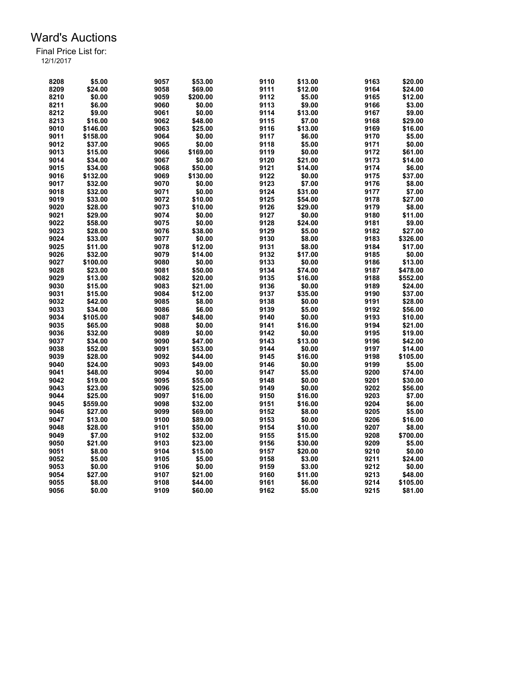| 9111<br>8209<br>\$24.00<br>9058<br>\$69.00<br>\$12.00<br>9164<br>\$24.00<br>8210<br>\$0.00<br>9059<br>9112<br>\$5.00<br>9165<br>\$12.00<br>\$200.00<br>\$6.00<br>\$0.00<br>9113<br>\$9.00<br>9166<br>\$3.00<br>8211<br>9060<br>8212<br>\$0.00<br>9114<br>\$13.00<br>9167<br>\$9.00<br>\$9.00<br>9061<br>8213<br>9115<br>\$7.00<br>9168<br>\$16.00<br>9062<br>\$48.00<br>\$29.00<br>9010<br>\$146.00<br>9063<br>\$25.00<br>9116<br>\$13.00<br>9169<br>\$16.00<br>9011<br>\$0.00<br>9117<br>\$6.00<br>\$5.00<br>\$158.00<br>9064<br>9170<br>9118<br>\$5.00<br>9171<br>9012<br>\$37.00<br>9065<br>\$0.00<br>\$0.00<br>9013<br>\$15.00<br>\$169.00<br>9119<br>\$0.00<br>9172<br>9066<br>\$61.00<br>\$0.00<br>9120<br>\$21.00<br>9173<br>\$14.00<br>9014<br>\$34.00<br>9067<br>9015<br>\$34.00<br>9068<br>\$50.00<br>9121<br>\$14.00<br>9174<br>\$6.00<br>9122<br>9016<br>\$132.00<br>9069<br>\$130.00<br>\$0.00<br>9175<br>\$37.00<br>9070<br>9123<br>\$7.00<br>9176<br>9017<br>\$32.00<br>\$0.00<br>\$8.00<br>9124<br>9177<br>9018<br>\$32.00<br>9071<br>\$0.00<br>\$31.00<br>\$7.00<br>9019<br>9072<br>\$10.00<br>9125<br>9178<br>\$27.00<br>\$33.00<br>\$54.00<br>9020<br>\$28.00<br>9073<br>\$10.00<br>9126<br>\$29.00<br>9179<br>\$8.00<br>9021<br>\$29.00<br>9074<br>\$0.00<br>9127<br>\$0.00<br>9180<br>\$11.00<br>9022<br>9128<br>\$58.00<br>9075<br>\$0.00<br>\$24.00<br>9181<br>\$9.00<br>9023<br>9129<br>\$5.00<br>\$28.00<br>9076<br>\$38.00<br>9182<br>\$27.00<br>9024<br>\$0.00<br>9130<br>\$8.00<br>9183<br>\$33.00<br>9077<br>\$326.00<br>9025<br>9184<br>\$11.00<br>9078<br>\$12.00<br>9131<br>\$8.00<br>\$17.00<br>9026<br>\$32.00<br>9079<br>\$14.00<br>9132<br>\$17.00<br>9185<br>\$0.00<br>9027<br>\$100.00<br>9080<br>\$0.00<br>9133<br>\$0.00<br>9186<br>\$13.00<br>9028<br>9081<br>\$50.00<br>9134<br>\$74.00<br>9187<br>\$478.00<br>\$23.00<br>9135<br>9029<br>\$13.00<br>9082<br>\$20.00<br>\$16.00<br>9188<br>\$552.00<br>9030<br>9083<br>\$21.00<br>9136<br>9189<br>\$15.00<br>\$0.00<br>\$24.00<br>9031<br>\$15.00<br>9084<br>\$12.00<br>9137<br>\$35.00<br>9190<br>\$37.00<br>9032<br>\$42.00<br>\$8.00<br>9138<br>\$0.00<br>9191<br>\$28.00<br>9085<br>9139<br>9033<br>\$34.00<br>9086<br>\$6.00<br>\$5.00<br>9192<br>\$56.00<br>9140<br>\$0.00<br>9193<br>9034<br>\$105.00<br>9087<br>\$48.00<br>\$10.00<br>9141<br>\$16.00<br>9194<br>9035<br>\$65.00<br>9088<br>\$0.00<br>\$21.00<br>\$0.00<br>9036<br>\$32.00<br>9089<br>\$0.00<br>9142<br>9195<br>\$19.00<br>9037<br>\$34.00<br>9090<br>\$47.00<br>9143<br>\$13.00<br>9196<br>\$42.00<br>9038<br>\$0.00<br>\$52.00<br>9091<br>\$53.00<br>9144<br>9197<br>\$14.00<br>9039<br>9092<br>\$28.00<br>\$44.00<br>9145<br>\$16.00<br>9198<br>\$105.00<br>9040<br>\$24.00<br>9093<br>\$49.00<br>9146<br>\$0.00<br>9199<br>\$5.00<br>\$5.00<br>9200<br>9041<br>\$48.00<br>9094<br>\$0.00<br>9147<br>\$74.00<br>9042<br>\$19.00<br>9095<br>\$55.00<br>9148<br>\$0.00<br>9201<br>\$30.00<br>9043<br>\$23.00<br>9096<br>9149<br>\$0.00<br>9202<br>\$56.00<br>\$25.00<br>9044<br>\$25.00<br>9097<br>9150<br>\$16.00<br>9203<br>\$7.00<br>\$16.00<br>9045<br>\$559.00<br>9098<br>\$32.00<br>9151<br>\$16.00<br>9204<br>\$6.00<br>9205<br>9046<br>\$27.00<br>9099<br>9152<br>\$8.00<br>\$5.00<br>\$69.00<br>9047<br>\$13.00<br>9100<br>\$89.00<br>9153<br>\$0.00<br>9206<br>\$16.00<br>9048<br>\$28.00<br>9154<br>9207<br>\$8.00<br>9101<br>\$50.00<br>\$10.00<br>\$7.00<br>9102<br>9155<br>9208<br>\$700.00<br>9049<br>\$32.00<br>\$15.00<br>9050<br>\$21.00<br>9103<br>9156<br>\$30.00<br>9209<br>\$5.00<br>\$23.00<br>9051<br>\$8.00<br>9104<br>\$15.00<br>9157<br>9210<br>\$0.00<br>\$20.00<br>9052<br>9105<br>\$5.00<br>9158<br>9211<br>\$5.00<br>\$3.00<br>\$24.00<br>9053<br>\$0.00<br>9106<br>\$0.00<br>9159<br>\$3.00<br>9212<br>\$0.00<br>\$11.00<br>9213<br>9054<br>\$27.00<br>9107<br>\$21.00<br>9160<br>\$48.00 | 8208 | \$5.00 | 9057 | \$53.00 | 9110 | \$13.00 | 9163 | \$20.00 |
|----------------------------------------------------------------------------------------------------------------------------------------------------------------------------------------------------------------------------------------------------------------------------------------------------------------------------------------------------------------------------------------------------------------------------------------------------------------------------------------------------------------------------------------------------------------------------------------------------------------------------------------------------------------------------------------------------------------------------------------------------------------------------------------------------------------------------------------------------------------------------------------------------------------------------------------------------------------------------------------------------------------------------------------------------------------------------------------------------------------------------------------------------------------------------------------------------------------------------------------------------------------------------------------------------------------------------------------------------------------------------------------------------------------------------------------------------------------------------------------------------------------------------------------------------------------------------------------------------------------------------------------------------------------------------------------------------------------------------------------------------------------------------------------------------------------------------------------------------------------------------------------------------------------------------------------------------------------------------------------------------------------------------------------------------------------------------------------------------------------------------------------------------------------------------------------------------------------------------------------------------------------------------------------------------------------------------------------------------------------------------------------------------------------------------------------------------------------------------------------------------------------------------------------------------------------------------------------------------------------------------------------------------------------------------------------------------------------------------------------------------------------------------------------------------------------------------------------------------------------------------------------------------------------------------------------------------------------------------------------------------------------------------------------------------------------------------------------------------------------------------------------------------------------------------------------------------------------------------------------------------------------------------------------------------------------------------------------------------------------------------------------------------------------------------------------------------------------------------------------------------------------------------------------------------------------------------------------------------------------------------------------------------------------------------------------------------------------------------------------------------------------------------------------------------------------------------------------------------------------------------------------------|------|--------|------|---------|------|---------|------|---------|
|                                                                                                                                                                                                                                                                                                                                                                                                                                                                                                                                                                                                                                                                                                                                                                                                                                                                                                                                                                                                                                                                                                                                                                                                                                                                                                                                                                                                                                                                                                                                                                                                                                                                                                                                                                                                                                                                                                                                                                                                                                                                                                                                                                                                                                                                                                                                                                                                                                                                                                                                                                                                                                                                                                                                                                                                                                                                                                                                                                                                                                                                                                                                                                                                                                                                                                                                                                                                                                                                                                                                                                                                                                                                                                                                                                                                                                                                                              |      |        |      |         |      |         |      |         |
|                                                                                                                                                                                                                                                                                                                                                                                                                                                                                                                                                                                                                                                                                                                                                                                                                                                                                                                                                                                                                                                                                                                                                                                                                                                                                                                                                                                                                                                                                                                                                                                                                                                                                                                                                                                                                                                                                                                                                                                                                                                                                                                                                                                                                                                                                                                                                                                                                                                                                                                                                                                                                                                                                                                                                                                                                                                                                                                                                                                                                                                                                                                                                                                                                                                                                                                                                                                                                                                                                                                                                                                                                                                                                                                                                                                                                                                                                              |      |        |      |         |      |         |      |         |
|                                                                                                                                                                                                                                                                                                                                                                                                                                                                                                                                                                                                                                                                                                                                                                                                                                                                                                                                                                                                                                                                                                                                                                                                                                                                                                                                                                                                                                                                                                                                                                                                                                                                                                                                                                                                                                                                                                                                                                                                                                                                                                                                                                                                                                                                                                                                                                                                                                                                                                                                                                                                                                                                                                                                                                                                                                                                                                                                                                                                                                                                                                                                                                                                                                                                                                                                                                                                                                                                                                                                                                                                                                                                                                                                                                                                                                                                                              |      |        |      |         |      |         |      |         |
|                                                                                                                                                                                                                                                                                                                                                                                                                                                                                                                                                                                                                                                                                                                                                                                                                                                                                                                                                                                                                                                                                                                                                                                                                                                                                                                                                                                                                                                                                                                                                                                                                                                                                                                                                                                                                                                                                                                                                                                                                                                                                                                                                                                                                                                                                                                                                                                                                                                                                                                                                                                                                                                                                                                                                                                                                                                                                                                                                                                                                                                                                                                                                                                                                                                                                                                                                                                                                                                                                                                                                                                                                                                                                                                                                                                                                                                                                              |      |        |      |         |      |         |      |         |
|                                                                                                                                                                                                                                                                                                                                                                                                                                                                                                                                                                                                                                                                                                                                                                                                                                                                                                                                                                                                                                                                                                                                                                                                                                                                                                                                                                                                                                                                                                                                                                                                                                                                                                                                                                                                                                                                                                                                                                                                                                                                                                                                                                                                                                                                                                                                                                                                                                                                                                                                                                                                                                                                                                                                                                                                                                                                                                                                                                                                                                                                                                                                                                                                                                                                                                                                                                                                                                                                                                                                                                                                                                                                                                                                                                                                                                                                                              |      |        |      |         |      |         |      |         |
|                                                                                                                                                                                                                                                                                                                                                                                                                                                                                                                                                                                                                                                                                                                                                                                                                                                                                                                                                                                                                                                                                                                                                                                                                                                                                                                                                                                                                                                                                                                                                                                                                                                                                                                                                                                                                                                                                                                                                                                                                                                                                                                                                                                                                                                                                                                                                                                                                                                                                                                                                                                                                                                                                                                                                                                                                                                                                                                                                                                                                                                                                                                                                                                                                                                                                                                                                                                                                                                                                                                                                                                                                                                                                                                                                                                                                                                                                              |      |        |      |         |      |         |      |         |
|                                                                                                                                                                                                                                                                                                                                                                                                                                                                                                                                                                                                                                                                                                                                                                                                                                                                                                                                                                                                                                                                                                                                                                                                                                                                                                                                                                                                                                                                                                                                                                                                                                                                                                                                                                                                                                                                                                                                                                                                                                                                                                                                                                                                                                                                                                                                                                                                                                                                                                                                                                                                                                                                                                                                                                                                                                                                                                                                                                                                                                                                                                                                                                                                                                                                                                                                                                                                                                                                                                                                                                                                                                                                                                                                                                                                                                                                                              |      |        |      |         |      |         |      |         |
|                                                                                                                                                                                                                                                                                                                                                                                                                                                                                                                                                                                                                                                                                                                                                                                                                                                                                                                                                                                                                                                                                                                                                                                                                                                                                                                                                                                                                                                                                                                                                                                                                                                                                                                                                                                                                                                                                                                                                                                                                                                                                                                                                                                                                                                                                                                                                                                                                                                                                                                                                                                                                                                                                                                                                                                                                                                                                                                                                                                                                                                                                                                                                                                                                                                                                                                                                                                                                                                                                                                                                                                                                                                                                                                                                                                                                                                                                              |      |        |      |         |      |         |      |         |
|                                                                                                                                                                                                                                                                                                                                                                                                                                                                                                                                                                                                                                                                                                                                                                                                                                                                                                                                                                                                                                                                                                                                                                                                                                                                                                                                                                                                                                                                                                                                                                                                                                                                                                                                                                                                                                                                                                                                                                                                                                                                                                                                                                                                                                                                                                                                                                                                                                                                                                                                                                                                                                                                                                                                                                                                                                                                                                                                                                                                                                                                                                                                                                                                                                                                                                                                                                                                                                                                                                                                                                                                                                                                                                                                                                                                                                                                                              |      |        |      |         |      |         |      |         |
|                                                                                                                                                                                                                                                                                                                                                                                                                                                                                                                                                                                                                                                                                                                                                                                                                                                                                                                                                                                                                                                                                                                                                                                                                                                                                                                                                                                                                                                                                                                                                                                                                                                                                                                                                                                                                                                                                                                                                                                                                                                                                                                                                                                                                                                                                                                                                                                                                                                                                                                                                                                                                                                                                                                                                                                                                                                                                                                                                                                                                                                                                                                                                                                                                                                                                                                                                                                                                                                                                                                                                                                                                                                                                                                                                                                                                                                                                              |      |        |      |         |      |         |      |         |
|                                                                                                                                                                                                                                                                                                                                                                                                                                                                                                                                                                                                                                                                                                                                                                                                                                                                                                                                                                                                                                                                                                                                                                                                                                                                                                                                                                                                                                                                                                                                                                                                                                                                                                                                                                                                                                                                                                                                                                                                                                                                                                                                                                                                                                                                                                                                                                                                                                                                                                                                                                                                                                                                                                                                                                                                                                                                                                                                                                                                                                                                                                                                                                                                                                                                                                                                                                                                                                                                                                                                                                                                                                                                                                                                                                                                                                                                                              |      |        |      |         |      |         |      |         |
|                                                                                                                                                                                                                                                                                                                                                                                                                                                                                                                                                                                                                                                                                                                                                                                                                                                                                                                                                                                                                                                                                                                                                                                                                                                                                                                                                                                                                                                                                                                                                                                                                                                                                                                                                                                                                                                                                                                                                                                                                                                                                                                                                                                                                                                                                                                                                                                                                                                                                                                                                                                                                                                                                                                                                                                                                                                                                                                                                                                                                                                                                                                                                                                                                                                                                                                                                                                                                                                                                                                                                                                                                                                                                                                                                                                                                                                                                              |      |        |      |         |      |         |      |         |
|                                                                                                                                                                                                                                                                                                                                                                                                                                                                                                                                                                                                                                                                                                                                                                                                                                                                                                                                                                                                                                                                                                                                                                                                                                                                                                                                                                                                                                                                                                                                                                                                                                                                                                                                                                                                                                                                                                                                                                                                                                                                                                                                                                                                                                                                                                                                                                                                                                                                                                                                                                                                                                                                                                                                                                                                                                                                                                                                                                                                                                                                                                                                                                                                                                                                                                                                                                                                                                                                                                                                                                                                                                                                                                                                                                                                                                                                                              |      |        |      |         |      |         |      |         |
|                                                                                                                                                                                                                                                                                                                                                                                                                                                                                                                                                                                                                                                                                                                                                                                                                                                                                                                                                                                                                                                                                                                                                                                                                                                                                                                                                                                                                                                                                                                                                                                                                                                                                                                                                                                                                                                                                                                                                                                                                                                                                                                                                                                                                                                                                                                                                                                                                                                                                                                                                                                                                                                                                                                                                                                                                                                                                                                                                                                                                                                                                                                                                                                                                                                                                                                                                                                                                                                                                                                                                                                                                                                                                                                                                                                                                                                                                              |      |        |      |         |      |         |      |         |
|                                                                                                                                                                                                                                                                                                                                                                                                                                                                                                                                                                                                                                                                                                                                                                                                                                                                                                                                                                                                                                                                                                                                                                                                                                                                                                                                                                                                                                                                                                                                                                                                                                                                                                                                                                                                                                                                                                                                                                                                                                                                                                                                                                                                                                                                                                                                                                                                                                                                                                                                                                                                                                                                                                                                                                                                                                                                                                                                                                                                                                                                                                                                                                                                                                                                                                                                                                                                                                                                                                                                                                                                                                                                                                                                                                                                                                                                                              |      |        |      |         |      |         |      |         |
|                                                                                                                                                                                                                                                                                                                                                                                                                                                                                                                                                                                                                                                                                                                                                                                                                                                                                                                                                                                                                                                                                                                                                                                                                                                                                                                                                                                                                                                                                                                                                                                                                                                                                                                                                                                                                                                                                                                                                                                                                                                                                                                                                                                                                                                                                                                                                                                                                                                                                                                                                                                                                                                                                                                                                                                                                                                                                                                                                                                                                                                                                                                                                                                                                                                                                                                                                                                                                                                                                                                                                                                                                                                                                                                                                                                                                                                                                              |      |        |      |         |      |         |      |         |
|                                                                                                                                                                                                                                                                                                                                                                                                                                                                                                                                                                                                                                                                                                                                                                                                                                                                                                                                                                                                                                                                                                                                                                                                                                                                                                                                                                                                                                                                                                                                                                                                                                                                                                                                                                                                                                                                                                                                                                                                                                                                                                                                                                                                                                                                                                                                                                                                                                                                                                                                                                                                                                                                                                                                                                                                                                                                                                                                                                                                                                                                                                                                                                                                                                                                                                                                                                                                                                                                                                                                                                                                                                                                                                                                                                                                                                                                                              |      |        |      |         |      |         |      |         |
|                                                                                                                                                                                                                                                                                                                                                                                                                                                                                                                                                                                                                                                                                                                                                                                                                                                                                                                                                                                                                                                                                                                                                                                                                                                                                                                                                                                                                                                                                                                                                                                                                                                                                                                                                                                                                                                                                                                                                                                                                                                                                                                                                                                                                                                                                                                                                                                                                                                                                                                                                                                                                                                                                                                                                                                                                                                                                                                                                                                                                                                                                                                                                                                                                                                                                                                                                                                                                                                                                                                                                                                                                                                                                                                                                                                                                                                                                              |      |        |      |         |      |         |      |         |
|                                                                                                                                                                                                                                                                                                                                                                                                                                                                                                                                                                                                                                                                                                                                                                                                                                                                                                                                                                                                                                                                                                                                                                                                                                                                                                                                                                                                                                                                                                                                                                                                                                                                                                                                                                                                                                                                                                                                                                                                                                                                                                                                                                                                                                                                                                                                                                                                                                                                                                                                                                                                                                                                                                                                                                                                                                                                                                                                                                                                                                                                                                                                                                                                                                                                                                                                                                                                                                                                                                                                                                                                                                                                                                                                                                                                                                                                                              |      |        |      |         |      |         |      |         |
|                                                                                                                                                                                                                                                                                                                                                                                                                                                                                                                                                                                                                                                                                                                                                                                                                                                                                                                                                                                                                                                                                                                                                                                                                                                                                                                                                                                                                                                                                                                                                                                                                                                                                                                                                                                                                                                                                                                                                                                                                                                                                                                                                                                                                                                                                                                                                                                                                                                                                                                                                                                                                                                                                                                                                                                                                                                                                                                                                                                                                                                                                                                                                                                                                                                                                                                                                                                                                                                                                                                                                                                                                                                                                                                                                                                                                                                                                              |      |        |      |         |      |         |      |         |
|                                                                                                                                                                                                                                                                                                                                                                                                                                                                                                                                                                                                                                                                                                                                                                                                                                                                                                                                                                                                                                                                                                                                                                                                                                                                                                                                                                                                                                                                                                                                                                                                                                                                                                                                                                                                                                                                                                                                                                                                                                                                                                                                                                                                                                                                                                                                                                                                                                                                                                                                                                                                                                                                                                                                                                                                                                                                                                                                                                                                                                                                                                                                                                                                                                                                                                                                                                                                                                                                                                                                                                                                                                                                                                                                                                                                                                                                                              |      |        |      |         |      |         |      |         |
|                                                                                                                                                                                                                                                                                                                                                                                                                                                                                                                                                                                                                                                                                                                                                                                                                                                                                                                                                                                                                                                                                                                                                                                                                                                                                                                                                                                                                                                                                                                                                                                                                                                                                                                                                                                                                                                                                                                                                                                                                                                                                                                                                                                                                                                                                                                                                                                                                                                                                                                                                                                                                                                                                                                                                                                                                                                                                                                                                                                                                                                                                                                                                                                                                                                                                                                                                                                                                                                                                                                                                                                                                                                                                                                                                                                                                                                                                              |      |        |      |         |      |         |      |         |
|                                                                                                                                                                                                                                                                                                                                                                                                                                                                                                                                                                                                                                                                                                                                                                                                                                                                                                                                                                                                                                                                                                                                                                                                                                                                                                                                                                                                                                                                                                                                                                                                                                                                                                                                                                                                                                                                                                                                                                                                                                                                                                                                                                                                                                                                                                                                                                                                                                                                                                                                                                                                                                                                                                                                                                                                                                                                                                                                                                                                                                                                                                                                                                                                                                                                                                                                                                                                                                                                                                                                                                                                                                                                                                                                                                                                                                                                                              |      |        |      |         |      |         |      |         |
|                                                                                                                                                                                                                                                                                                                                                                                                                                                                                                                                                                                                                                                                                                                                                                                                                                                                                                                                                                                                                                                                                                                                                                                                                                                                                                                                                                                                                                                                                                                                                                                                                                                                                                                                                                                                                                                                                                                                                                                                                                                                                                                                                                                                                                                                                                                                                                                                                                                                                                                                                                                                                                                                                                                                                                                                                                                                                                                                                                                                                                                                                                                                                                                                                                                                                                                                                                                                                                                                                                                                                                                                                                                                                                                                                                                                                                                                                              |      |        |      |         |      |         |      |         |
|                                                                                                                                                                                                                                                                                                                                                                                                                                                                                                                                                                                                                                                                                                                                                                                                                                                                                                                                                                                                                                                                                                                                                                                                                                                                                                                                                                                                                                                                                                                                                                                                                                                                                                                                                                                                                                                                                                                                                                                                                                                                                                                                                                                                                                                                                                                                                                                                                                                                                                                                                                                                                                                                                                                                                                                                                                                                                                                                                                                                                                                                                                                                                                                                                                                                                                                                                                                                                                                                                                                                                                                                                                                                                                                                                                                                                                                                                              |      |        |      |         |      |         |      |         |
|                                                                                                                                                                                                                                                                                                                                                                                                                                                                                                                                                                                                                                                                                                                                                                                                                                                                                                                                                                                                                                                                                                                                                                                                                                                                                                                                                                                                                                                                                                                                                                                                                                                                                                                                                                                                                                                                                                                                                                                                                                                                                                                                                                                                                                                                                                                                                                                                                                                                                                                                                                                                                                                                                                                                                                                                                                                                                                                                                                                                                                                                                                                                                                                                                                                                                                                                                                                                                                                                                                                                                                                                                                                                                                                                                                                                                                                                                              |      |        |      |         |      |         |      |         |
|                                                                                                                                                                                                                                                                                                                                                                                                                                                                                                                                                                                                                                                                                                                                                                                                                                                                                                                                                                                                                                                                                                                                                                                                                                                                                                                                                                                                                                                                                                                                                                                                                                                                                                                                                                                                                                                                                                                                                                                                                                                                                                                                                                                                                                                                                                                                                                                                                                                                                                                                                                                                                                                                                                                                                                                                                                                                                                                                                                                                                                                                                                                                                                                                                                                                                                                                                                                                                                                                                                                                                                                                                                                                                                                                                                                                                                                                                              |      |        |      |         |      |         |      |         |
|                                                                                                                                                                                                                                                                                                                                                                                                                                                                                                                                                                                                                                                                                                                                                                                                                                                                                                                                                                                                                                                                                                                                                                                                                                                                                                                                                                                                                                                                                                                                                                                                                                                                                                                                                                                                                                                                                                                                                                                                                                                                                                                                                                                                                                                                                                                                                                                                                                                                                                                                                                                                                                                                                                                                                                                                                                                                                                                                                                                                                                                                                                                                                                                                                                                                                                                                                                                                                                                                                                                                                                                                                                                                                                                                                                                                                                                                                              |      |        |      |         |      |         |      |         |
|                                                                                                                                                                                                                                                                                                                                                                                                                                                                                                                                                                                                                                                                                                                                                                                                                                                                                                                                                                                                                                                                                                                                                                                                                                                                                                                                                                                                                                                                                                                                                                                                                                                                                                                                                                                                                                                                                                                                                                                                                                                                                                                                                                                                                                                                                                                                                                                                                                                                                                                                                                                                                                                                                                                                                                                                                                                                                                                                                                                                                                                                                                                                                                                                                                                                                                                                                                                                                                                                                                                                                                                                                                                                                                                                                                                                                                                                                              |      |        |      |         |      |         |      |         |
|                                                                                                                                                                                                                                                                                                                                                                                                                                                                                                                                                                                                                                                                                                                                                                                                                                                                                                                                                                                                                                                                                                                                                                                                                                                                                                                                                                                                                                                                                                                                                                                                                                                                                                                                                                                                                                                                                                                                                                                                                                                                                                                                                                                                                                                                                                                                                                                                                                                                                                                                                                                                                                                                                                                                                                                                                                                                                                                                                                                                                                                                                                                                                                                                                                                                                                                                                                                                                                                                                                                                                                                                                                                                                                                                                                                                                                                                                              |      |        |      |         |      |         |      |         |
|                                                                                                                                                                                                                                                                                                                                                                                                                                                                                                                                                                                                                                                                                                                                                                                                                                                                                                                                                                                                                                                                                                                                                                                                                                                                                                                                                                                                                                                                                                                                                                                                                                                                                                                                                                                                                                                                                                                                                                                                                                                                                                                                                                                                                                                                                                                                                                                                                                                                                                                                                                                                                                                                                                                                                                                                                                                                                                                                                                                                                                                                                                                                                                                                                                                                                                                                                                                                                                                                                                                                                                                                                                                                                                                                                                                                                                                                                              |      |        |      |         |      |         |      |         |
|                                                                                                                                                                                                                                                                                                                                                                                                                                                                                                                                                                                                                                                                                                                                                                                                                                                                                                                                                                                                                                                                                                                                                                                                                                                                                                                                                                                                                                                                                                                                                                                                                                                                                                                                                                                                                                                                                                                                                                                                                                                                                                                                                                                                                                                                                                                                                                                                                                                                                                                                                                                                                                                                                                                                                                                                                                                                                                                                                                                                                                                                                                                                                                                                                                                                                                                                                                                                                                                                                                                                                                                                                                                                                                                                                                                                                                                                                              |      |        |      |         |      |         |      |         |
|                                                                                                                                                                                                                                                                                                                                                                                                                                                                                                                                                                                                                                                                                                                                                                                                                                                                                                                                                                                                                                                                                                                                                                                                                                                                                                                                                                                                                                                                                                                                                                                                                                                                                                                                                                                                                                                                                                                                                                                                                                                                                                                                                                                                                                                                                                                                                                                                                                                                                                                                                                                                                                                                                                                                                                                                                                                                                                                                                                                                                                                                                                                                                                                                                                                                                                                                                                                                                                                                                                                                                                                                                                                                                                                                                                                                                                                                                              |      |        |      |         |      |         |      |         |
|                                                                                                                                                                                                                                                                                                                                                                                                                                                                                                                                                                                                                                                                                                                                                                                                                                                                                                                                                                                                                                                                                                                                                                                                                                                                                                                                                                                                                                                                                                                                                                                                                                                                                                                                                                                                                                                                                                                                                                                                                                                                                                                                                                                                                                                                                                                                                                                                                                                                                                                                                                                                                                                                                                                                                                                                                                                                                                                                                                                                                                                                                                                                                                                                                                                                                                                                                                                                                                                                                                                                                                                                                                                                                                                                                                                                                                                                                              |      |        |      |         |      |         |      |         |
|                                                                                                                                                                                                                                                                                                                                                                                                                                                                                                                                                                                                                                                                                                                                                                                                                                                                                                                                                                                                                                                                                                                                                                                                                                                                                                                                                                                                                                                                                                                                                                                                                                                                                                                                                                                                                                                                                                                                                                                                                                                                                                                                                                                                                                                                                                                                                                                                                                                                                                                                                                                                                                                                                                                                                                                                                                                                                                                                                                                                                                                                                                                                                                                                                                                                                                                                                                                                                                                                                                                                                                                                                                                                                                                                                                                                                                                                                              |      |        |      |         |      |         |      |         |
|                                                                                                                                                                                                                                                                                                                                                                                                                                                                                                                                                                                                                                                                                                                                                                                                                                                                                                                                                                                                                                                                                                                                                                                                                                                                                                                                                                                                                                                                                                                                                                                                                                                                                                                                                                                                                                                                                                                                                                                                                                                                                                                                                                                                                                                                                                                                                                                                                                                                                                                                                                                                                                                                                                                                                                                                                                                                                                                                                                                                                                                                                                                                                                                                                                                                                                                                                                                                                                                                                                                                                                                                                                                                                                                                                                                                                                                                                              |      |        |      |         |      |         |      |         |
|                                                                                                                                                                                                                                                                                                                                                                                                                                                                                                                                                                                                                                                                                                                                                                                                                                                                                                                                                                                                                                                                                                                                                                                                                                                                                                                                                                                                                                                                                                                                                                                                                                                                                                                                                                                                                                                                                                                                                                                                                                                                                                                                                                                                                                                                                                                                                                                                                                                                                                                                                                                                                                                                                                                                                                                                                                                                                                                                                                                                                                                                                                                                                                                                                                                                                                                                                                                                                                                                                                                                                                                                                                                                                                                                                                                                                                                                                              |      |        |      |         |      |         |      |         |
|                                                                                                                                                                                                                                                                                                                                                                                                                                                                                                                                                                                                                                                                                                                                                                                                                                                                                                                                                                                                                                                                                                                                                                                                                                                                                                                                                                                                                                                                                                                                                                                                                                                                                                                                                                                                                                                                                                                                                                                                                                                                                                                                                                                                                                                                                                                                                                                                                                                                                                                                                                                                                                                                                                                                                                                                                                                                                                                                                                                                                                                                                                                                                                                                                                                                                                                                                                                                                                                                                                                                                                                                                                                                                                                                                                                                                                                                                              |      |        |      |         |      |         |      |         |
|                                                                                                                                                                                                                                                                                                                                                                                                                                                                                                                                                                                                                                                                                                                                                                                                                                                                                                                                                                                                                                                                                                                                                                                                                                                                                                                                                                                                                                                                                                                                                                                                                                                                                                                                                                                                                                                                                                                                                                                                                                                                                                                                                                                                                                                                                                                                                                                                                                                                                                                                                                                                                                                                                                                                                                                                                                                                                                                                                                                                                                                                                                                                                                                                                                                                                                                                                                                                                                                                                                                                                                                                                                                                                                                                                                                                                                                                                              |      |        |      |         |      |         |      |         |
|                                                                                                                                                                                                                                                                                                                                                                                                                                                                                                                                                                                                                                                                                                                                                                                                                                                                                                                                                                                                                                                                                                                                                                                                                                                                                                                                                                                                                                                                                                                                                                                                                                                                                                                                                                                                                                                                                                                                                                                                                                                                                                                                                                                                                                                                                                                                                                                                                                                                                                                                                                                                                                                                                                                                                                                                                                                                                                                                                                                                                                                                                                                                                                                                                                                                                                                                                                                                                                                                                                                                                                                                                                                                                                                                                                                                                                                                                              |      |        |      |         |      |         |      |         |
|                                                                                                                                                                                                                                                                                                                                                                                                                                                                                                                                                                                                                                                                                                                                                                                                                                                                                                                                                                                                                                                                                                                                                                                                                                                                                                                                                                                                                                                                                                                                                                                                                                                                                                                                                                                                                                                                                                                                                                                                                                                                                                                                                                                                                                                                                                                                                                                                                                                                                                                                                                                                                                                                                                                                                                                                                                                                                                                                                                                                                                                                                                                                                                                                                                                                                                                                                                                                                                                                                                                                                                                                                                                                                                                                                                                                                                                                                              |      |        |      |         |      |         |      |         |
|                                                                                                                                                                                                                                                                                                                                                                                                                                                                                                                                                                                                                                                                                                                                                                                                                                                                                                                                                                                                                                                                                                                                                                                                                                                                                                                                                                                                                                                                                                                                                                                                                                                                                                                                                                                                                                                                                                                                                                                                                                                                                                                                                                                                                                                                                                                                                                                                                                                                                                                                                                                                                                                                                                                                                                                                                                                                                                                                                                                                                                                                                                                                                                                                                                                                                                                                                                                                                                                                                                                                                                                                                                                                                                                                                                                                                                                                                              |      |        |      |         |      |         |      |         |
|                                                                                                                                                                                                                                                                                                                                                                                                                                                                                                                                                                                                                                                                                                                                                                                                                                                                                                                                                                                                                                                                                                                                                                                                                                                                                                                                                                                                                                                                                                                                                                                                                                                                                                                                                                                                                                                                                                                                                                                                                                                                                                                                                                                                                                                                                                                                                                                                                                                                                                                                                                                                                                                                                                                                                                                                                                                                                                                                                                                                                                                                                                                                                                                                                                                                                                                                                                                                                                                                                                                                                                                                                                                                                                                                                                                                                                                                                              |      |        |      |         |      |         |      |         |
|                                                                                                                                                                                                                                                                                                                                                                                                                                                                                                                                                                                                                                                                                                                                                                                                                                                                                                                                                                                                                                                                                                                                                                                                                                                                                                                                                                                                                                                                                                                                                                                                                                                                                                                                                                                                                                                                                                                                                                                                                                                                                                                                                                                                                                                                                                                                                                                                                                                                                                                                                                                                                                                                                                                                                                                                                                                                                                                                                                                                                                                                                                                                                                                                                                                                                                                                                                                                                                                                                                                                                                                                                                                                                                                                                                                                                                                                                              |      |        |      |         |      |         |      |         |
|                                                                                                                                                                                                                                                                                                                                                                                                                                                                                                                                                                                                                                                                                                                                                                                                                                                                                                                                                                                                                                                                                                                                                                                                                                                                                                                                                                                                                                                                                                                                                                                                                                                                                                                                                                                                                                                                                                                                                                                                                                                                                                                                                                                                                                                                                                                                                                                                                                                                                                                                                                                                                                                                                                                                                                                                                                                                                                                                                                                                                                                                                                                                                                                                                                                                                                                                                                                                                                                                                                                                                                                                                                                                                                                                                                                                                                                                                              |      |        |      |         |      |         |      |         |
|                                                                                                                                                                                                                                                                                                                                                                                                                                                                                                                                                                                                                                                                                                                                                                                                                                                                                                                                                                                                                                                                                                                                                                                                                                                                                                                                                                                                                                                                                                                                                                                                                                                                                                                                                                                                                                                                                                                                                                                                                                                                                                                                                                                                                                                                                                                                                                                                                                                                                                                                                                                                                                                                                                                                                                                                                                                                                                                                                                                                                                                                                                                                                                                                                                                                                                                                                                                                                                                                                                                                                                                                                                                                                                                                                                                                                                                                                              |      |        |      |         |      |         |      |         |
|                                                                                                                                                                                                                                                                                                                                                                                                                                                                                                                                                                                                                                                                                                                                                                                                                                                                                                                                                                                                                                                                                                                                                                                                                                                                                                                                                                                                                                                                                                                                                                                                                                                                                                                                                                                                                                                                                                                                                                                                                                                                                                                                                                                                                                                                                                                                                                                                                                                                                                                                                                                                                                                                                                                                                                                                                                                                                                                                                                                                                                                                                                                                                                                                                                                                                                                                                                                                                                                                                                                                                                                                                                                                                                                                                                                                                                                                                              |      |        |      |         |      |         |      |         |
|                                                                                                                                                                                                                                                                                                                                                                                                                                                                                                                                                                                                                                                                                                                                                                                                                                                                                                                                                                                                                                                                                                                                                                                                                                                                                                                                                                                                                                                                                                                                                                                                                                                                                                                                                                                                                                                                                                                                                                                                                                                                                                                                                                                                                                                                                                                                                                                                                                                                                                                                                                                                                                                                                                                                                                                                                                                                                                                                                                                                                                                                                                                                                                                                                                                                                                                                                                                                                                                                                                                                                                                                                                                                                                                                                                                                                                                                                              |      |        |      |         |      |         |      |         |
|                                                                                                                                                                                                                                                                                                                                                                                                                                                                                                                                                                                                                                                                                                                                                                                                                                                                                                                                                                                                                                                                                                                                                                                                                                                                                                                                                                                                                                                                                                                                                                                                                                                                                                                                                                                                                                                                                                                                                                                                                                                                                                                                                                                                                                                                                                                                                                                                                                                                                                                                                                                                                                                                                                                                                                                                                                                                                                                                                                                                                                                                                                                                                                                                                                                                                                                                                                                                                                                                                                                                                                                                                                                                                                                                                                                                                                                                                              |      |        |      |         |      |         |      |         |
|                                                                                                                                                                                                                                                                                                                                                                                                                                                                                                                                                                                                                                                                                                                                                                                                                                                                                                                                                                                                                                                                                                                                                                                                                                                                                                                                                                                                                                                                                                                                                                                                                                                                                                                                                                                                                                                                                                                                                                                                                                                                                                                                                                                                                                                                                                                                                                                                                                                                                                                                                                                                                                                                                                                                                                                                                                                                                                                                                                                                                                                                                                                                                                                                                                                                                                                                                                                                                                                                                                                                                                                                                                                                                                                                                                                                                                                                                              |      |        |      |         |      |         |      |         |
| \$8.00<br>9108<br>9161<br>\$6.00<br>9214<br>\$105.00<br>9055<br>\$44.00                                                                                                                                                                                                                                                                                                                                                                                                                                                                                                                                                                                                                                                                                                                                                                                                                                                                                                                                                                                                                                                                                                                                                                                                                                                                                                                                                                                                                                                                                                                                                                                                                                                                                                                                                                                                                                                                                                                                                                                                                                                                                                                                                                                                                                                                                                                                                                                                                                                                                                                                                                                                                                                                                                                                                                                                                                                                                                                                                                                                                                                                                                                                                                                                                                                                                                                                                                                                                                                                                                                                                                                                                                                                                                                                                                                                                      |      |        |      |         |      |         |      |         |
| 9056<br>\$0.00<br>9109<br>\$60.00<br>9162<br>\$5.00<br>9215<br>\$81.00                                                                                                                                                                                                                                                                                                                                                                                                                                                                                                                                                                                                                                                                                                                                                                                                                                                                                                                                                                                                                                                                                                                                                                                                                                                                                                                                                                                                                                                                                                                                                                                                                                                                                                                                                                                                                                                                                                                                                                                                                                                                                                                                                                                                                                                                                                                                                                                                                                                                                                                                                                                                                                                                                                                                                                                                                                                                                                                                                                                                                                                                                                                                                                                                                                                                                                                                                                                                                                                                                                                                                                                                                                                                                                                                                                                                                       |      |        |      |         |      |         |      |         |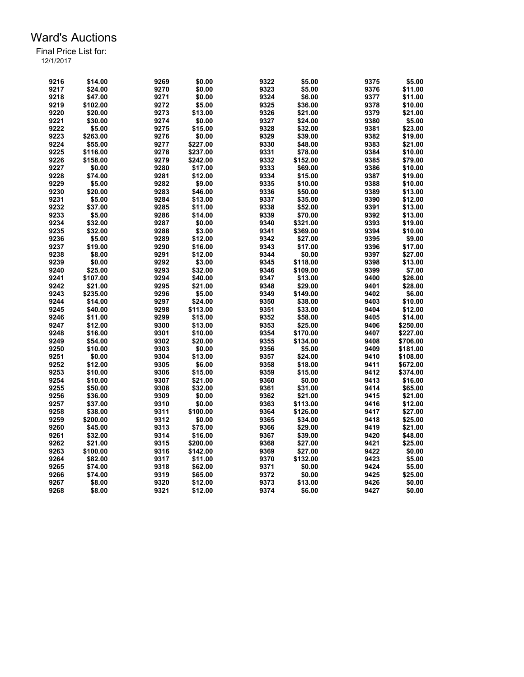| 9216 | \$14.00  | 9269 | \$0.00   | 9322 | \$5.00   | 9375 | \$5.00   |
|------|----------|------|----------|------|----------|------|----------|
| 9217 | \$24.00  | 9270 | \$0.00   | 9323 | \$5.00   | 9376 | \$11.00  |
| 9218 | \$47.00  | 9271 | \$0.00   | 9324 | \$6.00   | 9377 | \$11.00  |
| 9219 | \$102.00 | 9272 | \$5.00   | 9325 | \$36.00  | 9378 | \$10.00  |
| 9220 | \$20.00  | 9273 | \$13.00  | 9326 | \$21.00  | 9379 | \$21.00  |
| 9221 | \$30.00  | 9274 | \$0.00   | 9327 | \$24.00  | 9380 | \$5.00   |
| 9222 | \$5.00   | 9275 | \$15.00  | 9328 | \$32.00  | 9381 | \$23.00  |
| 9223 | \$263.00 | 9276 | \$0.00   | 9329 | \$39.00  | 9382 | \$19.00  |
| 9224 | \$55.00  | 9277 | \$227.00 | 9330 | \$48.00  | 9383 | \$21.00  |
| 9225 | \$116.00 | 9278 | \$237.00 | 9331 | \$78.00  | 9384 | \$10.00  |
| 9226 | \$158.00 | 9279 | \$242.00 | 9332 | \$152.00 | 9385 | \$79.00  |
| 9227 | \$0.00   | 9280 | \$17.00  | 9333 | \$69.00  | 9386 | \$10.00  |
| 9228 | \$74.00  | 9281 | \$12.00  | 9334 | \$15.00  | 9387 | \$19.00  |
| 9229 | \$5.00   | 9282 | \$9.00   | 9335 | \$10.00  | 9388 | \$10.00  |
| 9230 | \$20.00  | 9283 | \$46.00  | 9336 | \$50.00  | 9389 | \$13.00  |
| 9231 | \$5.00   | 9284 | \$13.00  | 9337 | \$35.00  | 9390 | \$12.00  |
| 9232 | \$37.00  | 9285 | \$11.00  | 9338 | \$52.00  | 9391 | \$13.00  |
| 9233 | \$5.00   | 9286 |          | 9339 |          | 9392 |          |
|      |          |      | \$14.00  |      | \$70.00  |      | \$13.00  |
| 9234 | \$32.00  | 9287 | \$0.00   | 9340 | \$321.00 | 9393 | \$19.00  |
| 9235 | \$32.00  | 9288 | \$3.00   | 9341 | \$369.00 | 9394 | \$10.00  |
| 9236 | \$5.00   | 9289 | \$12.00  | 9342 | \$27.00  | 9395 | \$9.00   |
| 9237 | \$19.00  | 9290 | \$16.00  | 9343 | \$17.00  | 9396 | \$17.00  |
| 9238 | \$8.00   | 9291 | \$12.00  | 9344 | \$0.00   | 9397 | \$27.00  |
| 9239 | \$0.00   | 9292 | \$3.00   | 9345 | \$118.00 | 9398 | \$13.00  |
| 9240 | \$25.00  | 9293 | \$32.00  | 9346 | \$109.00 | 9399 | \$7.00   |
| 9241 | \$107.00 | 9294 | \$40.00  | 9347 | \$13.00  | 9400 | \$26.00  |
| 9242 | \$21.00  | 9295 | \$21.00  | 9348 | \$29.00  | 9401 | \$28.00  |
| 9243 | \$235.00 | 9296 | \$5.00   | 9349 | \$149.00 | 9402 | \$6.00   |
| 9244 | \$14.00  | 9297 | \$24.00  | 9350 | \$38.00  | 9403 | \$10.00  |
| 9245 | \$40.00  | 9298 | \$113.00 | 9351 | \$33.00  | 9404 | \$12.00  |
| 9246 | \$11.00  | 9299 | \$15.00  | 9352 | \$58.00  | 9405 | \$14.00  |
| 9247 | \$12.00  | 9300 | \$13.00  | 9353 | \$25.00  | 9406 | \$250.00 |
| 9248 | \$16.00  | 9301 | \$10.00  | 9354 | \$170.00 | 9407 | \$227.00 |
| 9249 | \$54.00  | 9302 | \$20.00  | 9355 | \$134.00 | 9408 | \$706.00 |
| 9250 | \$10.00  | 9303 | \$0.00   | 9356 | \$5.00   | 9409 | \$181.00 |
| 9251 | \$0.00   | 9304 | \$13.00  | 9357 | \$24.00  | 9410 | \$108.00 |
| 9252 | \$12.00  | 9305 | \$6.00   | 9358 | \$18.00  | 9411 | \$672.00 |
| 9253 | \$10.00  | 9306 | \$15.00  | 9359 | \$15.00  | 9412 | \$374.00 |
| 9254 | \$10.00  | 9307 | \$21.00  | 9360 | \$0.00   | 9413 | \$16.00  |
| 9255 | \$50.00  | 9308 | \$32.00  | 9361 | \$31.00  | 9414 | \$65.00  |
| 9256 | \$36.00  | 9309 | \$0.00   | 9362 | \$21.00  | 9415 | \$21.00  |
| 9257 | \$37.00  | 9310 | \$0.00   | 9363 | \$113.00 | 9416 | \$12.00  |
| 9258 | \$38.00  | 9311 | \$100.00 | 9364 | \$126.00 | 9417 | \$27.00  |
| 9259 | \$200.00 | 9312 | \$0.00   | 9365 | \$34.00  | 9418 | \$25.00  |
| 9260 | \$45.00  | 9313 | \$75.00  | 9366 | \$29.00  | 9419 | \$21.00  |
| 9261 | \$32.00  | 9314 | \$16.00  | 9367 | \$39.00  | 9420 | \$48.00  |
| 9262 | \$21.00  | 9315 | \$200.00 | 9368 | \$27.00  | 9421 | \$25.00  |
| 9263 | \$100.00 | 9316 | \$142.00 | 9369 | \$27.00  | 9422 | \$0.00   |
| 9264 | \$82.00  | 9317 | \$11.00  | 9370 | \$132.00 | 9423 | \$5.00   |
| 9265 | \$74.00  | 9318 | \$62.00  | 9371 | \$0.00   | 9424 | \$5.00   |
| 9266 | \$74.00  | 9319 | \$65.00  | 9372 | \$0.00   | 9425 | \$25.00  |
|      |          |      |          | 9373 | \$13.00  | 9426 | \$0.00   |
| 9267 | \$8.00   | 9320 | \$12.00  |      |          |      |          |
| 9268 | \$8.00   | 9321 | \$12.00  | 9374 | \$6.00   | 9427 | \$0.00   |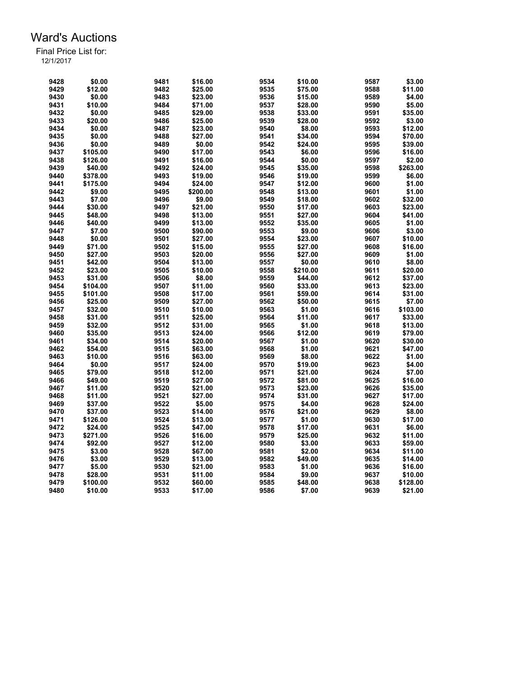| 9428 | \$0.00   | 9481 | \$16.00  | 9534 | \$10.00  | 9587 | \$3.00   |
|------|----------|------|----------|------|----------|------|----------|
| 9429 | \$12.00  | 9482 | \$25.00  | 9535 | \$75.00  | 9588 | \$11.00  |
| 9430 | \$0.00   | 9483 | \$23.00  | 9536 | \$15.00  | 9589 | \$4.00   |
| 9431 | \$10.00  | 9484 | \$71.00  | 9537 | \$28.00  | 9590 | \$5.00   |
| 9432 | \$0.00   | 9485 | \$29.00  | 9538 | \$33.00  | 9591 | \$35.00  |
| 9433 | \$20.00  | 9486 | \$25.00  | 9539 | \$28.00  | 9592 | \$3.00   |
| 9434 | \$0.00   | 9487 | \$23.00  | 9540 | \$8.00   | 9593 | \$12.00  |
| 9435 | \$0.00   | 9488 | \$27.00  | 9541 | \$34.00  | 9594 | \$70.00  |
| 9436 | \$0.00   | 9489 | \$0.00   | 9542 | \$24.00  | 9595 | \$39.00  |
| 9437 | \$105.00 | 9490 | \$17.00  | 9543 | \$6.00   | 9596 | \$16.00  |
| 9438 | \$126.00 | 9491 | \$16.00  | 9544 | \$0.00   | 9597 | \$2.00   |
| 9439 | \$40.00  | 9492 | \$24.00  | 9545 | \$35.00  | 9598 | \$263.00 |
| 9440 | \$378.00 | 9493 | \$19.00  | 9546 | \$19.00  | 9599 | \$6.00   |
| 9441 | \$175.00 | 9494 | \$24.00  | 9547 | \$12.00  | 9600 | \$1.00   |
| 9442 | \$9.00   | 9495 | \$200.00 | 9548 | \$13.00  | 9601 | \$1.00   |
| 9443 | \$7.00   | 9496 | \$9.00   | 9549 | \$18.00  | 9602 | \$32.00  |
| 9444 | \$30.00  | 9497 | \$21.00  | 9550 | \$17.00  | 9603 | \$23.00  |
| 9445 | \$48.00  | 9498 | \$13.00  | 9551 | \$27.00  | 9604 | \$41.00  |
| 9446 | \$40.00  | 9499 | \$13.00  | 9552 | \$35.00  | 9605 | \$1.00   |
| 9447 | \$7.00   | 9500 | \$90.00  | 9553 | \$9.00   | 9606 | \$3.00   |
| 9448 | \$0.00   | 9501 | \$27.00  | 9554 | \$23.00  | 9607 | \$10.00  |
| 9449 | \$71.00  | 9502 | \$15.00  | 9555 | \$27.00  | 9608 | \$16.00  |
| 9450 | \$27.00  | 9503 | \$20.00  | 9556 | \$27.00  | 9609 | \$1.00   |
| 9451 | \$42.00  | 9504 | \$13.00  | 9557 | \$0.00   | 9610 | \$8.00   |
| 9452 | \$23.00  | 9505 | \$10.00  | 9558 | \$210.00 | 9611 | \$20.00  |
| 9453 | \$31.00  | 9506 | \$8.00   | 9559 | \$44.00  | 9612 | \$37.00  |
| 9454 | \$104.00 | 9507 | \$11.00  | 9560 | \$33.00  | 9613 | \$23.00  |
| 9455 | \$101.00 | 9508 | \$17.00  | 9561 | \$59.00  | 9614 | \$31.00  |
| 9456 | \$25.00  | 9509 | \$27.00  | 9562 | \$50.00  | 9615 | \$7.00   |
| 9457 | \$32.00  | 9510 | \$10.00  | 9563 | \$1.00   | 9616 | \$103.00 |
| 9458 | \$31.00  | 9511 | \$25.00  | 9564 | \$11.00  | 9617 | \$33.00  |
| 9459 | \$32.00  | 9512 | \$31.00  | 9565 | \$1.00   | 9618 | \$13.00  |
| 9460 | \$35.00  | 9513 | \$24.00  | 9566 | \$12.00  | 9619 | \$79.00  |
| 9461 | \$34.00  | 9514 | \$20.00  | 9567 | \$1.00   | 9620 | \$30.00  |
| 9462 | \$54.00  | 9515 | \$63.00  | 9568 | \$1.00   | 9621 | \$47.00  |
| 9463 | \$10.00  | 9516 | \$63.00  | 9569 | \$8.00   | 9622 | \$1.00   |
| 9464 | \$0.00   | 9517 | \$24.00  | 9570 | \$19.00  | 9623 | \$4.00   |
| 9465 | \$79.00  | 9518 | \$12.00  | 9571 | \$21.00  | 9624 | \$7.00   |
| 9466 | \$49.00  | 9519 | \$27.00  | 9572 | \$81.00  | 9625 | \$16.00  |
| 9467 | \$11.00  | 9520 | \$21.00  | 9573 | \$23.00  | 9626 | \$35.00  |
| 9468 | \$11.00  | 9521 | \$27.00  | 9574 | \$31.00  | 9627 | \$17.00  |
| 9469 | \$37.00  | 9522 | \$5.00   | 9575 | \$4.00   | 9628 | \$24.00  |
| 9470 | \$37.00  | 9523 | \$14.00  | 9576 | \$21.00  | 9629 | \$8.00   |
| 9471 | \$126.00 | 9524 | \$13.00  | 9577 | \$1.00   | 9630 | \$17.00  |
| 9472 | \$24.00  | 9525 | \$47.00  | 9578 | \$17.00  | 9631 | \$6.00   |
| 9473 | \$271.00 | 9526 | \$16.00  | 9579 | \$25.00  | 9632 | \$11.00  |
| 9474 | \$92.00  | 9527 | \$12.00  | 9580 | \$3.00   | 9633 | \$59.00  |
| 9475 | \$3.00   | 9528 | \$67.00  | 9581 | \$2.00   | 9634 | \$11.00  |
| 9476 | \$3.00   | 9529 | \$13.00  | 9582 | \$49.00  | 9635 | \$14.00  |
| 9477 | \$5.00   | 9530 | \$21.00  | 9583 | \$1.00   | 9636 | \$16.00  |
| 9478 | \$28.00  | 9531 | \$11.00  | 9584 | \$9.00   | 9637 | \$10.00  |
| 9479 | \$100.00 | 9532 | \$60.00  | 9585 | \$48.00  | 9638 | \$128.00 |
| 9480 | \$10.00  | 9533 | \$17.00  | 9586 | \$7.00   | 9639 | \$21.00  |
|      |          |      |          |      |          |      |          |